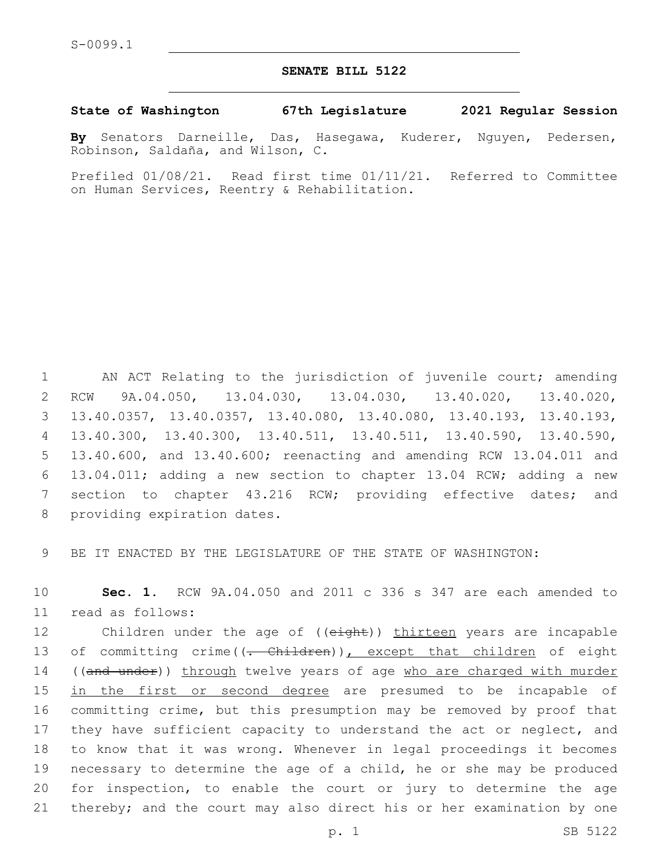## **SENATE BILL 5122**

## **State of Washington 67th Legislature 2021 Regular Session**

**By** Senators Darneille, Das, Hasegawa, Kuderer, Nguyen, Pedersen, Robinson, Saldaña, and Wilson, C.

Prefiled 01/08/21. Read first time 01/11/21. Referred to Committee on Human Services, Reentry & Rehabilitation.

 AN ACT Relating to the jurisdiction of juvenile court; amending RCW 9A.04.050, 13.04.030, 13.04.030, 13.40.020, 13.40.020, 13.40.0357, 13.40.0357, 13.40.080, 13.40.080, 13.40.193, 13.40.193, 13.40.300, 13.40.300, 13.40.511, 13.40.511, 13.40.590, 13.40.590, 13.40.600, and 13.40.600; reenacting and amending RCW 13.04.011 and 13.04.011; adding a new section to chapter 13.04 RCW; adding a new section to chapter 43.216 RCW; providing effective dates; and 8 providing expiration dates.

9 BE IT ENACTED BY THE LEGISLATURE OF THE STATE OF WASHINGTON:

10 **Sec. 1.** RCW 9A.04.050 and 2011 c 336 s 347 are each amended to read as follows:11

12 Children under the age of ((eight)) thirteen years are incapable 13 of committing crime((- Children)), except that children of eight 14 ((and under)) through twelve years of age who are charged with murder 15 in the first or second degree are presumed to be incapable of 16 committing crime, but this presumption may be removed by proof that 17 they have sufficient capacity to understand the act or neglect, and 18 to know that it was wrong. Whenever in legal proceedings it becomes 19 necessary to determine the age of a child, he or she may be produced 20 for inspection, to enable the court or jury to determine the age 21 thereby; and the court may also direct his or her examination by one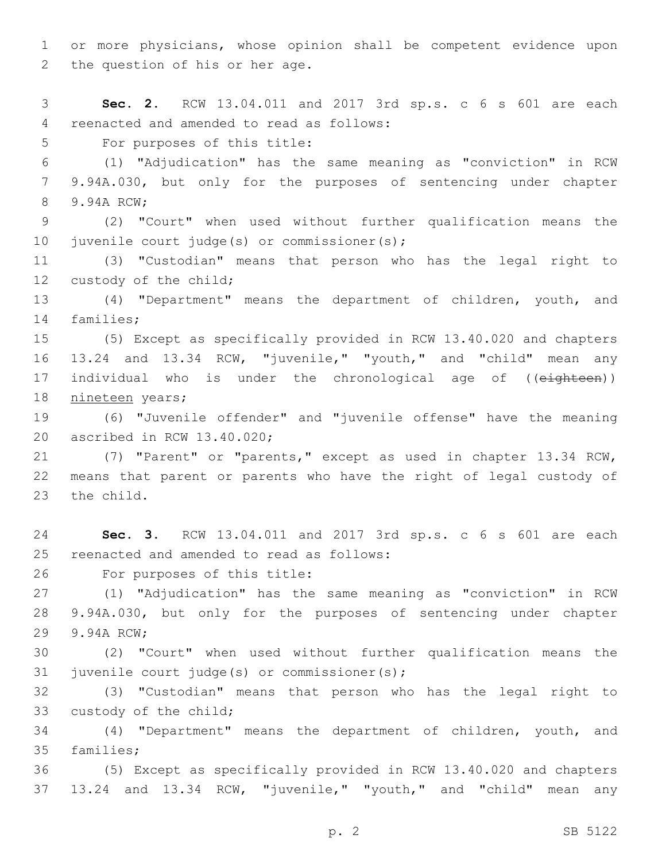1 or more physicians, whose opinion shall be competent evidence upon 2 the question of his or her age.

3 **Sec. 2.** RCW 13.04.011 and 2017 3rd sp.s. c 6 s 601 are each reenacted and amended to read as follows:4

5 For purposes of this title:

6 (1) "Adjudication" has the same meaning as "conviction" in RCW 7 9.94A.030, but only for the purposes of sentencing under chapter 8 9.94A RCW;

9 (2) "Court" when used without further qualification means the 10 juvenile court judge(s) or commissioner(s);

11 (3) "Custodian" means that person who has the legal right to 12 custody of the child;

13 (4) "Department" means the department of children, youth, and 14 families;

15 (5) Except as specifically provided in RCW 13.40.020 and chapters 16 13.24 and 13.34 RCW, "juvenile," "youth," and "child" mean any 17 individual who is under the chronological age of ((eighteen)) 18 nineteen years;

19 (6) "Juvenile offender" and "juvenile offense" have the meaning 20 ascribed in RCW 13.40.020;

21 (7) "Parent" or "parents," except as used in chapter 13.34 RCW, 22 means that parent or parents who have the right of legal custody of 23 the child.

24 **Sec. 3.** RCW 13.04.011 and 2017 3rd sp.s. c 6 s 601 are each 25 reenacted and amended to read as follows:

26 For purposes of this title:

27 (1) "Adjudication" has the same meaning as "conviction" in RCW 28 9.94A.030, but only for the purposes of sentencing under chapter 29 9.94A RCW;

30 (2) "Court" when used without further qualification means the 31 juvenile court judge(s) or commissioner(s);

32 (3) "Custodian" means that person who has the legal right to 33 custody of the child;

34 (4) "Department" means the department of children, youth, and 35 families;

36 (5) Except as specifically provided in RCW 13.40.020 and chapters 37 13.24 and 13.34 RCW, "juvenile," "youth," and "child" mean any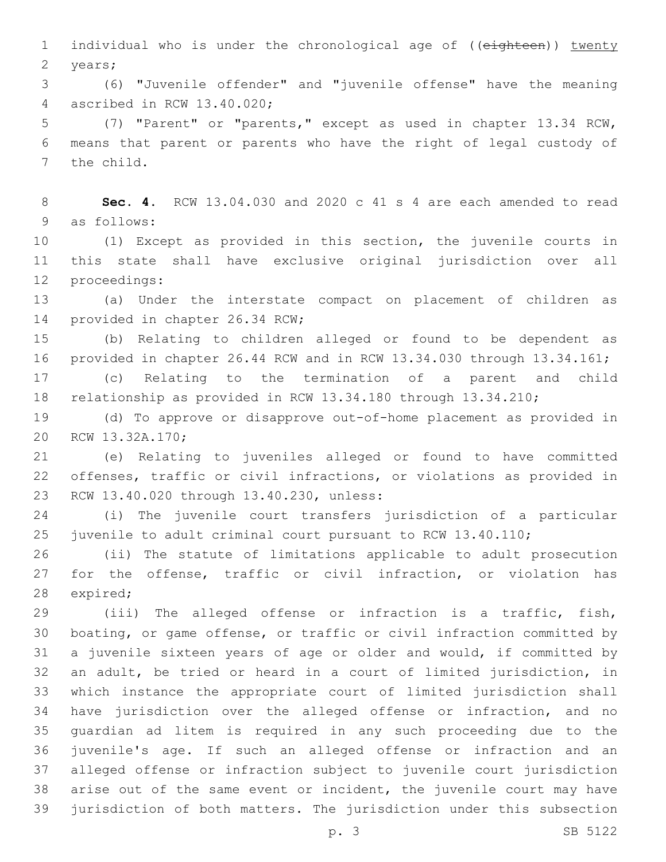1 individual who is under the chronological age of ((eighteen)) twenty 2 years;

 (6) "Juvenile offender" and "juvenile offense" have the meaning 4 ascribed in RCW 13.40.020;

 (7) "Parent" or "parents," except as used in chapter 13.34 RCW, means that parent or parents who have the right of legal custody of 7 the child.

 **Sec. 4.** RCW 13.04.030 and 2020 c 41 s 4 are each amended to read 9 as follows:

 (1) Except as provided in this section, the juvenile courts in this state shall have exclusive original jurisdiction over all 12 proceedings:

 (a) Under the interstate compact on placement of children as 14 provided in chapter 26.34 RCW;

 (b) Relating to children alleged or found to be dependent as provided in chapter 26.44 RCW and in RCW 13.34.030 through 13.34.161;

 (c) Relating to the termination of a parent and child relationship as provided in RCW 13.34.180 through 13.34.210;

 (d) To approve or disapprove out-of-home placement as provided in 20 RCW 13.32A.170;

 (e) Relating to juveniles alleged or found to have committed offenses, traffic or civil infractions, or violations as provided in 23 RCW 13.40.020 through 13.40.230, unless:

 (i) The juvenile court transfers jurisdiction of a particular juvenile to adult criminal court pursuant to RCW 13.40.110;

 (ii) The statute of limitations applicable to adult prosecution for the offense, traffic or civil infraction, or violation has 28 expired;

 (iii) The alleged offense or infraction is a traffic, fish, boating, or game offense, or traffic or civil infraction committed by a juvenile sixteen years of age or older and would, if committed by an adult, be tried or heard in a court of limited jurisdiction, in which instance the appropriate court of limited jurisdiction shall have jurisdiction over the alleged offense or infraction, and no guardian ad litem is required in any such proceeding due to the juvenile's age. If such an alleged offense or infraction and an alleged offense or infraction subject to juvenile court jurisdiction arise out of the same event or incident, the juvenile court may have jurisdiction of both matters. The jurisdiction under this subsection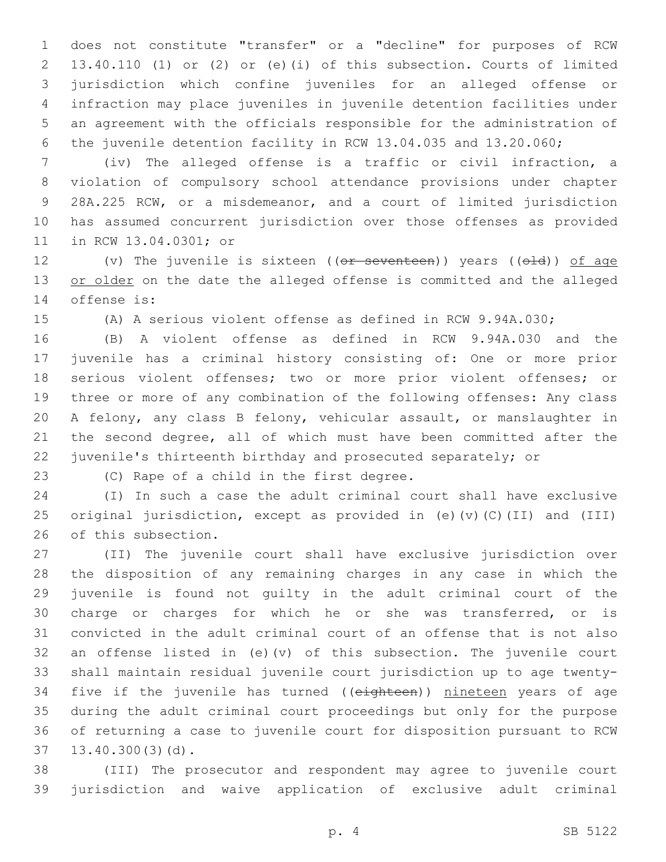does not constitute "transfer" or a "decline" for purposes of RCW 13.40.110 (1) or (2) or (e)(i) of this subsection. Courts of limited jurisdiction which confine juveniles for an alleged offense or infraction may place juveniles in juvenile detention facilities under an agreement with the officials responsible for the administration of the juvenile detention facility in RCW 13.04.035 and 13.20.060;

 (iv) The alleged offense is a traffic or civil infraction, a violation of compulsory school attendance provisions under chapter 28A.225 RCW, or a misdemeanor, and a court of limited jurisdiction has assumed concurrent jurisdiction over those offenses as provided 11 in RCW 13.04.0301; or

12  $(v)$  The juvenile is sixteen (( $e<sub>r</sub>$  seventeen)) years (( $e$ ld)) of age 13 or older on the date the alleged offense is committed and the alleged 14 offense is:

(A) A serious violent offense as defined in RCW 9.94A.030;

 (B) A violent offense as defined in RCW 9.94A.030 and the juvenile has a criminal history consisting of: One or more prior serious violent offenses; two or more prior violent offenses; or three or more of any combination of the following offenses: Any class A felony, any class B felony, vehicular assault, or manslaughter in the second degree, all of which must have been committed after the juvenile's thirteenth birthday and prosecuted separately; or

23 (C) Rape of a child in the first degree.

 (I) In such a case the adult criminal court shall have exclusive original jurisdiction, except as provided in (e)(v)(C)(II) and (III) 26 of this subsection.

 (II) The juvenile court shall have exclusive jurisdiction over the disposition of any remaining charges in any case in which the juvenile is found not guilty in the adult criminal court of the charge or charges for which he or she was transferred, or is convicted in the adult criminal court of an offense that is not also 32 an offense listed in (e)( $v$ ) of this subsection. The juvenile court shall maintain residual juvenile court jurisdiction up to age twenty-34 five if the juvenile has turned ((eighteen)) nineteen years of age during the adult criminal court proceedings but only for the purpose of returning a case to juvenile court for disposition pursuant to RCW 13.40.300 $(3)$  $(d)$ .

 (III) The prosecutor and respondent may agree to juvenile court jurisdiction and waive application of exclusive adult criminal

p. 4 SB 5122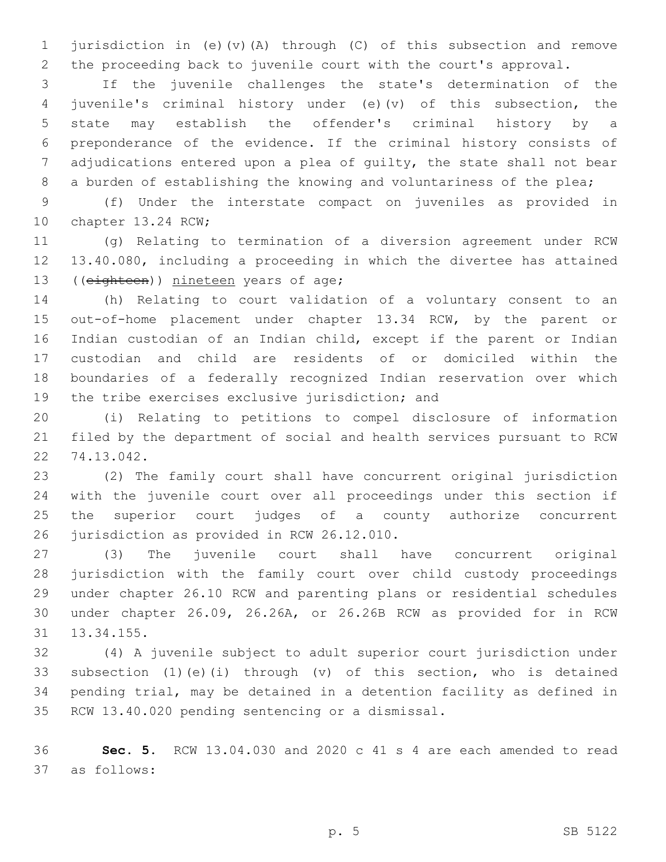jurisdiction in (e)(v)(A) through (C) of this subsection and remove the proceeding back to juvenile court with the court's approval.

 If the juvenile challenges the state's determination of the juvenile's criminal history under (e)(v) of this subsection, the state may establish the offender's criminal history by a preponderance of the evidence. If the criminal history consists of adjudications entered upon a plea of guilty, the state shall not bear a burden of establishing the knowing and voluntariness of the plea;

 (f) Under the interstate compact on juveniles as provided in 10 chapter 13.24 RCW;

 (g) Relating to termination of a diversion agreement under RCW 13.40.080, including a proceeding in which the divertee has attained 13 ((eighteen)) nineteen years of age;

 (h) Relating to court validation of a voluntary consent to an out-of-home placement under chapter 13.34 RCW, by the parent or Indian custodian of an Indian child, except if the parent or Indian custodian and child are residents of or domiciled within the boundaries of a federally recognized Indian reservation over which 19 the tribe exercises exclusive jurisdiction; and

 (i) Relating to petitions to compel disclosure of information filed by the department of social and health services pursuant to RCW 22 74.13.042.

 (2) The family court shall have concurrent original jurisdiction with the juvenile court over all proceedings under this section if the superior court judges of a county authorize concurrent 26 jurisdiction as provided in RCW 26.12.010.

 (3) The juvenile court shall have concurrent original jurisdiction with the family court over child custody proceedings under chapter 26.10 RCW and parenting plans or residential schedules under chapter 26.09, 26.26A, or 26.26B RCW as provided for in RCW 31 13.34.155.

 (4) A juvenile subject to adult superior court jurisdiction under subsection (1)(e)(i) through (v) of this section, who is detained pending trial, may be detained in a detention facility as defined in 35 RCW 13.40.020 pending sentencing or a dismissal.

 **Sec. 5.** RCW 13.04.030 and 2020 c 41 s 4 are each amended to read as follows:37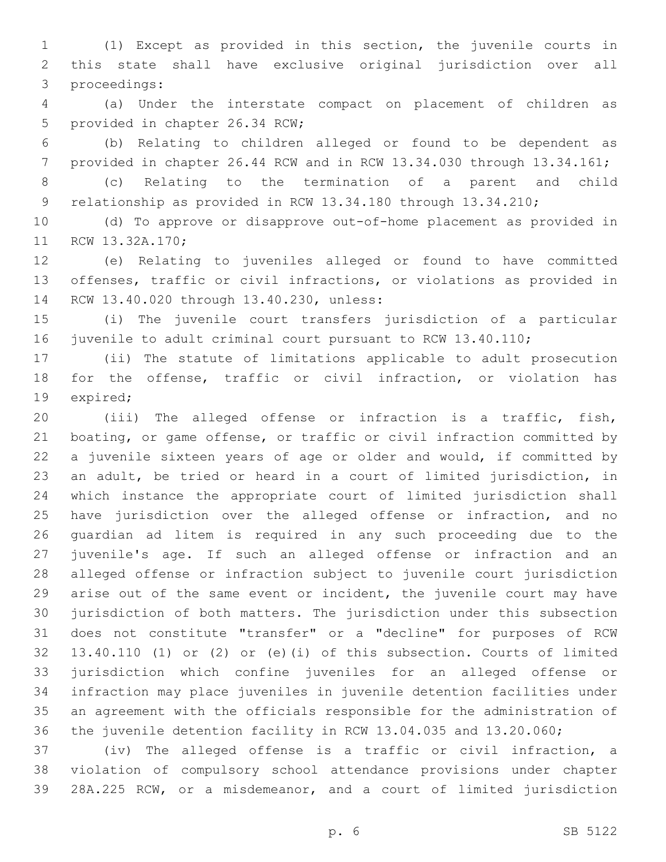(1) Except as provided in this section, the juvenile courts in this state shall have exclusive original jurisdiction over all 3 proceedings:

 (a) Under the interstate compact on placement of children as 5 provided in chapter 26.34 RCW;

 (b) Relating to children alleged or found to be dependent as provided in chapter 26.44 RCW and in RCW 13.34.030 through 13.34.161;

 (c) Relating to the termination of a parent and child relationship as provided in RCW 13.34.180 through 13.34.210;

 (d) To approve or disapprove out-of-home placement as provided in 11 RCW 13.32A.170;

 (e) Relating to juveniles alleged or found to have committed offenses, traffic or civil infractions, or violations as provided in 14 RCW 13.40.020 through 13.40.230, unless:

 (i) The juvenile court transfers jurisdiction of a particular juvenile to adult criminal court pursuant to RCW 13.40.110;

 (ii) The statute of limitations applicable to adult prosecution for the offense, traffic or civil infraction, or violation has 19 expired;

 (iii) The alleged offense or infraction is a traffic, fish, boating, or game offense, or traffic or civil infraction committed by a juvenile sixteen years of age or older and would, if committed by an adult, be tried or heard in a court of limited jurisdiction, in which instance the appropriate court of limited jurisdiction shall have jurisdiction over the alleged offense or infraction, and no guardian ad litem is required in any such proceeding due to the juvenile's age. If such an alleged offense or infraction and an alleged offense or infraction subject to juvenile court jurisdiction arise out of the same event or incident, the juvenile court may have jurisdiction of both matters. The jurisdiction under this subsection does not constitute "transfer" or a "decline" for purposes of RCW 13.40.110 (1) or (2) or (e)(i) of this subsection. Courts of limited jurisdiction which confine juveniles for an alleged offense or infraction may place juveniles in juvenile detention facilities under an agreement with the officials responsible for the administration of the juvenile detention facility in RCW 13.04.035 and 13.20.060;

 (iv) The alleged offense is a traffic or civil infraction, a violation of compulsory school attendance provisions under chapter 28A.225 RCW, or a misdemeanor, and a court of limited jurisdiction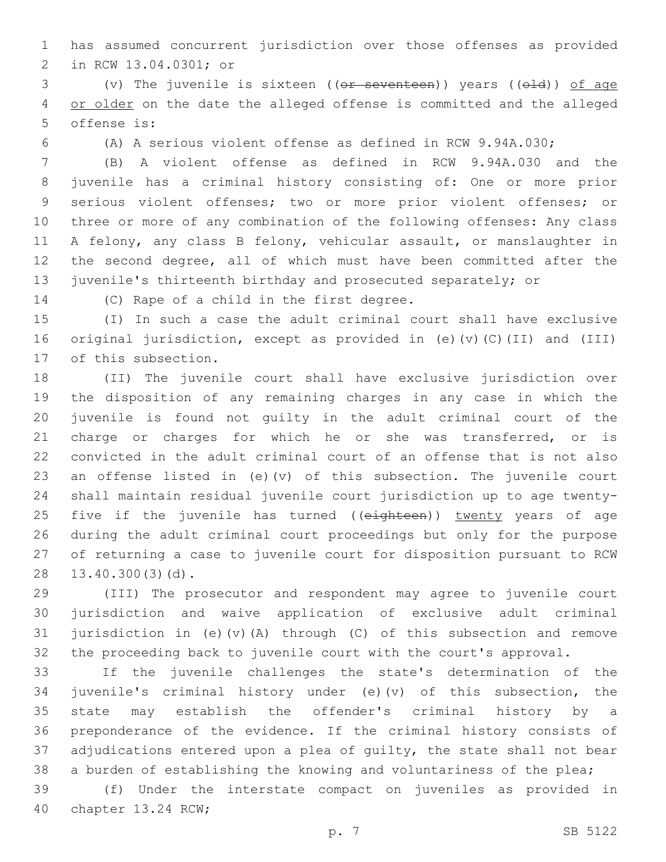has assumed concurrent jurisdiction over those offenses as provided 2 in RCW 13.04.0301; or

3 (v) The juvenile is sixteen ((or seventeen)) years ((old)) of age 4 or older on the date the alleged offense is committed and the alleged 5 offense is:

(A) A serious violent offense as defined in RCW 9.94A.030;

 (B) A violent offense as defined in RCW 9.94A.030 and the juvenile has a criminal history consisting of: One or more prior serious violent offenses; two or more prior violent offenses; or three or more of any combination of the following offenses: Any class A felony, any class B felony, vehicular assault, or manslaughter in the second degree, all of which must have been committed after the juvenile's thirteenth birthday and prosecuted separately; or

14 (C) Rape of a child in the first degree.

 (I) In such a case the adult criminal court shall have exclusive original jurisdiction, except as provided in (e)(v)(C)(II) and (III) 17 of this subsection.

 (II) The juvenile court shall have exclusive jurisdiction over the disposition of any remaining charges in any case in which the juvenile is found not guilty in the adult criminal court of the 21 charge or charges for which he or she was transferred, or is convicted in the adult criminal court of an offense that is not also an offense listed in (e)(v) of this subsection. The juvenile court shall maintain residual juvenile court jurisdiction up to age twenty-25 five if the juvenile has turned ((eighteen)) twenty years of age during the adult criminal court proceedings but only for the purpose of returning a case to juvenile court for disposition pursuant to RCW 28 13.40.300(3)(d).

 (III) The prosecutor and respondent may agree to juvenile court jurisdiction and waive application of exclusive adult criminal jurisdiction in (e)(v)(A) through (C) of this subsection and remove the proceeding back to juvenile court with the court's approval.

 If the juvenile challenges the state's determination of the juvenile's criminal history under (e)(v) of this subsection, the state may establish the offender's criminal history by a preponderance of the evidence. If the criminal history consists of adjudications entered upon a plea of guilty, the state shall not bear a burden of establishing the knowing and voluntariness of the plea;

 (f) Under the interstate compact on juveniles as provided in 40 chapter 13.24 RCW;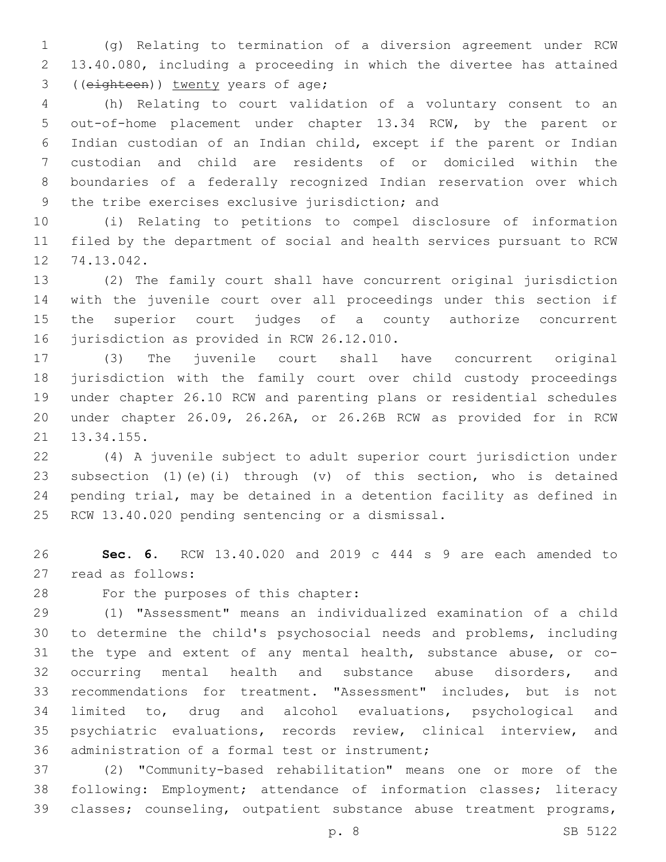(g) Relating to termination of a diversion agreement under RCW 13.40.080, including a proceeding in which the divertee has attained 3 ((eighteen)) twenty years of age;

 (h) Relating to court validation of a voluntary consent to an out-of-home placement under chapter 13.34 RCW, by the parent or Indian custodian of an Indian child, except if the parent or Indian custodian and child are residents of or domiciled within the boundaries of a federally recognized Indian reservation over which 9 the tribe exercises exclusive jurisdiction; and

 (i) Relating to petitions to compel disclosure of information filed by the department of social and health services pursuant to RCW 12 74.13.042.

 (2) The family court shall have concurrent original jurisdiction with the juvenile court over all proceedings under this section if the superior court judges of a county authorize concurrent 16 jurisdiction as provided in RCW 26.12.010.

 (3) The juvenile court shall have concurrent original jurisdiction with the family court over child custody proceedings under chapter 26.10 RCW and parenting plans or residential schedules under chapter 26.09, 26.26A, or 26.26B RCW as provided for in RCW 21 13.34.155.

 (4) A juvenile subject to adult superior court jurisdiction under subsection (1)(e)(i) through (v) of this section, who is detained pending trial, may be detained in a detention facility as defined in 25 RCW 13.40.020 pending sentencing or a dismissal.

 **Sec. 6.** RCW 13.40.020 and 2019 c 444 s 9 are each amended to 27 read as follows:

28 For the purposes of this chapter:

 (1) "Assessment" means an individualized examination of a child to determine the child's psychosocial needs and problems, including the type and extent of any mental health, substance abuse, or co- occurring mental health and substance abuse disorders, and recommendations for treatment. "Assessment" includes, but is not limited to, drug and alcohol evaluations, psychological and psychiatric evaluations, records review, clinical interview, and 36 administration of a formal test or instrument;

 (2) "Community-based rehabilitation" means one or more of the following: Employment; attendance of information classes; literacy classes; counseling, outpatient substance abuse treatment programs,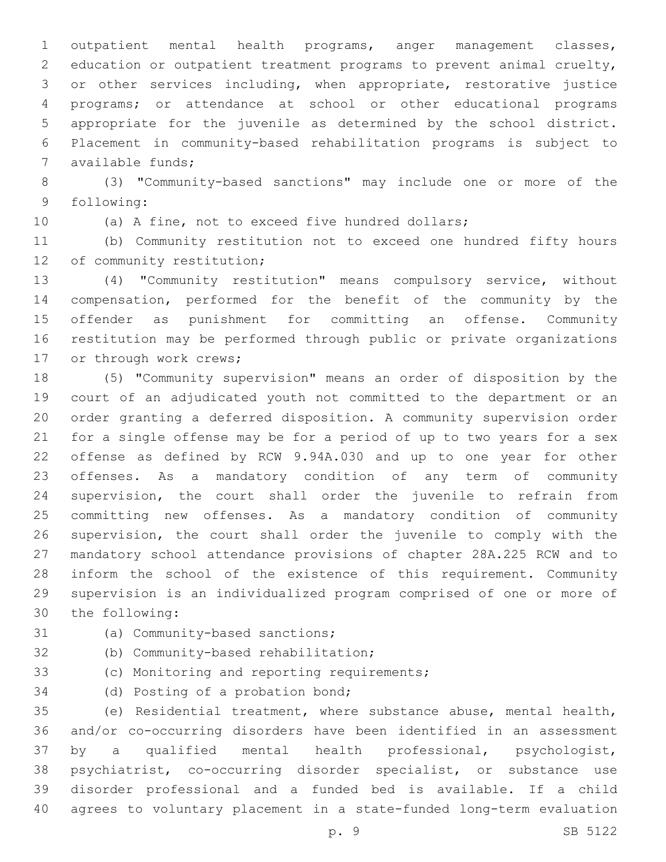outpatient mental health programs, anger management classes, education or outpatient treatment programs to prevent animal cruelty, or other services including, when appropriate, restorative justice programs; or attendance at school or other educational programs appropriate for the juvenile as determined by the school district. Placement in community-based rehabilitation programs is subject to 7 available funds;

 (3) "Community-based sanctions" may include one or more of the 9 following:

(a) A fine, not to exceed five hundred dollars;

 (b) Community restitution not to exceed one hundred fifty hours 12 of community restitution;

 (4) "Community restitution" means compulsory service, without compensation, performed for the benefit of the community by the offender as punishment for committing an offense. Community restitution may be performed through public or private organizations 17 or through work crews;

 (5) "Community supervision" means an order of disposition by the court of an adjudicated youth not committed to the department or an order granting a deferred disposition. A community supervision order for a single offense may be for a period of up to two years for a sex offense as defined by RCW 9.94A.030 and up to one year for other offenses. As a mandatory condition of any term of community supervision, the court shall order the juvenile to refrain from committing new offenses. As a mandatory condition of community supervision, the court shall order the juvenile to comply with the mandatory school attendance provisions of chapter 28A.225 RCW and to inform the school of the existence of this requirement. Community supervision is an individualized program comprised of one or more of 30 the following:

31 (a) Community-based sanctions;

32 (b) Community-based rehabilitation;

33 (c) Monitoring and reporting requirements;

34 (d) Posting of a probation bond;

 (e) Residential treatment, where substance abuse, mental health, and/or co-occurring disorders have been identified in an assessment by a qualified mental health professional, psychologist, psychiatrist, co-occurring disorder specialist, or substance use disorder professional and a funded bed is available. If a child agrees to voluntary placement in a state-funded long-term evaluation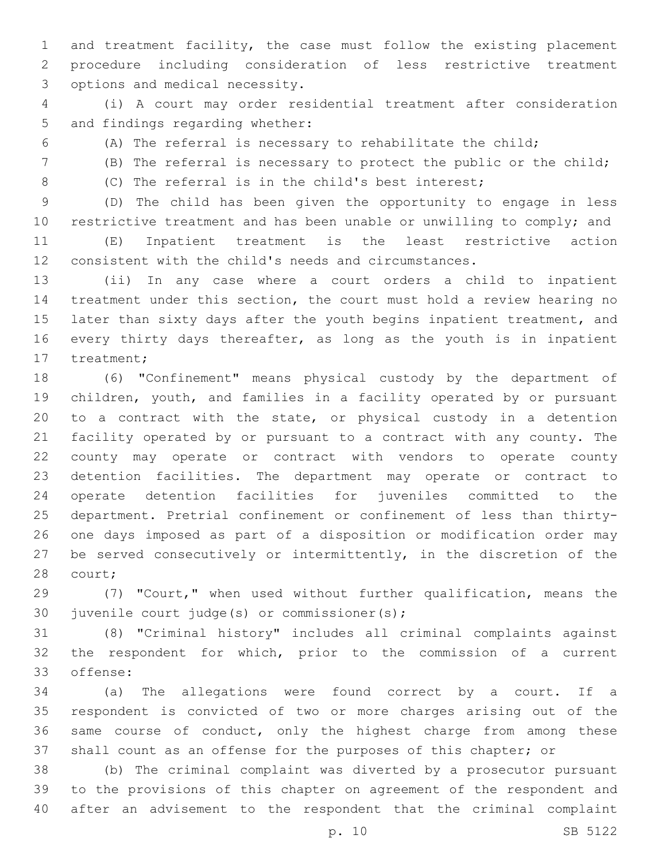and treatment facility, the case must follow the existing placement procedure including consideration of less restrictive treatment 3 options and medical necessity.

 (i) A court may order residential treatment after consideration 5 and findings regarding whether:

(A) The referral is necessary to rehabilitate the child;

- (B) The referral is necessary to protect the public or the child;
- (C) The referral is in the child's best interest;

 (D) The child has been given the opportunity to engage in less restrictive treatment and has been unable or unwilling to comply; and

 (E) Inpatient treatment is the least restrictive action consistent with the child's needs and circumstances.

 (ii) In any case where a court orders a child to inpatient treatment under this section, the court must hold a review hearing no 15 later than sixty days after the youth begins inpatient treatment, and every thirty days thereafter, as long as the youth is in inpatient 17 treatment;

 (6) "Confinement" means physical custody by the department of children, youth, and families in a facility operated by or pursuant to a contract with the state, or physical custody in a detention facility operated by or pursuant to a contract with any county. The county may operate or contract with vendors to operate county detention facilities. The department may operate or contract to operate detention facilities for juveniles committed to the department. Pretrial confinement or confinement of less than thirty- one days imposed as part of a disposition or modification order may be served consecutively or intermittently, in the discretion of the 28 court;

 (7) "Court," when used without further qualification, means the 30 juvenile court judge(s) or commissioner(s);

 (8) "Criminal history" includes all criminal complaints against the respondent for which, prior to the commission of a current 33 offense:

 (a) The allegations were found correct by a court. If a respondent is convicted of two or more charges arising out of the same course of conduct, only the highest charge from among these shall count as an offense for the purposes of this chapter; or

 (b) The criminal complaint was diverted by a prosecutor pursuant to the provisions of this chapter on agreement of the respondent and after an advisement to the respondent that the criminal complaint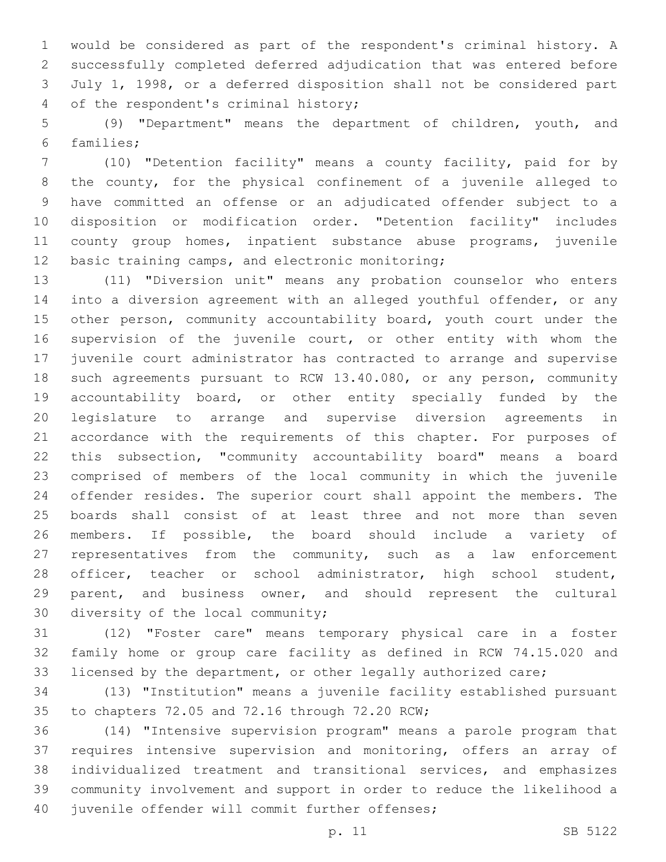would be considered as part of the respondent's criminal history. A successfully completed deferred adjudication that was entered before July 1, 1998, or a deferred disposition shall not be considered part 4 of the respondent's criminal history;

 (9) "Department" means the department of children, youth, and 6 families;

 (10) "Detention facility" means a county facility, paid for by the county, for the physical confinement of a juvenile alleged to have committed an offense or an adjudicated offender subject to a disposition or modification order. "Detention facility" includes county group homes, inpatient substance abuse programs, juvenile 12 basic training camps, and electronic monitoring;

 (11) "Diversion unit" means any probation counselor who enters into a diversion agreement with an alleged youthful offender, or any other person, community accountability board, youth court under the supervision of the juvenile court, or other entity with whom the juvenile court administrator has contracted to arrange and supervise such agreements pursuant to RCW 13.40.080, or any person, community accountability board, or other entity specially funded by the legislature to arrange and supervise diversion agreements in accordance with the requirements of this chapter. For purposes of this subsection, "community accountability board" means a board comprised of members of the local community in which the juvenile offender resides. The superior court shall appoint the members. The boards shall consist of at least three and not more than seven members. If possible, the board should include a variety of representatives from the community, such as a law enforcement officer, teacher or school administrator, high school student, parent, and business owner, and should represent the cultural 30 diversity of the local community;

 (12) "Foster care" means temporary physical care in a foster family home or group care facility as defined in RCW 74.15.020 and licensed by the department, or other legally authorized care;

 (13) "Institution" means a juvenile facility established pursuant 35 to chapters 72.05 and 72.16 through 72.20 RCW;

 (14) "Intensive supervision program" means a parole program that requires intensive supervision and monitoring, offers an array of individualized treatment and transitional services, and emphasizes community involvement and support in order to reduce the likelihood a 40 juvenile offender will commit further offenses;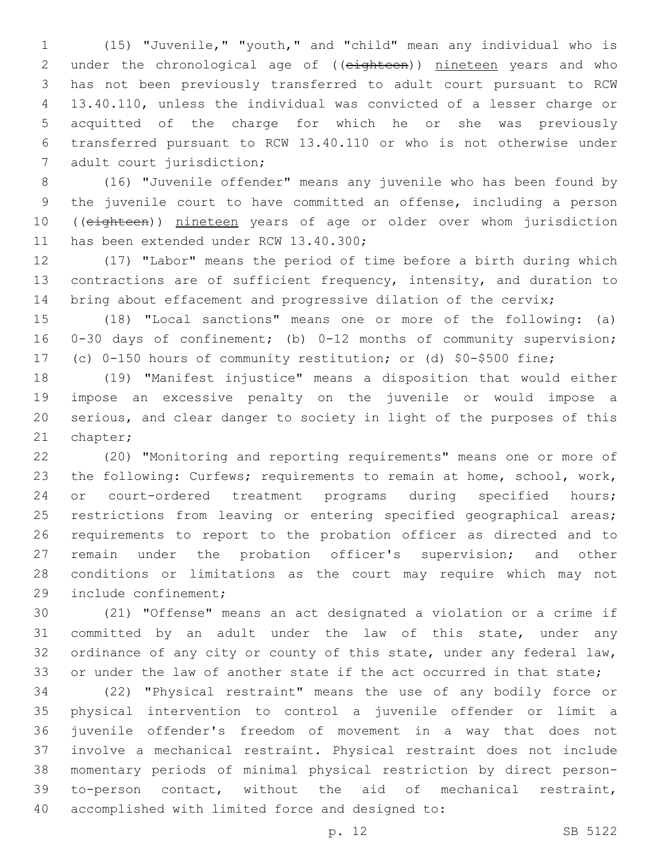(15) "Juvenile," "youth," and "child" mean any individual who is 2 under the chronological age of ((eighteen)) nineteen years and who has not been previously transferred to adult court pursuant to RCW 13.40.110, unless the individual was convicted of a lesser charge or acquitted of the charge for which he or she was previously transferred pursuant to RCW 13.40.110 or who is not otherwise under 7 adult court jurisdiction;

 (16) "Juvenile offender" means any juvenile who has been found by the juvenile court to have committed an offense, including a person 10 ((eighteen)) nineteen years of age or older over whom jurisdiction 11 has been extended under RCW 13.40.300;

 (17) "Labor" means the period of time before a birth during which 13 contractions are of sufficient frequency, intensity, and duration to bring about effacement and progressive dilation of the cervix;

 (18) "Local sanctions" means one or more of the following: (a) 0-30 days of confinement; (b) 0-12 months of community supervision; (c) 0-150 hours of community restitution; or (d) \$0-\$500 fine;

 (19) "Manifest injustice" means a disposition that would either impose an excessive penalty on the juvenile or would impose a serious, and clear danger to society in light of the purposes of this 21 chapter;

 (20) "Monitoring and reporting requirements" means one or more of the following: Curfews; requirements to remain at home, school, work, 24 or court-ordered treatment programs during specified hours; restrictions from leaving or entering specified geographical areas; requirements to report to the probation officer as directed and to remain under the probation officer's supervision; and other conditions or limitations as the court may require which may not 29 include confinement;

 (21) "Offense" means an act designated a violation or a crime if committed by an adult under the law of this state, under any 32 ordinance of any city or county of this state, under any federal law, 33 or under the law of another state if the act occurred in that state;

 (22) "Physical restraint" means the use of any bodily force or physical intervention to control a juvenile offender or limit a juvenile offender's freedom of movement in a way that does not involve a mechanical restraint. Physical restraint does not include momentary periods of minimal physical restriction by direct person- to-person contact, without the aid of mechanical restraint, 40 accomplished with limited force and designed to: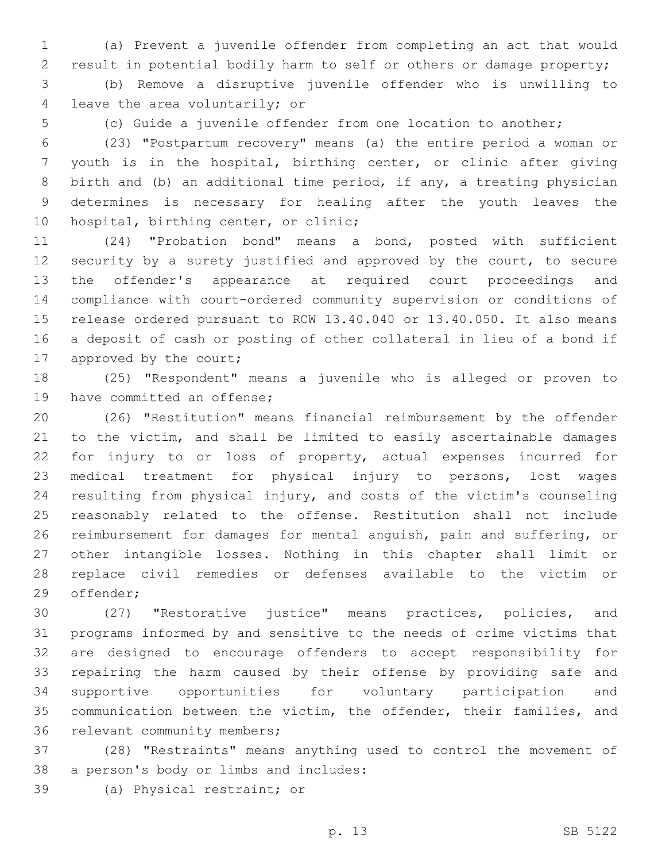(a) Prevent a juvenile offender from completing an act that would result in potential bodily harm to self or others or damage property;

 (b) Remove a disruptive juvenile offender who is unwilling to 4 leave the area voluntarily; or

(c) Guide a juvenile offender from one location to another;

 (23) "Postpartum recovery" means (a) the entire period a woman or youth is in the hospital, birthing center, or clinic after giving birth and (b) an additional time period, if any, a treating physician determines is necessary for healing after the youth leaves the 10 hospital, birthing center, or clinic;

 (24) "Probation bond" means a bond, posted with sufficient security by a surety justified and approved by the court, to secure the offender's appearance at required court proceedings and compliance with court-ordered community supervision or conditions of release ordered pursuant to RCW 13.40.040 or 13.40.050. It also means a deposit of cash or posting of other collateral in lieu of a bond if 17 approved by the court;

 (25) "Respondent" means a juvenile who is alleged or proven to 19 have committed an offense;

 (26) "Restitution" means financial reimbursement by the offender to the victim, and shall be limited to easily ascertainable damages for injury to or loss of property, actual expenses incurred for medical treatment for physical injury to persons, lost wages resulting from physical injury, and costs of the victim's counseling reasonably related to the offense. Restitution shall not include reimbursement for damages for mental anguish, pain and suffering, or other intangible losses. Nothing in this chapter shall limit or replace civil remedies or defenses available to the victim or 29 offender;

 (27) "Restorative justice" means practices, policies, and programs informed by and sensitive to the needs of crime victims that are designed to encourage offenders to accept responsibility for repairing the harm caused by their offense by providing safe and supportive opportunities for voluntary participation and communication between the victim, the offender, their families, and 36 relevant community members;

 (28) "Restraints" means anything used to control the movement of 38 a person's body or limbs and includes:

39 (a) Physical restraint; or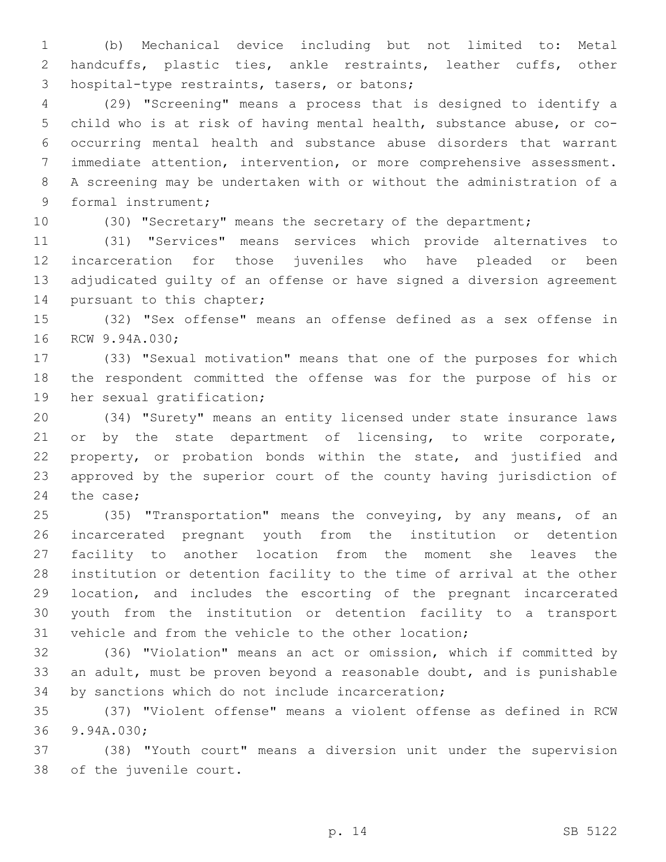(b) Mechanical device including but not limited to: Metal handcuffs, plastic ties, ankle restraints, leather cuffs, other 3 hospital-type restraints, tasers, or batons;

 (29) "Screening" means a process that is designed to identify a child who is at risk of having mental health, substance abuse, or co- occurring mental health and substance abuse disorders that warrant immediate attention, intervention, or more comprehensive assessment. A screening may be undertaken with or without the administration of a 9 formal instrument;

(30) "Secretary" means the secretary of the department;

 (31) "Services" means services which provide alternatives to incarceration for those juveniles who have pleaded or been adjudicated guilty of an offense or have signed a diversion agreement 14 pursuant to this chapter;

 (32) "Sex offense" means an offense defined as a sex offense in 16 RCW 9.94A.030;

 (33) "Sexual motivation" means that one of the purposes for which the respondent committed the offense was for the purpose of his or 19 her sexual gratification;

 (34) "Surety" means an entity licensed under state insurance laws 21 or by the state department of licensing, to write corporate, property, or probation bonds within the state, and justified and approved by the superior court of the county having jurisdiction of 24 the case;

 (35) "Transportation" means the conveying, by any means, of an incarcerated pregnant youth from the institution or detention facility to another location from the moment she leaves the institution or detention facility to the time of arrival at the other location, and includes the escorting of the pregnant incarcerated youth from the institution or detention facility to a transport vehicle and from the vehicle to the other location;

 (36) "Violation" means an act or omission, which if committed by an adult, must be proven beyond a reasonable doubt, and is punishable 34 by sanctions which do not include incarceration;

 (37) "Violent offense" means a violent offense as defined in RCW 36 9.94A.030;

 (38) "Youth court" means a diversion unit under the supervision 38 of the juvenile court.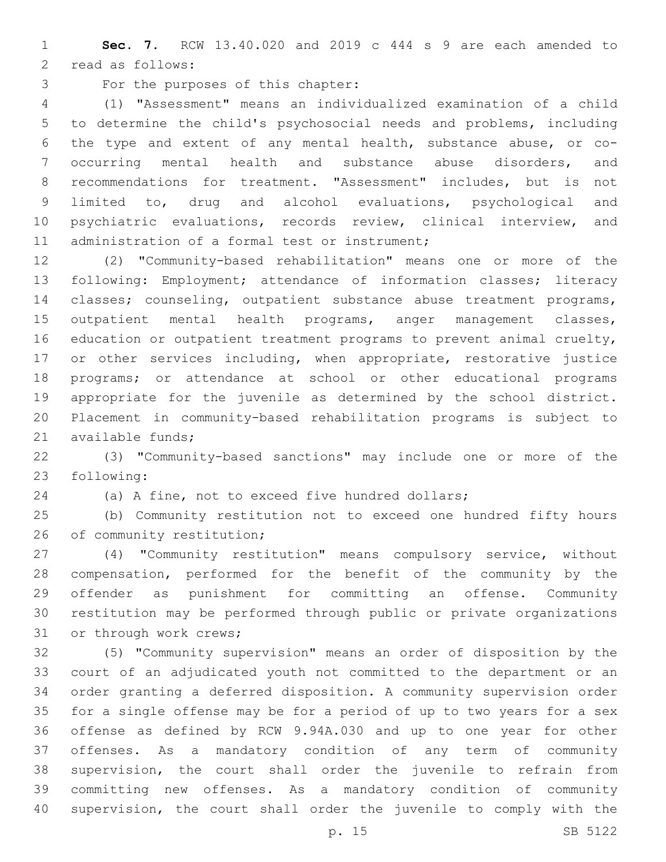**Sec. 7.** RCW 13.40.020 and 2019 c 444 s 9 are each amended to 2 read as follows:

3 For the purposes of this chapter:

 (1) "Assessment" means an individualized examination of a child to determine the child's psychosocial needs and problems, including the type and extent of any mental health, substance abuse, or co- occurring mental health and substance abuse disorders, and recommendations for treatment. "Assessment" includes, but is not limited to, drug and alcohol evaluations, psychological and psychiatric evaluations, records review, clinical interview, and 11 administration of a formal test or instrument;

 (2) "Community-based rehabilitation" means one or more of the following: Employment; attendance of information classes; literacy classes; counseling, outpatient substance abuse treatment programs, outpatient mental health programs, anger management classes, education or outpatient treatment programs to prevent animal cruelty, 17 or other services including, when appropriate, restorative justice programs; or attendance at school or other educational programs appropriate for the juvenile as determined by the school district. Placement in community-based rehabilitation programs is subject to 21 available funds;

 (3) "Community-based sanctions" may include one or more of the 23 following:

(a) A fine, not to exceed five hundred dollars;

 (b) Community restitution not to exceed one hundred fifty hours 26 of community restitution;

 (4) "Community restitution" means compulsory service, without compensation, performed for the benefit of the community by the offender as punishment for committing an offense. Community restitution may be performed through public or private organizations 31 or through work crews;

 (5) "Community supervision" means an order of disposition by the court of an adjudicated youth not committed to the department or an order granting a deferred disposition. A community supervision order for a single offense may be for a period of up to two years for a sex offense as defined by RCW 9.94A.030 and up to one year for other offenses. As a mandatory condition of any term of community supervision, the court shall order the juvenile to refrain from committing new offenses. As a mandatory condition of community supervision, the court shall order the juvenile to comply with the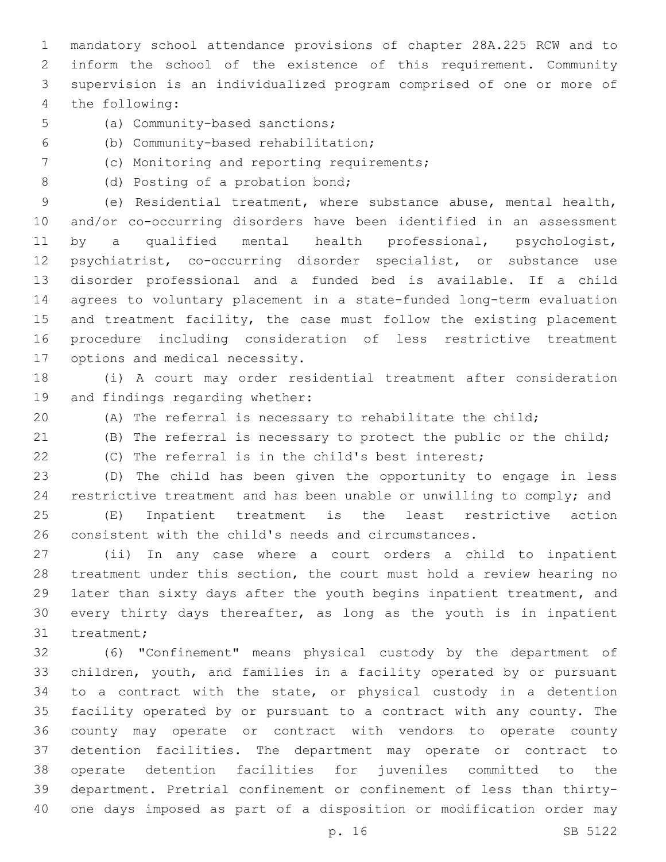mandatory school attendance provisions of chapter 28A.225 RCW and to inform the school of the existence of this requirement. Community supervision is an individualized program comprised of one or more of 4 the following:

- 5 (a) Community-based sanctions;
- (b) Community-based rehabilitation;6

7 (c) Monitoring and reporting requirements;

8 (d) Posting of a probation bond;

 (e) Residential treatment, where substance abuse, mental health, and/or co-occurring disorders have been identified in an assessment by a qualified mental health professional, psychologist, psychiatrist, co-occurring disorder specialist, or substance use disorder professional and a funded bed is available. If a child agrees to voluntary placement in a state-funded long-term evaluation 15 and treatment facility, the case must follow the existing placement procedure including consideration of less restrictive treatment 17 options and medical necessity.

 (i) A court may order residential treatment after consideration 19 and findings regarding whether:

(A) The referral is necessary to rehabilitate the child;

(B) The referral is necessary to protect the public or the child;

(C) The referral is in the child's best interest;

 (D) The child has been given the opportunity to engage in less restrictive treatment and has been unable or unwilling to comply; and

 (E) Inpatient treatment is the least restrictive action consistent with the child's needs and circumstances.

 (ii) In any case where a court orders a child to inpatient treatment under this section, the court must hold a review hearing no later than sixty days after the youth begins inpatient treatment, and every thirty days thereafter, as long as the youth is in inpatient 31 treatment;

 (6) "Confinement" means physical custody by the department of children, youth, and families in a facility operated by or pursuant to a contract with the state, or physical custody in a detention facility operated by or pursuant to a contract with any county. The county may operate or contract with vendors to operate county detention facilities. The department may operate or contract to operate detention facilities for juveniles committed to the department. Pretrial confinement or confinement of less than thirty-one days imposed as part of a disposition or modification order may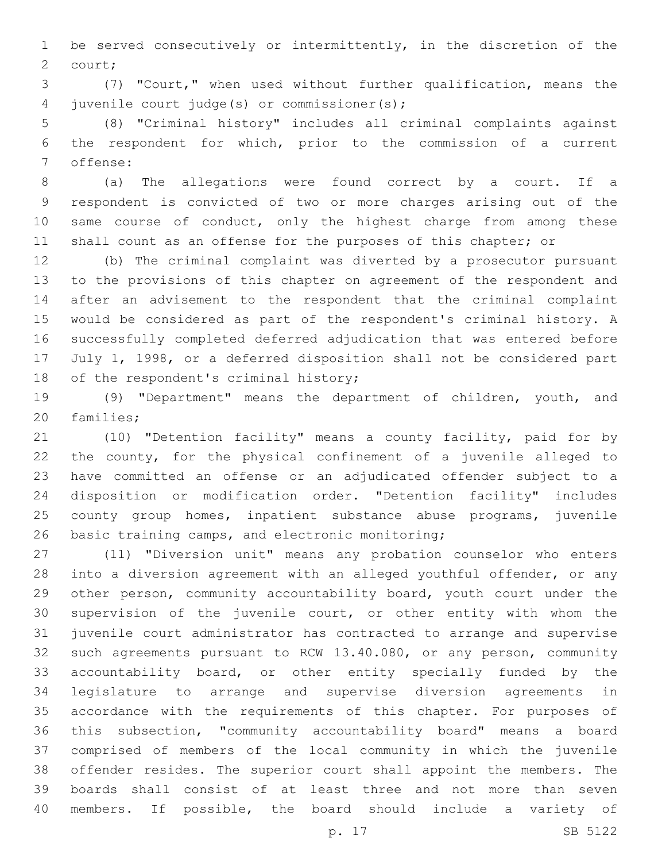be served consecutively or intermittently, in the discretion of the 2 court;

 (7) "Court," when used without further qualification, means the juvenile court judge(s) or commissioner(s);4

 (8) "Criminal history" includes all criminal complaints against the respondent for which, prior to the commission of a current 7 offense:

 (a) The allegations were found correct by a court. If a respondent is convicted of two or more charges arising out of the 10 same course of conduct, only the highest charge from among these 11 shall count as an offense for the purposes of this chapter; or

 (b) The criminal complaint was diverted by a prosecutor pursuant to the provisions of this chapter on agreement of the respondent and after an advisement to the respondent that the criminal complaint would be considered as part of the respondent's criminal history. A successfully completed deferred adjudication that was entered before July 1, 1998, or a deferred disposition shall not be considered part 18 of the respondent's criminal history;

 (9) "Department" means the department of children, youth, and 20 families;

 (10) "Detention facility" means a county facility, paid for by the county, for the physical confinement of a juvenile alleged to have committed an offense or an adjudicated offender subject to a disposition or modification order. "Detention facility" includes county group homes, inpatient substance abuse programs, juvenile 26 basic training camps, and electronic monitoring;

 (11) "Diversion unit" means any probation counselor who enters into a diversion agreement with an alleged youthful offender, or any other person, community accountability board, youth court under the supervision of the juvenile court, or other entity with whom the juvenile court administrator has contracted to arrange and supervise such agreements pursuant to RCW 13.40.080, or any person, community accountability board, or other entity specially funded by the legislature to arrange and supervise diversion agreements in accordance with the requirements of this chapter. For purposes of this subsection, "community accountability board" means a board comprised of members of the local community in which the juvenile offender resides. The superior court shall appoint the members. The boards shall consist of at least three and not more than seven members. If possible, the board should include a variety of

p. 17 SB 5122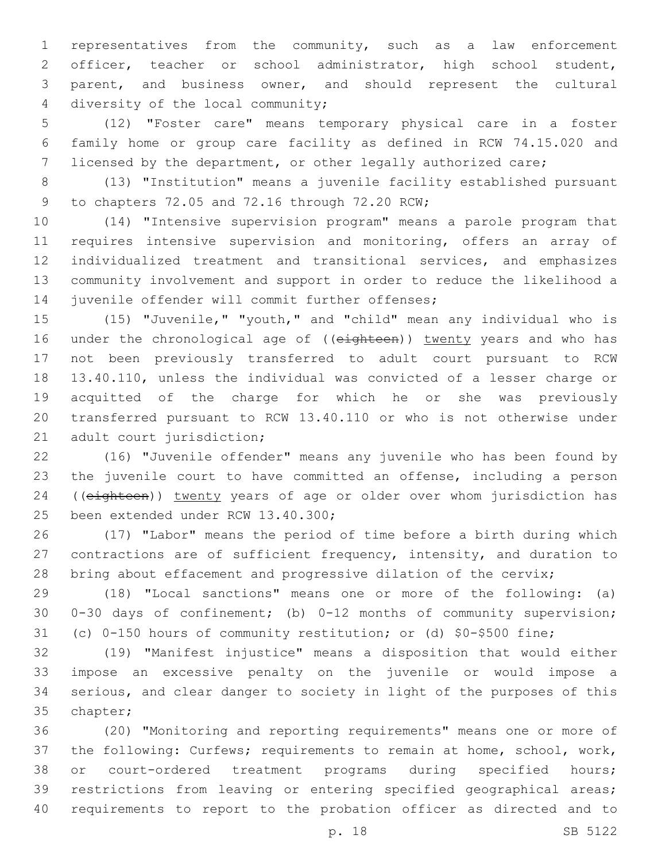representatives from the community, such as a law enforcement officer, teacher or school administrator, high school student, parent, and business owner, and should represent the cultural 4 diversity of the local community;

 (12) "Foster care" means temporary physical care in a foster family home or group care facility as defined in RCW 74.15.020 and 7 licensed by the department, or other legally authorized care;

 (13) "Institution" means a juvenile facility established pursuant 9 to chapters 72.05 and 72.16 through 72.20 RCW;

 (14) "Intensive supervision program" means a parole program that requires intensive supervision and monitoring, offers an array of individualized treatment and transitional services, and emphasizes community involvement and support in order to reduce the likelihood a 14 juvenile offender will commit further offenses;

 (15) "Juvenile," "youth," and "child" mean any individual who is 16 under the chronological age of ((eighteen)) twenty years and who has not been previously transferred to adult court pursuant to RCW 13.40.110, unless the individual was convicted of a lesser charge or acquitted of the charge for which he or she was previously transferred pursuant to RCW 13.40.110 or who is not otherwise under 21 adult court jurisdiction;

 (16) "Juvenile offender" means any juvenile who has been found by the juvenile court to have committed an offense, including a person 24 ((eighteen)) twenty years of age or older over whom jurisdiction has 25 been extended under RCW 13.40.300;

 (17) "Labor" means the period of time before a birth during which 27 contractions are of sufficient frequency, intensity, and duration to bring about effacement and progressive dilation of the cervix;

 (18) "Local sanctions" means one or more of the following: (a) 0-30 days of confinement; (b) 0-12 months of community supervision; (c) 0-150 hours of community restitution; or (d) \$0-\$500 fine;

 (19) "Manifest injustice" means a disposition that would either impose an excessive penalty on the juvenile or would impose a serious, and clear danger to society in light of the purposes of this 35 chapter;

 (20) "Monitoring and reporting requirements" means one or more of the following: Curfews; requirements to remain at home, school, work, or court-ordered treatment programs during specified hours; restrictions from leaving or entering specified geographical areas; requirements to report to the probation officer as directed and to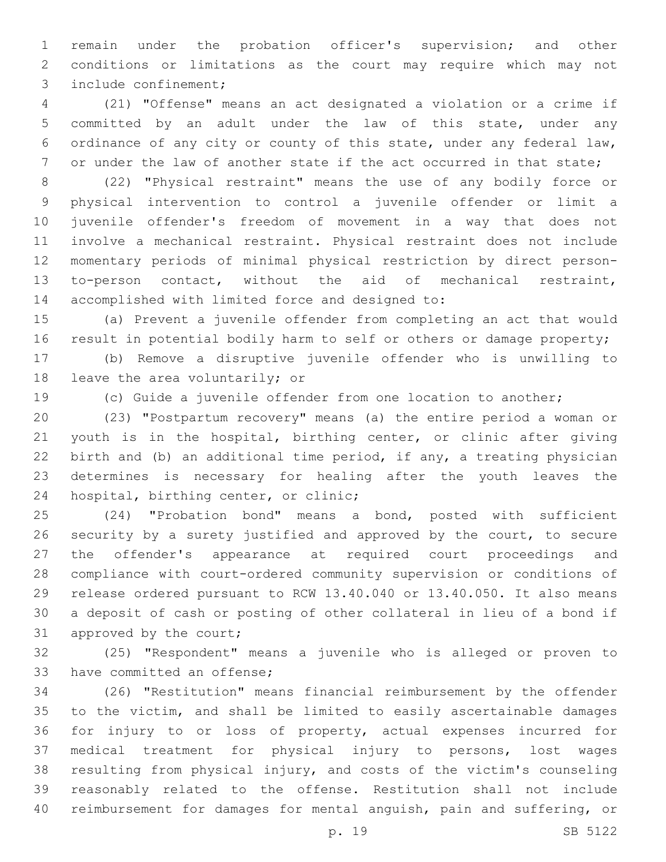remain under the probation officer's supervision; and other conditions or limitations as the court may require which may not 3 include confinement;

 (21) "Offense" means an act designated a violation or a crime if committed by an adult under the law of this state, under any ordinance of any city or county of this state, under any federal law, 7 or under the law of another state if the act occurred in that state;

 (22) "Physical restraint" means the use of any bodily force or physical intervention to control a juvenile offender or limit a juvenile offender's freedom of movement in a way that does not involve a mechanical restraint. Physical restraint does not include momentary periods of minimal physical restriction by direct person- to-person contact, without the aid of mechanical restraint, 14 accomplished with limited force and designed to:

 (a) Prevent a juvenile offender from completing an act that would 16 result in potential bodily harm to self or others or damage property;

 (b) Remove a disruptive juvenile offender who is unwilling to 18 leave the area voluntarily; or

(c) Guide a juvenile offender from one location to another;

 (23) "Postpartum recovery" means (a) the entire period a woman or youth is in the hospital, birthing center, or clinic after giving birth and (b) an additional time period, if any, a treating physician determines is necessary for healing after the youth leaves the 24 hospital, birthing center, or clinic;

 (24) "Probation bond" means a bond, posted with sufficient 26 security by a surety justified and approved by the court, to secure the offender's appearance at required court proceedings and compliance with court-ordered community supervision or conditions of release ordered pursuant to RCW 13.40.040 or 13.40.050. It also means a deposit of cash or posting of other collateral in lieu of a bond if 31 approved by the court;

 (25) "Respondent" means a juvenile who is alleged or proven to 33 have committed an offense;

 (26) "Restitution" means financial reimbursement by the offender to the victim, and shall be limited to easily ascertainable damages for injury to or loss of property, actual expenses incurred for medical treatment for physical injury to persons, lost wages resulting from physical injury, and costs of the victim's counseling reasonably related to the offense. Restitution shall not include reimbursement for damages for mental anguish, pain and suffering, or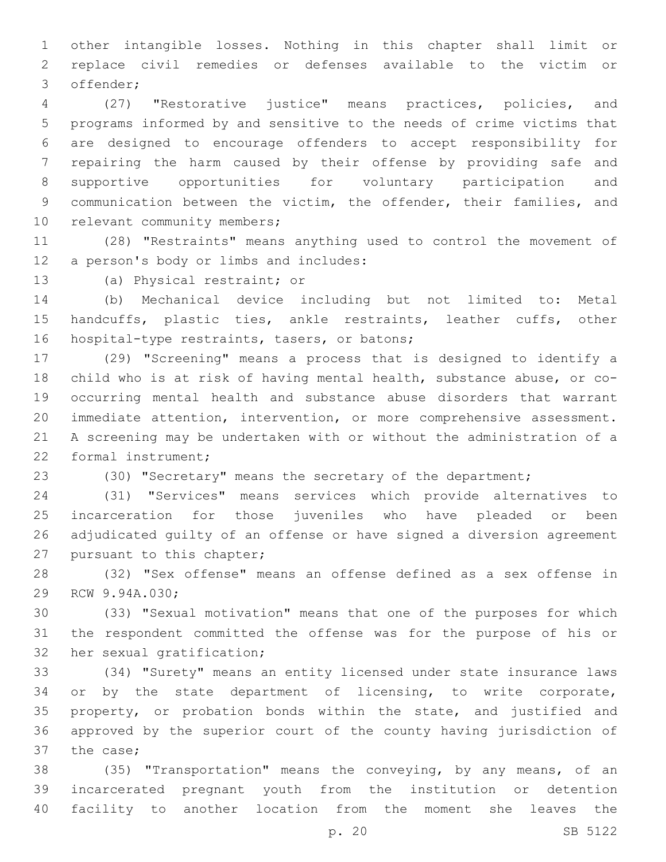other intangible losses. Nothing in this chapter shall limit or replace civil remedies or defenses available to the victim or offender;3

 (27) "Restorative justice" means practices, policies, and programs informed by and sensitive to the needs of crime victims that are designed to encourage offenders to accept responsibility for repairing the harm caused by their offense by providing safe and supportive opportunities for voluntary participation and communication between the victim, the offender, their families, and 10 relevant community members;

 (28) "Restraints" means anything used to control the movement of 12 a person's body or limbs and includes:

13 (a) Physical restraint; or

 (b) Mechanical device including but not limited to: Metal handcuffs, plastic ties, ankle restraints, leather cuffs, other 16 hospital-type restraints, tasers, or batons;

 (29) "Screening" means a process that is designed to identify a child who is at risk of having mental health, substance abuse, or co- occurring mental health and substance abuse disorders that warrant immediate attention, intervention, or more comprehensive assessment. A screening may be undertaken with or without the administration of a 22 formal instrument;

(30) "Secretary" means the secretary of the department;

 (31) "Services" means services which provide alternatives to incarceration for those juveniles who have pleaded or been adjudicated guilty of an offense or have signed a diversion agreement 27 pursuant to this chapter;

 (32) "Sex offense" means an offense defined as a sex offense in 29 RCW 9.94A.030;

 (33) "Sexual motivation" means that one of the purposes for which the respondent committed the offense was for the purpose of his or 32 her sexual gratification;

 (34) "Surety" means an entity licensed under state insurance laws or by the state department of licensing, to write corporate, property, or probation bonds within the state, and justified and approved by the superior court of the county having jurisdiction of 37 the case:

 (35) "Transportation" means the conveying, by any means, of an incarcerated pregnant youth from the institution or detention facility to another location from the moment she leaves the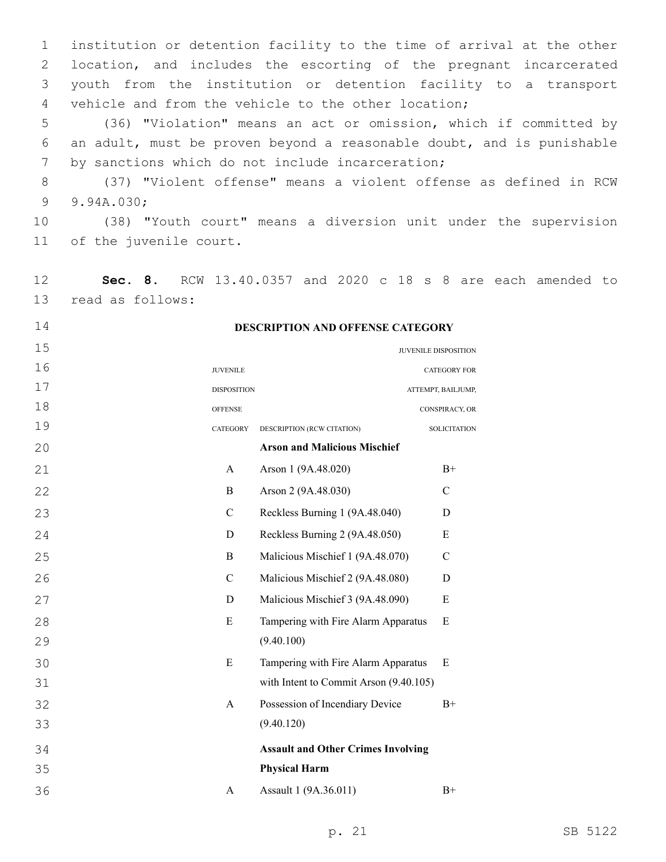institution or detention facility to the time of arrival at the other location, and includes the escorting of the pregnant incarcerated youth from the institution or detention facility to a transport vehicle and from the vehicle to the other location;

5 (36) "Violation" means an act or omission, which if committed by 6 an adult, must be proven beyond a reasonable doubt, and is punishable 7 by sanctions which do not include incarceration;

8 (37) "Violent offense" means a violent offense as defined in RCW 9.94A.030;

10 (38) "Youth court" means a diversion unit under the supervision 11 of the juvenile court.

12 **Sec. 8.** RCW 13.40.0357 and 2020 c 18 s 8 are each amended to 13 read as follows:

| 14 | <b>DESCRIPTION AND OFFENSE CATEGORY</b> |                                           |                      |  |  |
|----|-----------------------------------------|-------------------------------------------|----------------------|--|--|
| 15 |                                         |                                           | JUVENILE DISPOSITION |  |  |
| 16 | <b>JUVENILE</b>                         |                                           | <b>CATEGORY FOR</b>  |  |  |
| 17 | <b>DISPOSITION</b>                      |                                           | ATTEMPT, BAILJUMP,   |  |  |
| 18 | <b>OFFENSE</b>                          |                                           | CONSPIRACY, OR       |  |  |
| 19 | CATEGORY                                | DESCRIPTION (RCW CITATION)                | <b>SOLICITATION</b>  |  |  |
| 20 |                                         | <b>Arson and Malicious Mischief</b>       |                      |  |  |
| 21 | $\mathbf{A}$                            | Arson 1 (9A.48.020)                       | $B+$                 |  |  |
| 22 | B                                       | Arson 2 (9A.48.030)                       | $\mathcal{C}$        |  |  |
| 23 | $\mathcal{C}$                           | Reckless Burning 1 (9A.48.040)            | D                    |  |  |
| 24 | D                                       | Reckless Burning 2 (9A.48.050)            | E                    |  |  |
| 25 | B                                       | Malicious Mischief 1 (9A.48.070)          | $\mathcal{C}$        |  |  |
| 26 | $\mathbf C$                             | Malicious Mischief 2 (9A.48.080)          | D                    |  |  |
| 27 | D                                       | Malicious Mischief 3 (9A.48.090)          | Ε                    |  |  |
| 28 | E                                       | Tampering with Fire Alarm Apparatus       | Ε                    |  |  |
| 29 |                                         | (9.40.100)                                |                      |  |  |
| 30 | E                                       | Tampering with Fire Alarm Apparatus       | E                    |  |  |
| 31 |                                         | with Intent to Commit Arson (9.40.105)    |                      |  |  |
| 32 | $\mathsf{A}$                            | Possession of Incendiary Device           | $B+$                 |  |  |
| 33 |                                         | (9.40.120)                                |                      |  |  |
| 34 |                                         | <b>Assault and Other Crimes Involving</b> |                      |  |  |
| 35 |                                         | <b>Physical Harm</b>                      |                      |  |  |
| 36 | A                                       | Assault 1 (9A.36.011)                     | $B+$                 |  |  |
|    |                                         |                                           |                      |  |  |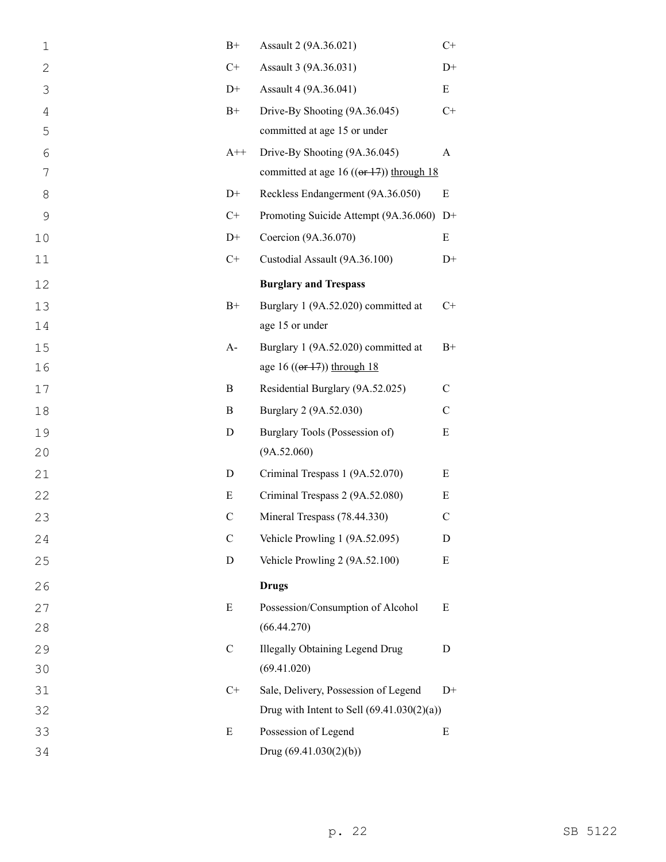| $\mathbf 1$    | $B+$          | Assault 2 (9A.36.021)                             | $C+$          |
|----------------|---------------|---------------------------------------------------|---------------|
| $\mathbf{2}$   | $C+$          | Assault 3 (9A.36.031)                             | $D+$          |
| 3              | $D+$          | Assault 4 (9A.36.041)                             | E             |
| $\overline{4}$ | $B+$          | Drive-By Shooting (9A.36.045)                     | $C+$          |
| 5              |               | committed at age 15 or under                      |               |
| 6              | $A++$         | Drive-By Shooting (9A.36.045)                     | A             |
| 7              |               | committed at age 16 (( $\sigma$ r 17)) through 18 |               |
| 8              | $D+$          | Reckless Endangerment (9A.36.050)                 | E             |
| $\mathcal{G}$  | $C+$          | Promoting Suicide Attempt (9A.36.060) D+          |               |
| 10             | $D+$          | Coercion (9A.36.070)                              | Ε             |
| 11             | $C+$          | Custodial Assault (9A.36.100)                     | $D+$          |
| 12             |               | <b>Burglary and Trespass</b>                      |               |
| 13             | $B+$          | Burglary 1 (9A.52.020) committed at               | $C+$          |
| 14             |               | age 15 or under                                   |               |
| 15             | $A-$          | Burglary 1 (9A.52.020) committed at               | $B+$          |
| 16             |               | age 16 $((or 17))$ through 18                     |               |
| 17             | $\, {\bf B}$  | Residential Burglary (9A.52.025)                  | $\mathbf C$   |
| 18             | B             | Burglary 2 (9A.52.030)                            | $\mathcal{C}$ |
| 19             | D             | Burglary Tools (Possession of)                    | Ε             |
| 20             |               | (9A.52.060)                                       |               |
| 21             | D             | Criminal Trespass 1 (9A.52.070)                   | E             |
| 22             | E             | Criminal Trespass 2 (9A.52.080)                   | Ε             |
| 23             | $\mathbf C$   | Mineral Trespass (78.44.330)                      | $\mathbf C$   |
| 24             | $\mathcal{C}$ | Vehicle Prowling 1 (9A.52.095)                    | D             |
| 25             | D             | Vehicle Prowling 2 (9A.52.100)                    | Ε             |
| 26             |               | <b>Drugs</b>                                      |               |
| 27             | E             | Possession/Consumption of Alcohol                 | E             |
| 28             |               | (66.44.270)                                       |               |
| 29             | $\mathcal{C}$ | <b>Illegally Obtaining Legend Drug</b>            | D             |
| 30             |               | (69.41.020)                                       |               |
| 31             | $C+$          | Sale, Delivery, Possession of Legend              | $D+$          |
| 32             |               | Drug with Intent to Sell $(69.41.030(2)(a))$      |               |
| 33             | E             | Possession of Legend                              | Ε             |
| 34             |               | Drug $(69.41.030(2)(b))$                          |               |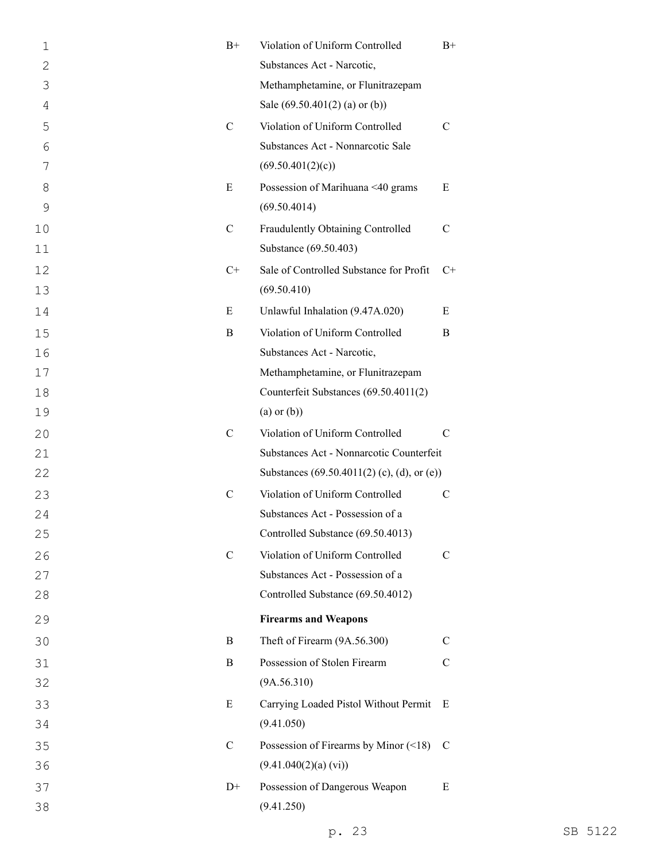| $\mathbf 1$  | $B+$          | Violation of Uniform Controlled             | $B+$          |
|--------------|---------------|---------------------------------------------|---------------|
| $\mathbf{2}$ |               | Substances Act - Narcotic,                  |               |
| 3            |               | Methamphetamine, or Flunitrazepam           |               |
| 4            |               | Sale $(69.50.401(2)$ (a) or (b))            |               |
| 5            | $\mathcal{C}$ | Violation of Uniform Controlled             | C             |
| 6            |               | Substances Act - Nonnarcotic Sale           |               |
| 7            |               | (69.50.401(2)(c))                           |               |
| 8            | E             | Possession of Marihuana <40 grams           | Ε             |
| 9            |               | (69.50.4014)                                |               |
| 10           | $\mathbf C$   | Fraudulently Obtaining Controlled           | $\mathbf C$   |
| 11           |               | Substance (69.50.403)                       |               |
| 12           | $C+$          | Sale of Controlled Substance for Profit     | $C+$          |
| 13           |               | (69.50.410)                                 |               |
| 14           | E             | Unlawful Inhalation (9.47A.020)             | Ε             |
| 15           | B             | Violation of Uniform Controlled             | B             |
| 16           |               | Substances Act - Narcotic,                  |               |
| 17           |               | Methamphetamine, or Flunitrazepam           |               |
| 18           |               | Counterfeit Substances (69.50.4011(2)       |               |
| 19           |               | $(a)$ or $(b)$ )                            |               |
| 20           | $\mathcal{C}$ | Violation of Uniform Controlled             | $\mathcal{C}$ |
| 21           |               | Substances Act - Nonnarcotic Counterfeit    |               |
| 22           |               | Substances (69.50.4011(2) (c), (d), or (e)) |               |
| 23           | $\mathbf C$   | Violation of Uniform Controlled             | $\mathcal{C}$ |
| 24           |               | Substances Act - Possession of a            |               |
| 25           |               | Controlled Substance (69.50.4013)           |               |
| 26           | $\mathsf{C}$  | Violation of Uniform Controlled             | $\mathbf C$   |
| 27           |               | Substances Act - Possession of a            |               |
| 28           |               | Controlled Substance (69.50.4012)           |               |
| 29           |               | <b>Firearms and Weapons</b>                 |               |
| 30           | В             | Theft of Firearm (9A.56.300)                | C             |
| 31           | B             | Possession of Stolen Firearm                | $\mathbf C$   |
| 32           |               | (9A.56.310)                                 |               |
| 33           | E             | Carrying Loaded Pistol Without Permit       | E             |
| 34           |               | (9.41.050)                                  |               |
| 35           | C             | Possession of Firearms by Minor $(\leq 18)$ | C             |
| 36           |               | (9.41.040(2)(a) (vi))                       |               |
| 37           | $D+$          | Possession of Dangerous Weapon              | Е             |
| 38           |               | (9.41.250)                                  |               |
|              |               |                                             |               |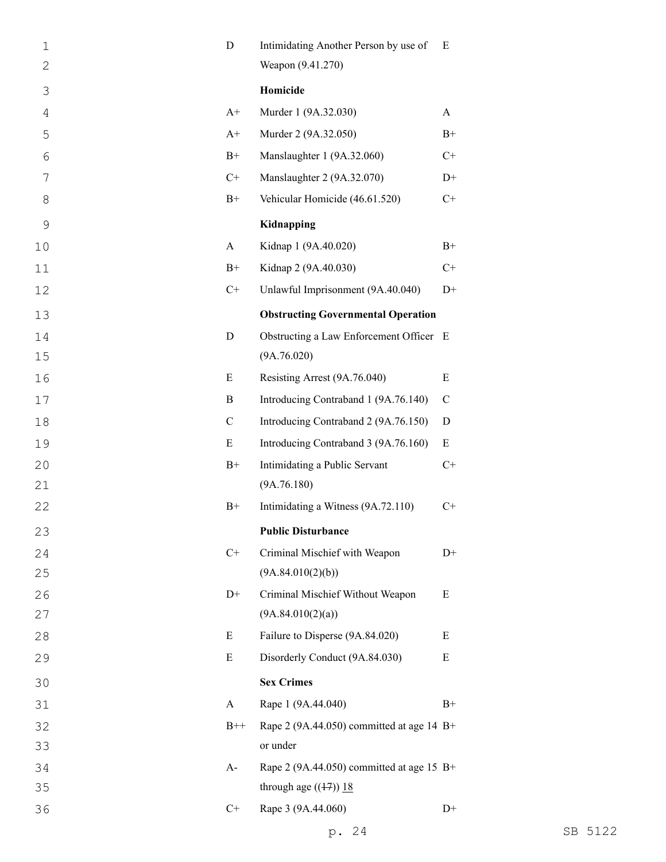| $\mathbf 1$<br>2 | $\mathbf D$  | Intimidating Another Person by use of<br>Weapon (9.41.270) | E            |
|------------------|--------------|------------------------------------------------------------|--------------|
| 3                |              | Homicide                                                   |              |
| 4                | $A+$         | Murder 1 (9A.32.030)                                       | $\mathbf{A}$ |
| 5                | $A+$         | Murder 2 (9A.32.050)                                       | $B+$         |
| 6                | $B+$         | Manslaughter 1 (9A.32.060)                                 | $C+$         |
| 7                | $C+$         | Manslaughter 2 (9A.32.070)                                 | $D+$         |
| 8                | $B+$         | Vehicular Homicide (46.61.520)                             | $C+$         |
| 9                |              | Kidnapping                                                 |              |
| 10               | $\mathbf{A}$ | Kidnap 1 (9A.40.020)                                       | $B+$         |
| 11               | $B+$         | Kidnap 2 (9A.40.030)                                       | $C+$         |
| 12               | $C+$         | Unlawful Imprisonment (9A.40.040)                          | $D+$         |
| 13               |              | <b>Obstructing Governmental Operation</b>                  |              |
| 14               | $\mathbf D$  | Obstructing a Law Enforcement Officer E                    |              |
| 15               |              | (9A.76.020)                                                |              |
| 16               | $\mathbf E$  | Resisting Arrest (9A.76.040)                               | $\mathbf E$  |
| 17               | $\bf{B}$     | Introducing Contraband 1 (9A.76.140)                       | ${\bf C}$    |
| 18               | ${\bf C}$    | Introducing Contraband 2 (9A.76.150)                       | $\mathbf D$  |
| 19               | $\mathbf E$  | Introducing Contraband 3 (9A.76.160)                       | E            |
| 20               | $B+$         | Intimidating a Public Servant                              | $C+$         |
| 21               |              | (9A.76.180)                                                |              |
| 22               | $B+$         | Intimidating a Witness (9A.72.110)                         | $C+$         |
| 23               |              | <b>Public Disturbance</b>                                  |              |
| 24               | $C+$         | Criminal Mischief with Weapon                              | $D+$         |
| 25               |              | (9A.84.010(2)(b))                                          |              |
| 26               | $D+$         | Criminal Mischief Without Weapon                           | $\mathbf E$  |
| 27               |              | (9A.84.010(2)(a))                                          |              |
| 28               | E            | Failure to Disperse (9A.84.020)                            | E            |
| 29               | E            | Disorderly Conduct (9A.84.030)                             | ${\bf E}$    |
| 30               |              | <b>Sex Crimes</b>                                          |              |
| 31               | $\mathbf{A}$ | Rape 1 (9A.44.040)                                         | $B+$         |
| 32               | $B++$        | Rape 2 (9A.44.050) committed at age 14 B+                  |              |
| 33               |              | or under                                                   |              |
| 34               | $A-$         | Rape 2 (9A.44.050) committed at age 15 B+                  |              |
| 35               |              | through age $((1.7))$ 18                                   |              |
| 36               | $C+$         | Rape 3 (9A.44.060)                                         | $D+$         |
|                  |              | p. 24                                                      | SB 5122      |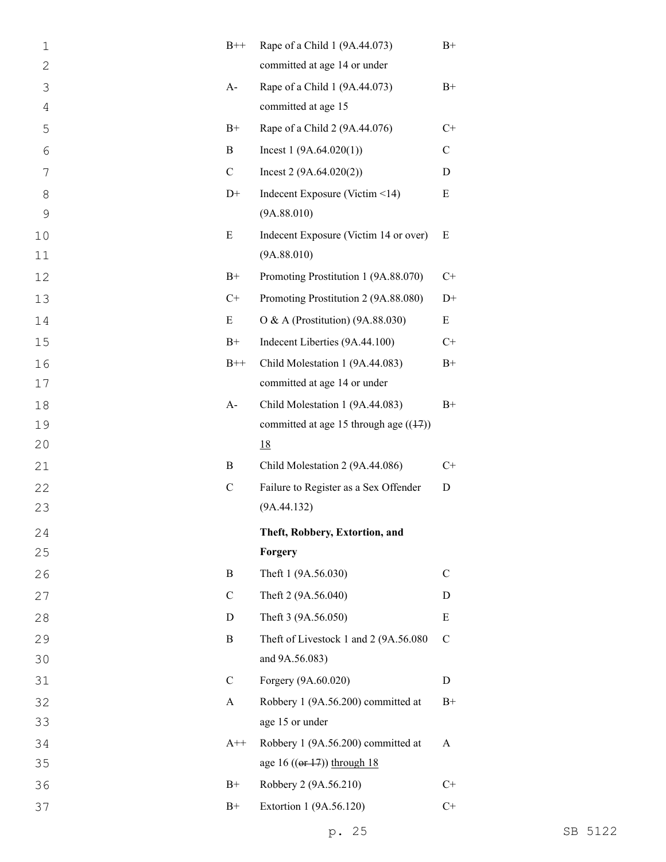| $\mathbf 1$    | $B++$         | Rape of a Child 1 (9A.44.073)            | $B+$          |
|----------------|---------------|------------------------------------------|---------------|
| 2              |               | committed at age 14 or under             |               |
| 3              | $A-$          | Rape of a Child 1 (9A.44.073)            | $B+$          |
| $\overline{4}$ |               | committed at age 15                      |               |
| 5              | $B+$          | Rape of a Child 2 (9A.44.076)            | $C+$          |
| 6              | B             | Incest $1(9A.64.020(1))$                 | $\mathcal{C}$ |
| 7              | $\mathcal{C}$ | Incest $2(9A.64.020(2))$                 | D             |
| 8              | $D+$          | Indecent Exposure (Victim <14)           | E             |
| 9              |               | (9A.88.010)                              |               |
| 10             | E             | Indecent Exposure (Victim 14 or over)    | E             |
| 11             |               | (9A.88.010)                              |               |
| 12             | $B+$          | Promoting Prostitution 1 (9A.88.070)     | $C+$          |
| 13             | $C+$          | Promoting Prostitution 2 (9A.88.080)     | $D+$          |
| 14             | E             | O & A (Prostitution) $(9A.88.030)$       | E             |
| 15             | $B+$          | Indecent Liberties (9A.44.100)           | $C+$          |
| 16             | $B++$         | Child Molestation 1 (9A.44.083)          | $B+$          |
| 17             |               | committed at age 14 or under             |               |
| 18             | $A-$          | Child Molestation 1 (9A.44.083)          | $B+$          |
| 19             |               | committed at age 15 through age $((17))$ |               |
|                |               |                                          |               |
| 20             |               | <u>18</u>                                |               |
| 21             | B             | Child Molestation 2 (9A.44.086)          | $C+$          |
| 22             | $\mathbf C$   | Failure to Register as a Sex Offender    | D             |
| 23             |               | (9A.44.132)                              |               |
| 24             |               | Theft, Robbery, Extortion, and           |               |
| 25             |               | Forgery                                  |               |
| 26             | B             | Theft 1 (9A.56.030)                      | $\mathcal{C}$ |
| 27             | $\mathbf C$   | Theft 2 (9A.56.040)                      | D             |
| 28             | D             | Theft 3 (9A.56.050)                      | ${\bf E}$     |
| 29             | $\bf{B}$      | Theft of Livestock 1 and 2 (9A.56.080    | $\mathcal{C}$ |
| 30             |               | and 9A.56.083)                           |               |
| 31             | $\mathbf C$   | Forgery (9A.60.020)                      | D             |
| 32             | A             | Robbery 1 (9A.56.200) committed at       | $B+$          |
| 33             |               | age 15 or under                          |               |
| 34             | $A++$         | Robbery 1 (9A.56.200) committed at       | A             |
| 35             |               | age 16 $((or 17))$ through 18            |               |
| 36             | $B+$          | Robbery 2 (9A.56.210)                    | $C+$          |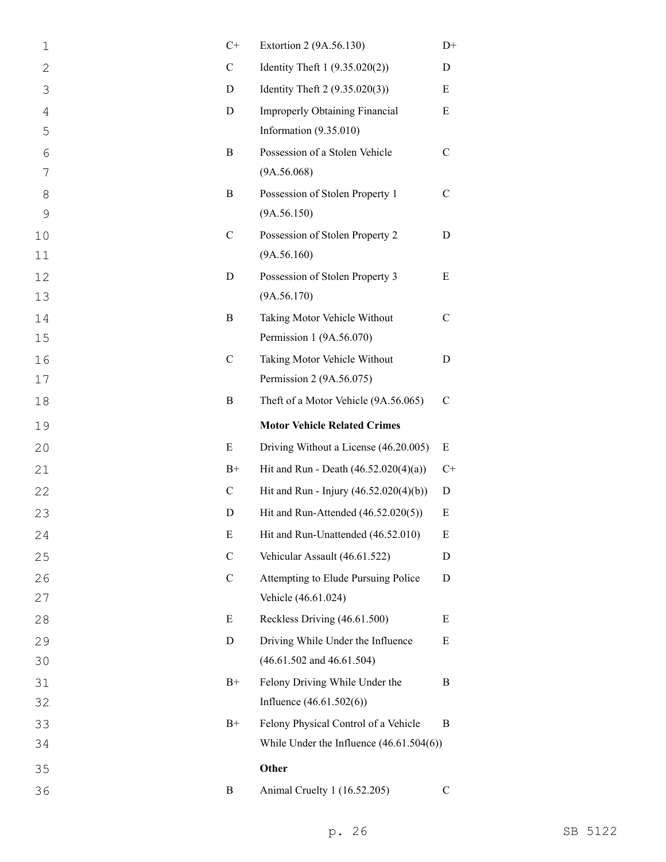| $\mathbf 1$ | $C+$          | Extortion 2 (9A.56.130)                    | $D+$             |
|-------------|---------------|--------------------------------------------|------------------|
| $\mathbf 2$ | $\mathbf C$   | Identity Theft 1 (9.35.020(2))             | D                |
| 3           | D             | Identity Theft 2 (9.35.020(3))             | E                |
| $\sqrt{4}$  | D             | <b>Improperly Obtaining Financial</b>      | Ε                |
| 5           |               | Information $(9.35.010)$                   |                  |
| 6           | B             | Possession of a Stolen Vehicle             | $\mathcal{C}$    |
| 7           |               | (9A.56.068)                                |                  |
| 8           | B             | Possession of Stolen Property 1            | $\mathcal{C}$    |
| 9           |               | (9A.56.150)                                |                  |
| 10          | $\mathcal{C}$ | Possession of Stolen Property 2            | D                |
| 11          |               | (9A.56.160)                                |                  |
| 12          | D             | Possession of Stolen Property 3            | E                |
| 13          |               | (9A.56.170)                                |                  |
| 14          | B             | Taking Motor Vehicle Without               | $\mathcal{C}$    |
| 15          |               | Permission 1 (9A.56.070)                   |                  |
| 16          | $\mathbf C$   | Taking Motor Vehicle Without               | D                |
| 17          |               | Permission 2 (9A.56.075)                   |                  |
| 18          | $\mathbf B$   | Theft of a Motor Vehicle (9A.56.065)       | $\mathcal{C}$    |
|             |               |                                            |                  |
| 19          |               | <b>Motor Vehicle Related Crimes</b>        |                  |
| 20          | E             | Driving Without a License (46.20.005)      | E                |
| 21          | $B+$          | Hit and Run - Death $(46.52.020(4)(a))$    | $\mathrm{C}^{+}$ |
| 22          | $\mathcal{C}$ | Hit and Run - Injury $(46.52.020(4)(b))$   | D                |
| 23          | D             | Hit and Run-Attended (46.52.020(5))        | Ε                |
| 24          | E             | Hit and Run-Unattended (46.52.010)         | Ε                |
| 25          | $\mathcal{C}$ | Vehicular Assault (46.61.522)              | D                |
| 26          | $\mathbf C$   | Attempting to Elude Pursuing Police        | D                |
| 27          |               | Vehicle (46.61.024)                        |                  |
| 28          | E             | Reckless Driving (46.61.500)               | Ε                |
| 29          | D             | Driving While Under the Influence          | Ε                |
| 30          |               | $(46.61.502$ and $46.61.504)$              |                  |
| 31          | $B+$          | Felony Driving While Under the             | B                |
| 32          |               | Influence $(46.61.502(6))$                 |                  |
| 33          | $B+$          | Felony Physical Control of a Vehicle       | B                |
| 34          |               | While Under the Influence $(46.61.504(6))$ |                  |
| 35          |               | Other                                      |                  |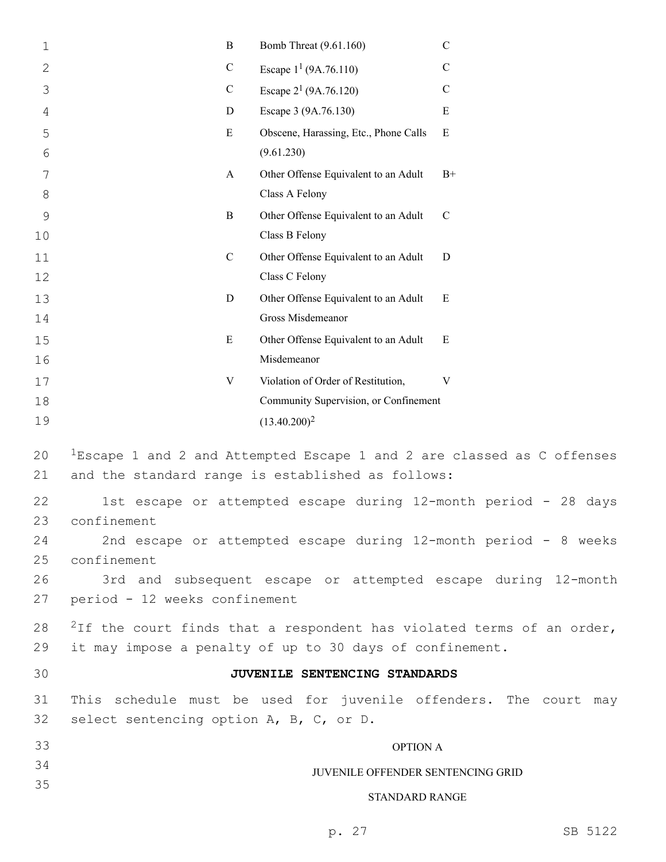| $\mathbf{2}$<br>$\mathbf C$<br>$\mathsf{C}$<br>Escape $1^1$ (9A.76.110)<br>3<br>Escape $2^1$ (9A.76.120)<br>$\mathbf C$<br>$\mathsf{C}$<br>Escape 3 (9A.76.130)<br>E<br>D<br>4<br>Obscene, Harassing, Etc., Phone Calls<br>E<br>E<br>5<br>(9.61.230)<br>6<br>Other Offense Equivalent to an Adult<br>7<br>$B+$<br>A<br>Class A Felony<br>8<br>Other Offense Equivalent to an Adult<br>$\mathsf 9$<br>$\mathcal{C}$<br>B<br>Class B Felony<br>10<br>Other Offense Equivalent to an Adult<br>$\mathbf C$<br>D<br>11<br>Class C Felony<br>12<br>Other Offense Equivalent to an Adult<br>E<br>13<br>D<br>Gross Misdemeanor<br>14<br>E<br>Other Offense Equivalent to an Adult<br>E<br>15<br>Misdemeanor<br>16<br>Violation of Order of Restitution,<br>V<br>V<br>17<br>Community Supervision, or Confinement<br>18<br>19<br>$(13.40.200)^2$<br>$1_{\text{Escape}}$ 1 and 2 and Attempted Escape 1 and 2 are classed as C offenses<br>20<br>21<br>and the standard range is established as follows:<br>1st escape or attempted escape during 12-month period - 28 days<br>22<br>23<br>confinement<br>24<br>2nd escape or attempted escape during 12-month period - 8 weeks<br>25<br>confinement<br>3rd and subsequent escape or attempted escape during 12-month<br>26<br>period - 12 weeks confinement<br>27<br>28<br>$^{2}$ If the court finds that a respondent has violated terms of an order,<br>29<br>it may impose a penalty of up to 30 days of confinement.<br>30<br>JUVENILE SENTENCING STANDARDS<br>31<br>This schedule must be used for juvenile offenders. The court may<br>32<br>select sentencing option A, B, C, or D.<br>33<br><b>OPTION A</b><br>34 | 1 | $\bf{B}$ | Bomb Threat (9.61.160) | $\mathbf C$ |
|------------------------------------------------------------------------------------------------------------------------------------------------------------------------------------------------------------------------------------------------------------------------------------------------------------------------------------------------------------------------------------------------------------------------------------------------------------------------------------------------------------------------------------------------------------------------------------------------------------------------------------------------------------------------------------------------------------------------------------------------------------------------------------------------------------------------------------------------------------------------------------------------------------------------------------------------------------------------------------------------------------------------------------------------------------------------------------------------------------------------------------------------------------------------------------------------------------------------------------------------------------------------------------------------------------------------------------------------------------------------------------------------------------------------------------------------------------------------------------------------------------------------------------------------------------------------------------------------------------------------------------------------------------------|---|----------|------------------------|-------------|
|                                                                                                                                                                                                                                                                                                                                                                                                                                                                                                                                                                                                                                                                                                                                                                                                                                                                                                                                                                                                                                                                                                                                                                                                                                                                                                                                                                                                                                                                                                                                                                                                                                                                  |   |          |                        |             |
|                                                                                                                                                                                                                                                                                                                                                                                                                                                                                                                                                                                                                                                                                                                                                                                                                                                                                                                                                                                                                                                                                                                                                                                                                                                                                                                                                                                                                                                                                                                                                                                                                                                                  |   |          |                        |             |
|                                                                                                                                                                                                                                                                                                                                                                                                                                                                                                                                                                                                                                                                                                                                                                                                                                                                                                                                                                                                                                                                                                                                                                                                                                                                                                                                                                                                                                                                                                                                                                                                                                                                  |   |          |                        |             |
|                                                                                                                                                                                                                                                                                                                                                                                                                                                                                                                                                                                                                                                                                                                                                                                                                                                                                                                                                                                                                                                                                                                                                                                                                                                                                                                                                                                                                                                                                                                                                                                                                                                                  |   |          |                        |             |
|                                                                                                                                                                                                                                                                                                                                                                                                                                                                                                                                                                                                                                                                                                                                                                                                                                                                                                                                                                                                                                                                                                                                                                                                                                                                                                                                                                                                                                                                                                                                                                                                                                                                  |   |          |                        |             |
|                                                                                                                                                                                                                                                                                                                                                                                                                                                                                                                                                                                                                                                                                                                                                                                                                                                                                                                                                                                                                                                                                                                                                                                                                                                                                                                                                                                                                                                                                                                                                                                                                                                                  |   |          |                        |             |
|                                                                                                                                                                                                                                                                                                                                                                                                                                                                                                                                                                                                                                                                                                                                                                                                                                                                                                                                                                                                                                                                                                                                                                                                                                                                                                                                                                                                                                                                                                                                                                                                                                                                  |   |          |                        |             |
|                                                                                                                                                                                                                                                                                                                                                                                                                                                                                                                                                                                                                                                                                                                                                                                                                                                                                                                                                                                                                                                                                                                                                                                                                                                                                                                                                                                                                                                                                                                                                                                                                                                                  |   |          |                        |             |
|                                                                                                                                                                                                                                                                                                                                                                                                                                                                                                                                                                                                                                                                                                                                                                                                                                                                                                                                                                                                                                                                                                                                                                                                                                                                                                                                                                                                                                                                                                                                                                                                                                                                  |   |          |                        |             |
|                                                                                                                                                                                                                                                                                                                                                                                                                                                                                                                                                                                                                                                                                                                                                                                                                                                                                                                                                                                                                                                                                                                                                                                                                                                                                                                                                                                                                                                                                                                                                                                                                                                                  |   |          |                        |             |
|                                                                                                                                                                                                                                                                                                                                                                                                                                                                                                                                                                                                                                                                                                                                                                                                                                                                                                                                                                                                                                                                                                                                                                                                                                                                                                                                                                                                                                                                                                                                                                                                                                                                  |   |          |                        |             |
|                                                                                                                                                                                                                                                                                                                                                                                                                                                                                                                                                                                                                                                                                                                                                                                                                                                                                                                                                                                                                                                                                                                                                                                                                                                                                                                                                                                                                                                                                                                                                                                                                                                                  |   |          |                        |             |
|                                                                                                                                                                                                                                                                                                                                                                                                                                                                                                                                                                                                                                                                                                                                                                                                                                                                                                                                                                                                                                                                                                                                                                                                                                                                                                                                                                                                                                                                                                                                                                                                                                                                  |   |          |                        |             |
|                                                                                                                                                                                                                                                                                                                                                                                                                                                                                                                                                                                                                                                                                                                                                                                                                                                                                                                                                                                                                                                                                                                                                                                                                                                                                                                                                                                                                                                                                                                                                                                                                                                                  |   |          |                        |             |
|                                                                                                                                                                                                                                                                                                                                                                                                                                                                                                                                                                                                                                                                                                                                                                                                                                                                                                                                                                                                                                                                                                                                                                                                                                                                                                                                                                                                                                                                                                                                                                                                                                                                  |   |          |                        |             |
|                                                                                                                                                                                                                                                                                                                                                                                                                                                                                                                                                                                                                                                                                                                                                                                                                                                                                                                                                                                                                                                                                                                                                                                                                                                                                                                                                                                                                                                                                                                                                                                                                                                                  |   |          |                        |             |
|                                                                                                                                                                                                                                                                                                                                                                                                                                                                                                                                                                                                                                                                                                                                                                                                                                                                                                                                                                                                                                                                                                                                                                                                                                                                                                                                                                                                                                                                                                                                                                                                                                                                  |   |          |                        |             |
|                                                                                                                                                                                                                                                                                                                                                                                                                                                                                                                                                                                                                                                                                                                                                                                                                                                                                                                                                                                                                                                                                                                                                                                                                                                                                                                                                                                                                                                                                                                                                                                                                                                                  |   |          |                        |             |
|                                                                                                                                                                                                                                                                                                                                                                                                                                                                                                                                                                                                                                                                                                                                                                                                                                                                                                                                                                                                                                                                                                                                                                                                                                                                                                                                                                                                                                                                                                                                                                                                                                                                  |   |          |                        |             |
|                                                                                                                                                                                                                                                                                                                                                                                                                                                                                                                                                                                                                                                                                                                                                                                                                                                                                                                                                                                                                                                                                                                                                                                                                                                                                                                                                                                                                                                                                                                                                                                                                                                                  |   |          |                        |             |
|                                                                                                                                                                                                                                                                                                                                                                                                                                                                                                                                                                                                                                                                                                                                                                                                                                                                                                                                                                                                                                                                                                                                                                                                                                                                                                                                                                                                                                                                                                                                                                                                                                                                  |   |          |                        |             |
|                                                                                                                                                                                                                                                                                                                                                                                                                                                                                                                                                                                                                                                                                                                                                                                                                                                                                                                                                                                                                                                                                                                                                                                                                                                                                                                                                                                                                                                                                                                                                                                                                                                                  |   |          |                        |             |
|                                                                                                                                                                                                                                                                                                                                                                                                                                                                                                                                                                                                                                                                                                                                                                                                                                                                                                                                                                                                                                                                                                                                                                                                                                                                                                                                                                                                                                                                                                                                                                                                                                                                  |   |          |                        |             |
|                                                                                                                                                                                                                                                                                                                                                                                                                                                                                                                                                                                                                                                                                                                                                                                                                                                                                                                                                                                                                                                                                                                                                                                                                                                                                                                                                                                                                                                                                                                                                                                                                                                                  |   |          |                        |             |
|                                                                                                                                                                                                                                                                                                                                                                                                                                                                                                                                                                                                                                                                                                                                                                                                                                                                                                                                                                                                                                                                                                                                                                                                                                                                                                                                                                                                                                                                                                                                                                                                                                                                  |   |          |                        |             |
|                                                                                                                                                                                                                                                                                                                                                                                                                                                                                                                                                                                                                                                                                                                                                                                                                                                                                                                                                                                                                                                                                                                                                                                                                                                                                                                                                                                                                                                                                                                                                                                                                                                                  |   |          |                        |             |
|                                                                                                                                                                                                                                                                                                                                                                                                                                                                                                                                                                                                                                                                                                                                                                                                                                                                                                                                                                                                                                                                                                                                                                                                                                                                                                                                                                                                                                                                                                                                                                                                                                                                  |   |          |                        |             |
|                                                                                                                                                                                                                                                                                                                                                                                                                                                                                                                                                                                                                                                                                                                                                                                                                                                                                                                                                                                                                                                                                                                                                                                                                                                                                                                                                                                                                                                                                                                                                                                                                                                                  |   |          |                        |             |
|                                                                                                                                                                                                                                                                                                                                                                                                                                                                                                                                                                                                                                                                                                                                                                                                                                                                                                                                                                                                                                                                                                                                                                                                                                                                                                                                                                                                                                                                                                                                                                                                                                                                  |   |          |                        |             |
|                                                                                                                                                                                                                                                                                                                                                                                                                                                                                                                                                                                                                                                                                                                                                                                                                                                                                                                                                                                                                                                                                                                                                                                                                                                                                                                                                                                                                                                                                                                                                                                                                                                                  |   |          |                        |             |
|                                                                                                                                                                                                                                                                                                                                                                                                                                                                                                                                                                                                                                                                                                                                                                                                                                                                                                                                                                                                                                                                                                                                                                                                                                                                                                                                                                                                                                                                                                                                                                                                                                                                  |   |          |                        |             |
| JUVENILE OFFENDER SENTENCING GRID                                                                                                                                                                                                                                                                                                                                                                                                                                                                                                                                                                                                                                                                                                                                                                                                                                                                                                                                                                                                                                                                                                                                                                                                                                                                                                                                                                                                                                                                                                                                                                                                                                |   |          |                        |             |
| 35<br>STANDARD RANGE                                                                                                                                                                                                                                                                                                                                                                                                                                                                                                                                                                                                                                                                                                                                                                                                                                                                                                                                                                                                                                                                                                                                                                                                                                                                                                                                                                                                                                                                                                                                                                                                                                             |   |          |                        |             |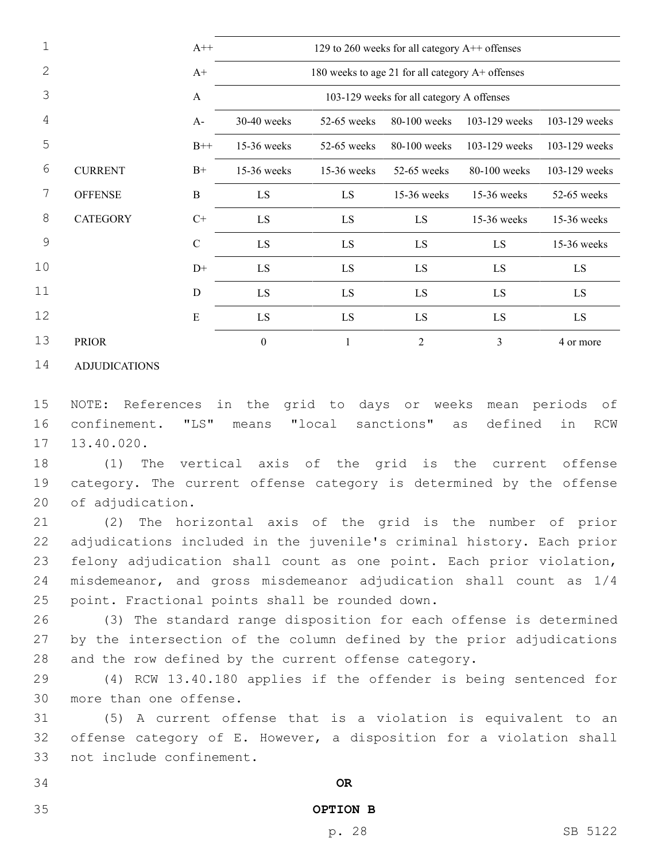| 1  |                 | $A++$         |                                                  | 129 to 260 weeks for all category A++ offenses |               |               |               |  |  |  |  |  |
|----|-----------------|---------------|--------------------------------------------------|------------------------------------------------|---------------|---------------|---------------|--|--|--|--|--|
| 2  |                 | $A+$          | 180 weeks to age 21 for all category A+ offenses |                                                |               |               |               |  |  |  |  |  |
| 3  |                 | $\mathbf{A}$  |                                                  | 103-129 weeks for all category A offenses      |               |               |               |  |  |  |  |  |
| 4  |                 | $A-$          | 30-40 weeks                                      | $52-65$ weeks                                  | 80-100 weeks  | 103-129 weeks | 103-129 weeks |  |  |  |  |  |
| 5  |                 | $B++$         | 15-36 weeks                                      | 52-65 weeks                                    | 80-100 weeks  | 103-129 weeks | 103-129 weeks |  |  |  |  |  |
| 6  | <b>CURRENT</b>  | $B+$          | 15-36 weeks                                      | 15-36 weeks                                    | $52-65$ weeks | 80-100 weeks  | 103-129 weeks |  |  |  |  |  |
| 7  | <b>OFFENSE</b>  | $\bf{B}$      | LS                                               | LS                                             | 15-36 weeks   | 15-36 weeks   | 52-65 weeks   |  |  |  |  |  |
| 8  | <b>CATEGORY</b> | $C+$          | LS                                               | LS                                             | LS            | 15-36 weeks   | 15-36 weeks   |  |  |  |  |  |
| 9  |                 | $\mathcal{C}$ | LS.                                              | LS                                             | LS            | LS.           | 15-36 weeks   |  |  |  |  |  |
| 10 |                 | $D+$          | LS                                               | LS                                             | LS            | LS.           | LS            |  |  |  |  |  |
| 11 |                 | D             | LS                                               | LS                                             | LS            | LS.           | LS            |  |  |  |  |  |
| 12 |                 | Ε             | LS                                               | LS                                             | LS            | LS.           | LS            |  |  |  |  |  |
| 13 | <b>PRIOR</b>    |               | $\theta$                                         |                                                | 2             | 3             | 4 or more     |  |  |  |  |  |

ADJUDICATIONS

 NOTE: References in the grid to days or weeks mean periods of confinement. "LS" means "local sanctions" as defined in RCW 13.40.020.

 (1) The vertical axis of the grid is the current offense category. The current offense category is determined by the offense 20 of adjudication.

 (2) The horizontal axis of the grid is the number of prior adjudications included in the juvenile's criminal history. Each prior felony adjudication shall count as one point. Each prior violation, misdemeanor, and gross misdemeanor adjudication shall count as 1/4 25 point. Fractional points shall be rounded down.

 (3) The standard range disposition for each offense is determined by the intersection of the column defined by the prior adjudications 28 and the row defined by the current offense category.

 (4) RCW 13.40.180 applies if the offender is being sentenced for 30 more than one offense.

 (5) A current offense that is a violation is equivalent to an offense category of E. However, a disposition for a violation shall 33 not include confinement.

**OR**

## **OPTION B**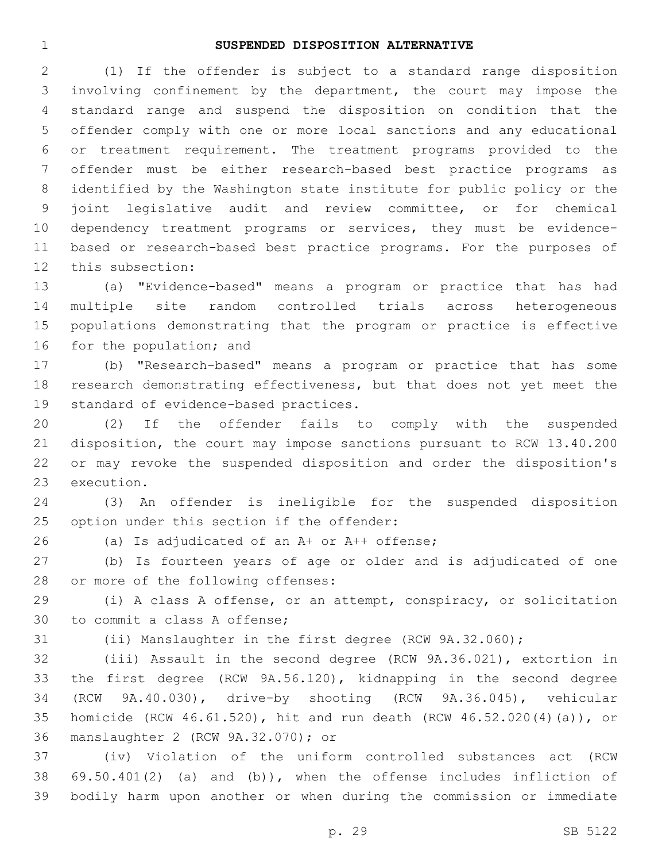## **SUSPENDED DISPOSITION ALTERNATIVE**

 (1) If the offender is subject to a standard range disposition involving confinement by the department, the court may impose the standard range and suspend the disposition on condition that the offender comply with one or more local sanctions and any educational or treatment requirement. The treatment programs provided to the offender must be either research-based best practice programs as identified by the Washington state institute for public policy or the joint legislative audit and review committee, or for chemical dependency treatment programs or services, they must be evidence- based or research-based best practice programs. For the purposes of 12 this subsection:

 (a) "Evidence-based" means a program or practice that has had multiple site random controlled trials across heterogeneous populations demonstrating that the program or practice is effective 16 for the population; and

 (b) "Research-based" means a program or practice that has some research demonstrating effectiveness, but that does not yet meet the 19 standard of evidence-based practices.

 (2) If the offender fails to comply with the suspended disposition, the court may impose sanctions pursuant to RCW 13.40.200 or may revoke the suspended disposition and order the disposition's 23 execution.

 (3) An offender is ineligible for the suspended disposition 25 option under this section if the offender:

26 (a) Is adjudicated of an A+ or A++ offense;

 (b) Is fourteen years of age or older and is adjudicated of one 28 or more of the following offenses:

 (i) A class A offense, or an attempt, conspiracy, or solicitation 30 to commit a class A offense:

(ii) Manslaughter in the first degree (RCW 9A.32.060);

 (iii) Assault in the second degree (RCW 9A.36.021), extortion in the first degree (RCW 9A.56.120), kidnapping in the second degree (RCW 9A.40.030), drive-by shooting (RCW 9A.36.045), vehicular homicide (RCW 46.61.520), hit and run death (RCW 46.52.020(4)(a)), or manslaughter 2 (RCW 9A.32.070); or36

 (iv) Violation of the uniform controlled substances act (RCW 69.50.401(2) (a) and (b)), when the offense includes infliction of bodily harm upon another or when during the commission or immediate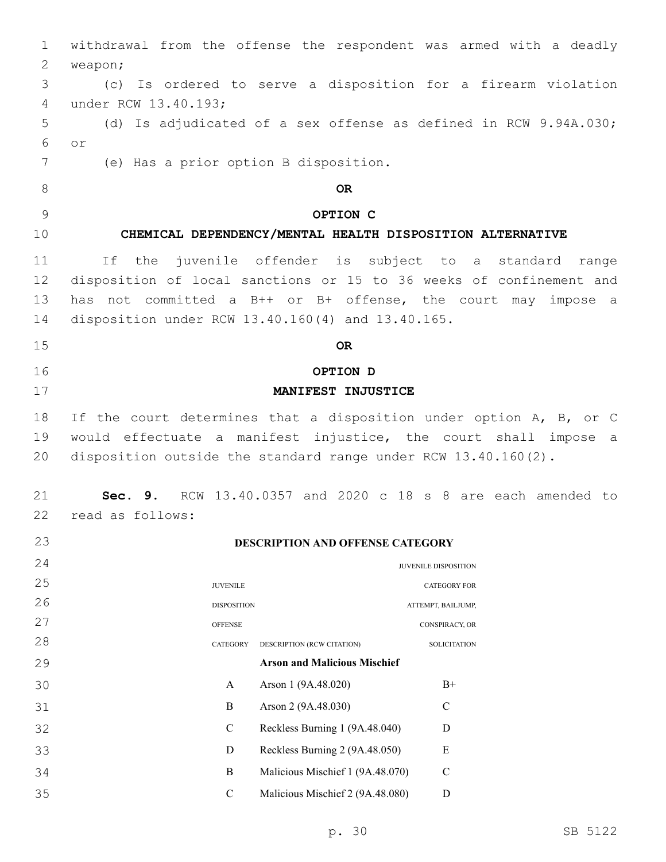| $\mathbf 1$    | withdrawal from the offense the respondent was armed with a deadly  |
|----------------|---------------------------------------------------------------------|
| 2              | weapon;                                                             |
| 3              | (c) Is ordered to serve a disposition for a firearm violation       |
| 4              | under RCW 13.40.193;                                                |
| 5              | (d) Is adjudicated of a sex offense as defined in RCW 9.94A.030;    |
| 6              | or.                                                                 |
| 7              | (e) Has a prior option B disposition.                               |
| 8              | <b>OR</b>                                                           |
| $\overline{9}$ | OPTION C                                                            |
| 10             | CHEMICAL DEPENDENCY/MENTAL HEALTH DISPOSITION ALTERNATIVE           |
| 11             | If the<br>juvenile offender is subject to a standard<br>range       |
| 12             | disposition of local sanctions or 15 to 36 weeks of confinement and |
| 13             | has not committed a B++ or B+ offense, the court may impose a       |
| 14             | disposition under RCW 13.40.160(4) and 13.40.165.                   |
| 15             | <b>OR</b>                                                           |
| 16             | OPTION D                                                            |
| 17             | MANIFEST INJUSTICE                                                  |
| 18             | If the court determines that a disposition under option A, B, or C  |
| 19             | would effectuate a manifest injustice, the court shall impose a     |
| 20             | disposition outside the standard range under RCW 13.40.160(2).      |
|                |                                                                     |
| 21             | Sec. 9. RCW 13.40.0357 and 2020 c 18 s 8 are each amended to        |
| 22             | read as follows:                                                    |
| 23             | DESCRIPTION AND OFFENSE CATEGORY                                    |
| 24             | <b>JUVENILE DISPOSITION</b>                                         |
| 25             | <b>JUVENILE</b><br><b>CATEGORY FOR</b>                              |
| 26             | <b>DISPOSITION</b><br>ATTEMPT, BAILJUMP,                            |
| 27             | <b>OFFENSE</b><br>CONSPIRACY, OR                                    |
| 28             | DESCRIPTION (RCW CITATION)<br>CATEGORY<br><b>SOLICITATION</b>       |
| 29             | <b>Arson and Malicious Mischief</b>                                 |
| 30             | Arson 1 (9A.48.020)<br>$B+$<br>A                                    |
| 31             | Arson 2 (9A.48.030)<br>$\mathcal{C}$<br>B                           |
| 32             | $\mathbf C$<br>Reckless Burning 1 (9A.48.040)<br>D                  |
| 33             | Reckless Burning 2 (9A.48.050)<br>Ε<br>D                            |
| 34             | Malicious Mischief 1 (9A.48.070)<br>$\mathcal{C}$<br>B              |
| 35             | Malicious Mischief 2 (9A.48.080)<br>$\mathbf D$<br>$\mathcal{C}$    |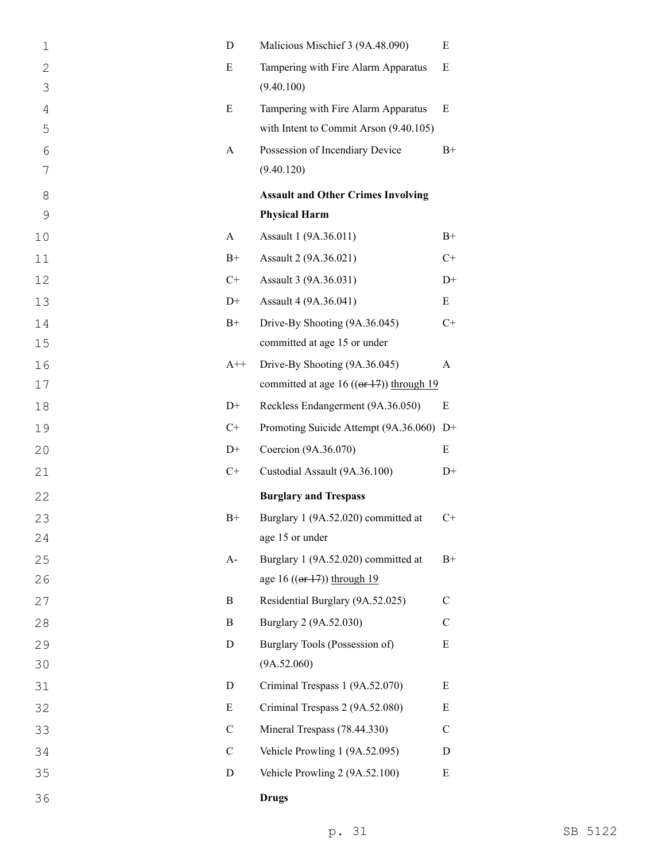| $\mathbf 1$  | D           | Malicious Mischief 3 (9A.48.090)           | Ε            |
|--------------|-------------|--------------------------------------------|--------------|
| $\mathbf{2}$ | E           | Tampering with Fire Alarm Apparatus        | ${\bf E}$    |
| 3            |             | (9.40.100)                                 |              |
| $\sqrt{4}$   | E           | Tampering with Fire Alarm Apparatus        | E            |
| 5            |             | with Intent to Commit Arson (9.40.105)     |              |
| 6            | A           | Possession of Incendiary Device            | $B+$         |
| 7            |             | (9.40.120)                                 |              |
| 8            |             | <b>Assault and Other Crimes Involving</b>  |              |
| 9            |             | <b>Physical Harm</b>                       |              |
| 10           | A           | Assault 1 (9A.36.011)                      | $B+$         |
| 11           | $B+$        | Assault 2 (9A.36.021)                      | $C+$         |
| 12           | $C+$        | Assault 3 (9A.36.031)                      | $D+$         |
| 13           | $D+$        | Assault 4 (9A.36.041)                      | Ε            |
| 14           | $B+$        | Drive-By Shooting (9A.36.045)              | $C+$         |
| 15           |             | committed at age 15 or under               |              |
| 16           | $A++$       | Drive-By Shooting (9A.36.045)              | $\mathsf{A}$ |
| 17           |             | committed at age 16 $((or 17))$ through 19 |              |
| 18           | $D+$        | Reckless Endangerment (9A.36.050)          | ${\bf E}$    |
| 19           | $C+$        | Promoting Suicide Attempt (9A.36.060) D+   |              |
| 20           | $D+$        | Coercion (9A.36.070)                       | E            |
| 21           | $C+$        | Custodial Assault (9A.36.100)              | $D+$         |
| 22           |             | <b>Burglary and Trespass</b>               |              |
| 23           | $B+$        | Burglary 1 (9A.52.020) committed at        | $C+$         |
| 24           |             | age 15 or under                            |              |
| 25           | $A-$        | Burglary 1 (9A.52.020) committed at        | $B+$         |
| 26           |             | age 16 $((or 17))$ through 19              |              |
| 27           | B           | Residential Burglary (9A.52.025)           | $\mathbf C$  |
| 28           | B           | Burglary 2 (9A.52.030)                     | $\mathbf C$  |
| 29           | D           | Burglary Tools (Possession of)             | ${\bf E}$    |
| 30           |             | (9A.52.060)                                |              |
| 31           | D           | Criminal Trespass 1 (9A.52.070)            | E            |
| 32           | E           | Criminal Trespass 2 (9A.52.080)            | Ε            |
| 33           | $\mathbf C$ | Mineral Trespass (78.44.330)               | $\mathbf C$  |
| 34           | $\mathbf C$ | Vehicle Prowling 1 (9A.52.095)             | D            |
| 35           | D           | Vehicle Prowling 2 (9A.52.100)             | ${\bf E}$    |
| 36           |             | <b>Drugs</b>                               |              |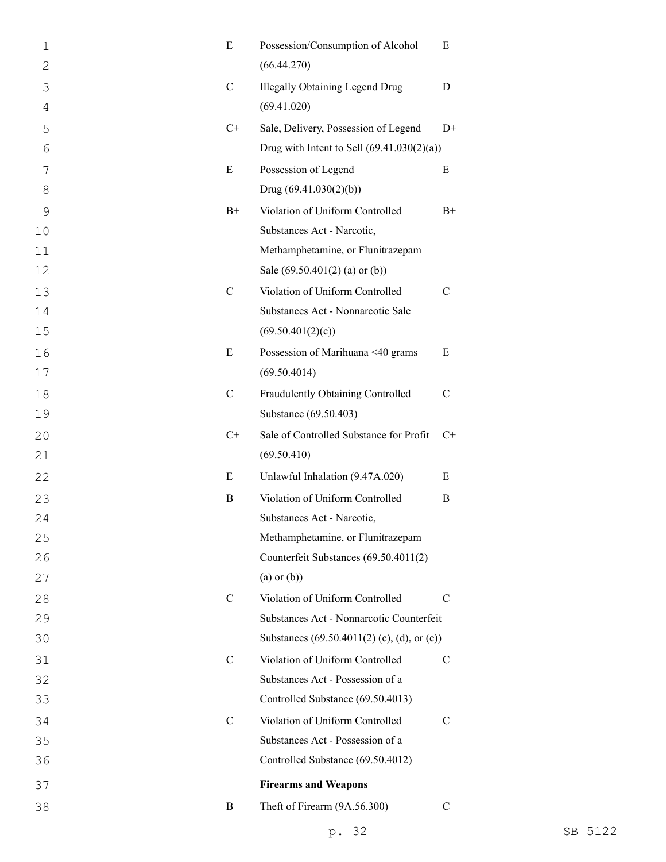| $\mathbf 1$    | E             | Possession/Consumption of Alcohol            | E             |
|----------------|---------------|----------------------------------------------|---------------|
| $\overline{2}$ |               | (66.44.270)                                  |               |
| 3              | $\mathcal{C}$ | <b>Illegally Obtaining Legend Drug</b>       | D             |
| 4              |               | (69.41.020)                                  |               |
| 5              | $C+$          | Sale, Delivery, Possession of Legend         | $D+$          |
| 6              |               | Drug with Intent to Sell $(69.41.030(2)(a))$ |               |
| 7              | E             | Possession of Legend                         | E             |
| 8              |               | Drug $(69.41.030(2)(b))$                     |               |
| 9              | $B+$          | Violation of Uniform Controlled              | $B+$          |
| 10             |               | Substances Act - Narcotic,                   |               |
| 11             |               | Methamphetamine, or Flunitrazepam            |               |
| 12             |               | Sale $(69.50.401(2)$ (a) or (b))             |               |
| 13             | $\mathcal{C}$ | Violation of Uniform Controlled              | $\mathcal{C}$ |
| 14             |               | Substances Act - Nonnarcotic Sale            |               |
| 15             |               | (69.50.401(2)(c))                            |               |
| 16             | E             | Possession of Marihuana <40 grams            | E             |
| 17             |               | (69.50.4014)                                 |               |
| 18             | $\mathcal{C}$ | Fraudulently Obtaining Controlled            | $\mathcal{C}$ |
| 19             |               | Substance (69.50.403)                        |               |
| 20             | $C+$          | Sale of Controlled Substance for Profit      | $C+$          |
| 21             |               | (69.50.410)                                  |               |
| 22             | E             | Unlawful Inhalation (9.47A.020)              | E             |
| 23             | B             | Violation of Uniform Controlled              | B             |
| 24             |               | Substances Act - Narcotic,                   |               |
| 25             |               | Methamphetamine, or Flunitrazepam            |               |
| 26             |               | Counterfeit Substances (69.50.4011(2)        |               |
| 27             |               | $(a)$ or $(b)$ )                             |               |
| 28             | $\mathcal{C}$ | Violation of Uniform Controlled              | C             |
| 29             |               | Substances Act - Nonnarcotic Counterfeit     |               |
| 30             |               | Substances (69.50.4011(2) (c), (d), or (e))  |               |
| 31             | $\mathcal{C}$ | Violation of Uniform Controlled              | $\mathbf C$   |
| 32             |               | Substances Act - Possession of a             |               |
| 33             |               | Controlled Substance (69.50.4013)            |               |
| 34             | $\mathcal{C}$ | Violation of Uniform Controlled              | C             |
| 35             |               | Substances Act - Possession of a             |               |
| 36             |               | Controlled Substance (69.50.4012)            |               |
| 37             |               | <b>Firearms and Weapons</b>                  |               |
| 38             | B             | Theft of Firearm (9A.56.300)                 | $\mathsf{C}$  |
|                |               |                                              |               |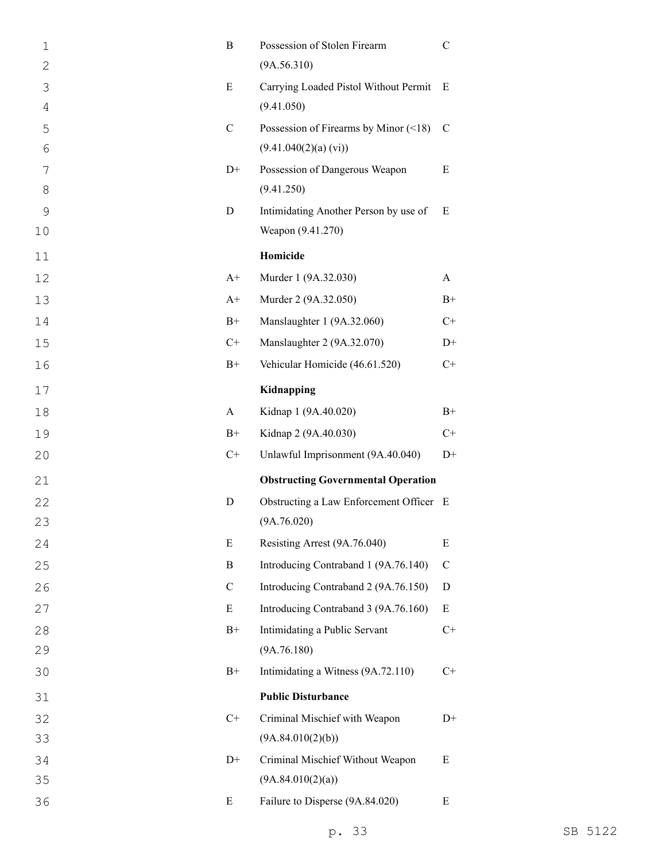| $\mathbf 1$    | B           | Possession of Stolen Firearm              | C             |
|----------------|-------------|-------------------------------------------|---------------|
| $\mathbf{2}$   |             | (9A.56.310)                               |               |
| 3              | E           | Carrying Loaded Pistol Without Permit     | E             |
| $\overline{4}$ |             | (9.41.050)                                |               |
| 5              | $\mathbf C$ | Possession of Firearms by Minor (<18)     | C             |
| 6              |             | (9.41.040(2)(a) (vi))                     |               |
| 7              | $D+$        | Possession of Dangerous Weapon            | E             |
| 8              |             | (9.41.250)                                |               |
| $\mathcal{G}$  | D           | Intimidating Another Person by use of     | E             |
| 10             |             | Weapon (9.41.270)                         |               |
| 11             |             | Homicide                                  |               |
| 12             | $A+$        | Murder 1 (9A.32.030)                      | A             |
| 13             | $A+$        | Murder 2 (9A.32.050)                      | $B+$          |
| 14             | $B+$        | Manslaughter 1 (9A.32.060)                | $C+$          |
| 15             | $C+$        | Manslaughter 2 (9A.32.070)                | $D+$          |
| 16             | $B+$        | Vehicular Homicide (46.61.520)            | $C+$          |
| 17             |             | Kidnapping                                |               |
| 18             | A           | Kidnap 1 (9A.40.020)                      | $B+$          |
| 19             | $B+$        | Kidnap 2 (9A.40.030)                      | $C+$          |
| 20             | $C+$        | Unlawful Imprisonment (9A.40.040)         | $D+$          |
| 21             |             | <b>Obstructing Governmental Operation</b> |               |
| 22             | D           | Obstructing a Law Enforcement Officer E   |               |
| 23             |             | (9A.76.020)                               |               |
| 24             | E           | Resisting Arrest (9A.76.040)              | E             |
| 25             | B           | Introducing Contraband 1 (9A.76.140)      | $\mathcal{C}$ |
| 26             | $\mathbf C$ | Introducing Contraband 2 (9A.76.150)      | D             |
| 27             | E           | Introducing Contraband 3 (9A.76.160)      | E             |
| 28             | $B+$        | Intimidating a Public Servant             | $C+$          |
| 29             |             | (9A.76.180)                               |               |
| 30             | $B+$        | Intimidating a Witness (9A.72.110)        | $C+$          |
| 31             |             | <b>Public Disturbance</b>                 |               |
| 32             | $C+$        | Criminal Mischief with Weapon             | $D+$          |
| 33             |             | (9A.84.010(2)(b))                         |               |
| 34             | $D+$        | Criminal Mischief Without Weapon          | E             |
| 35             |             | (9A.84.010(2)(a))                         |               |
| 36             | E           | Failure to Disperse (9A.84.020)           | Ε             |
|                |             |                                           |               |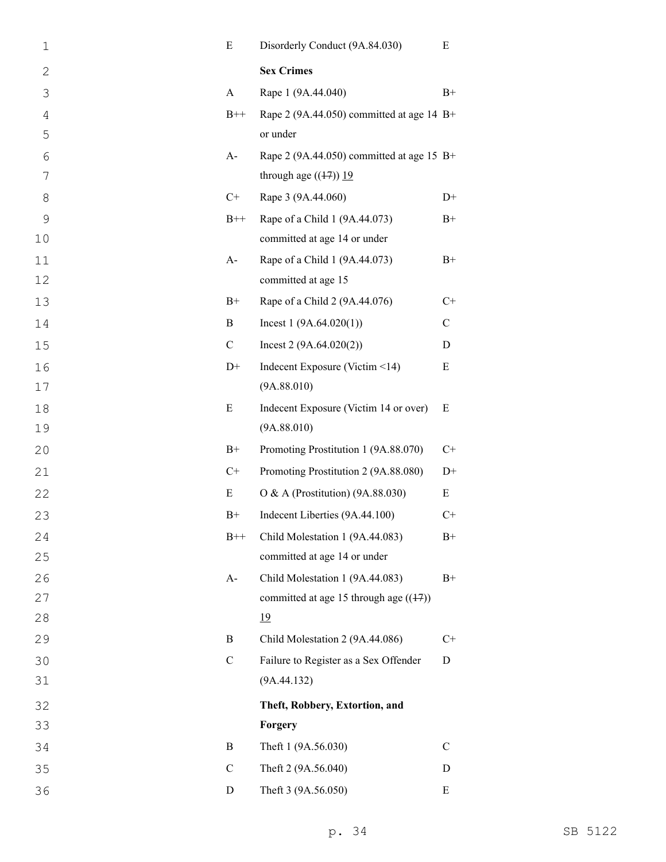| $\mathbf 1$    | E             | Disorderly Conduct (9A.84.030)<br>E         |               |
|----------------|---------------|---------------------------------------------|---------------|
| $\mathbf{2}$   |               | <b>Sex Crimes</b>                           |               |
| 3              | A             | Rape 1 (9A.44.040)                          | $B+$          |
| $\overline{4}$ | $B++$         | Rape 2 (9A.44.050) committed at age 14 B+   |               |
| 5              |               | or under                                    |               |
| 6              | $A-$          | Rape 2 (9A.44.050) committed at age 15 $B+$ |               |
| 7              |               | through age $((17))$ 19                     |               |
| 8              | $C+$          | Rape 3 (9A.44.060)                          | $D+$          |
| $\mathcal{G}$  | $B++$         | Rape of a Child 1 (9A.44.073)               | $B+$          |
| 10             |               | committed at age 14 or under                |               |
| 11             | $A-$          | Rape of a Child 1 (9A.44.073)               | $B+$          |
| 12             |               | committed at age 15                         |               |
| 13             | $B+$          | Rape of a Child 2 (9A.44.076)               | $C+$          |
| 14             | B             | Incest $1(9A.64.020(1))$                    | $\mathcal{C}$ |
| 15             | $\mathbf C$   | Incest $2(9A.64.020(2))$                    | D             |
| 16             | $D+$          | Indecent Exposure (Victim <14)              | Ε             |
| 17             |               | (9A.88.010)                                 |               |
| 18             | E             | Indecent Exposure (Victim 14 or over)       | E             |
| 19             |               | (9A.88.010)                                 |               |
| 20             | $B+$          | Promoting Prostitution 1 (9A.88.070)        | $C+$          |
| 21             | $C+$          | Promoting Prostitution 2 (9A.88.080)        | $D+$          |
| 22             | E             | O & A (Prostitution) (9A.88.030)            | E             |
| 23             | $B+$          | Indecent Liberties (9A.44.100)              | $C+$          |
| 24             | $B++$         | Child Molestation 1 (9A.44.083)             | $B+$          |
| 25             |               | committed at age 14 or under                |               |
| 26             | A-            | Child Molestation 1 (9A.44.083)             | $B+$          |
| 27             |               | committed at age 15 through age $((17))$    |               |
| 28             |               | 19                                          |               |
| 29             | B             | Child Molestation 2 (9A.44.086)             | $C+$          |
| 30             | $\mathcal{C}$ | Failure to Register as a Sex Offender       | D             |
| 31             |               | (9A.44.132)                                 |               |
| 32             |               | Theft, Robbery, Extortion, and              |               |
| 33             |               | Forgery                                     |               |
| 34             | B             | Theft 1 (9A.56.030)                         | $\mathsf{C}$  |
| 35             | $\mathbf C$   | Theft 2 (9A.56.040)                         | D             |
| 36             | D             | Theft 3 (9A.56.050)                         | E             |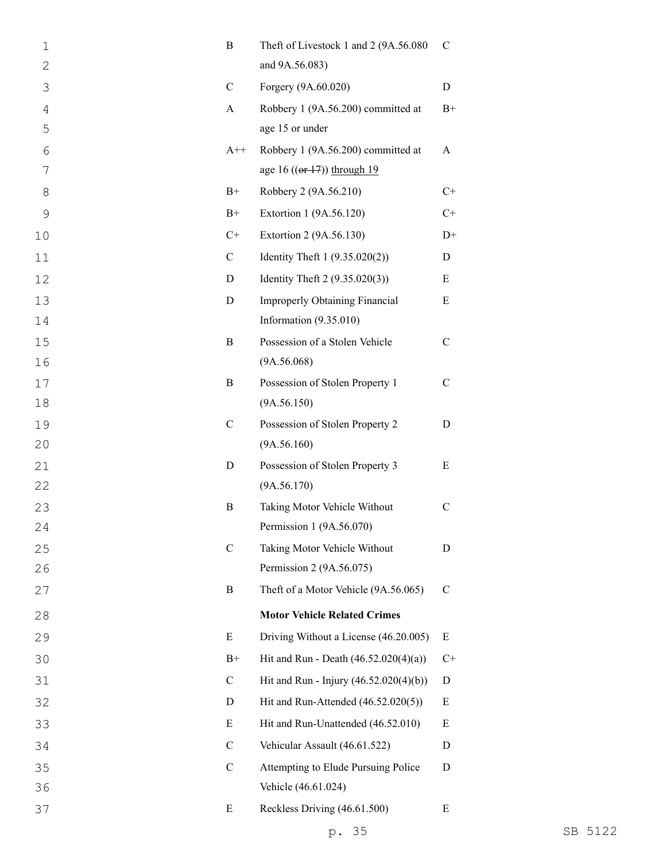| $\mathbf 1$    | $\boldsymbol{B}$ | Theft of Livestock 1 and 2 (9A.56.080   | $\mathcal{C}$ |
|----------------|------------------|-----------------------------------------|---------------|
| $\mathbf{2}$   |                  | and 9A.56.083)                          |               |
| 3              | $\mathbf C$      | Forgery (9A.60.020)                     | D             |
| $\overline{4}$ | A                | Robbery 1 (9A.56.200) committed at      | $B+$          |
| 5              |                  | age 15 or under                         |               |
| 6              | $A++$            | Robbery 1 (9A.56.200) committed at      | A             |
| 7              |                  | age 16 $((er 17))$ through 19           |               |
| 8              | $B+$             | Robbery 2 (9A.56.210)                   | $C+$          |
| 9              | $B+$             | Extortion 1 (9A.56.120)                 | $C+$          |
| 10             | $C+$             | Extortion 2 (9A.56.130)                 | $D+$          |
| 11             | $\mathbf C$      | Identity Theft 1 (9.35.020(2))          | D             |
| 12             | D                | Identity Theft $2(9.35.020(3))$         | Ε             |
| 13             | D                | Improperly Obtaining Financial          | E             |
| 14             |                  | Information $(9.35.010)$                |               |
| 15             | B                | Possession of a Stolen Vehicle          | $\mathbf C$   |
| 16             |                  | (9A.56.068)                             |               |
| 17             | B                | Possession of Stolen Property 1         | $\mathsf{C}$  |
| 18             |                  | (9A.56.150)                             |               |
| 19             | $\mathbf C$      | Possession of Stolen Property 2         | D             |
| 20             |                  | (9A.56.160)                             |               |
| 21             | D                | Possession of Stolen Property 3         | Ε             |
| 22             |                  | (9A.56.170)                             |               |
| 23             | $\bf{B}$         | Taking Motor Vehicle Without            | $\mathbf C$   |
| 24             |                  | Permission 1 (9A.56.070)                |               |
| 25             | $\mathcal{C}$    | Taking Motor Vehicle Without            | D             |
| 26             |                  | Permission 2 (9A.56.075)                |               |
| 27             | B                | Theft of a Motor Vehicle (9A.56.065)    | $\mathsf{C}$  |
| 28             |                  | <b>Motor Vehicle Related Crimes</b>     |               |
| 29             | E                | Driving Without a License (46.20.005)   | E             |
| 30             | $B+$             | Hit and Run - Death $(46.52.020(4)(a))$ | $C+$          |
| 31             | $\mathcal{C}$    | Hit and Run - Injury (46.52.020(4)(b))  | D             |
| 32             | D                | Hit and Run-Attended (46.52.020(5))     | E             |
| 33             | E                | Hit and Run-Unattended (46.52.010)      | E             |
| 34             | $\mathcal{C}$    | Vehicular Assault (46.61.522)           | D             |
| 35             | $\mathbf C$      | Attempting to Elude Pursuing Police     | D             |
| 36             |                  | Vehicle (46.61.024)                     |               |
| 37             | E                | Reckless Driving (46.61.500)            | Ε             |
|                |                  |                                         |               |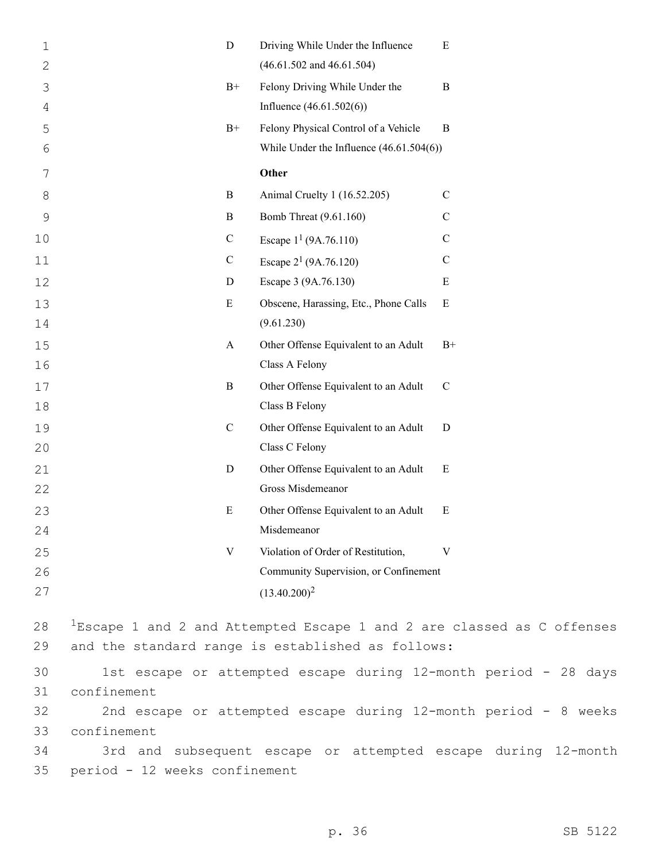| $\mathbf 1$<br>2                    | $\mathbf D$                                                     | Driving While Under the Influence<br>$(46.61.502$ and $46.61.504)$ | ${\bf E}$                                                                 |  |  |  |
|-------------------------------------|-----------------------------------------------------------------|--------------------------------------------------------------------|---------------------------------------------------------------------------|--|--|--|
| 3                                   | $B+$                                                            | Felony Driving While Under the                                     | $\bf{B}$                                                                  |  |  |  |
| 4                                   |                                                                 | Influence $(46.61.502(6))$                                         |                                                                           |  |  |  |
| 5                                   | $B+$                                                            | Felony Physical Control of a Vehicle                               | $\bf{B}$                                                                  |  |  |  |
| 6                                   |                                                                 | While Under the Influence $(46.61.504(6))$                         |                                                                           |  |  |  |
| 7                                   |                                                                 | Other                                                              |                                                                           |  |  |  |
| 8                                   | B                                                               | Animal Cruelty 1 (16.52.205)                                       | $\mathbf C$                                                               |  |  |  |
| 9                                   | $\mathbf B$                                                     | Bomb Threat (9.61.160)                                             | $\mathbf C$                                                               |  |  |  |
| 10                                  | $\mathbf C$                                                     | Escape $1^1$ (9A.76.110)                                           | $\mathbf C$                                                               |  |  |  |
| 11                                  | $\mathbf C$                                                     | Escape $2^1$ (9A.76.120)                                           | $\mathbf C$                                                               |  |  |  |
| 12                                  | D                                                               | Escape 3 (9A.76.130)                                               | E                                                                         |  |  |  |
| 13                                  | ${\bf E}$                                                       | Obscene, Harassing, Etc., Phone Calls                              | E                                                                         |  |  |  |
| 14                                  |                                                                 | (9.61.230)                                                         |                                                                           |  |  |  |
| 15                                  | A                                                               | Other Offense Equivalent to an Adult                               | $B+$                                                                      |  |  |  |
| 16                                  |                                                                 | Class A Felony                                                     |                                                                           |  |  |  |
| 17                                  | $\mathbf B$                                                     | Other Offense Equivalent to an Adult                               | $\mathbf C$                                                               |  |  |  |
| 18                                  |                                                                 | Class B Felony                                                     |                                                                           |  |  |  |
| 19                                  | $\mathbf C$                                                     | Other Offense Equivalent to an Adult                               | D                                                                         |  |  |  |
| 20                                  |                                                                 | Class C Felony                                                     |                                                                           |  |  |  |
| 21                                  | D                                                               | Other Offense Equivalent to an Adult                               | E                                                                         |  |  |  |
| 22                                  |                                                                 | Gross Misdemeanor                                                  |                                                                           |  |  |  |
| 23                                  | E                                                               | Other Offense Equivalent to an Adult                               | E                                                                         |  |  |  |
| 24                                  |                                                                 | Misdemeanor                                                        |                                                                           |  |  |  |
| 25                                  | V                                                               | Violation of Order of Restitution,                                 | V                                                                         |  |  |  |
| 26                                  |                                                                 | Community Supervision, or Confinement                              |                                                                           |  |  |  |
| 27                                  |                                                                 | $(13.40.200)^2$                                                    |                                                                           |  |  |  |
| 28                                  |                                                                 |                                                                    | $1$ Escape 1 and 2 and Attempted Escape 1 and 2 are classed as C offenses |  |  |  |
| 29                                  | and the standard range is established as follows:               |                                                                    |                                                                           |  |  |  |
| 30                                  |                                                                 |                                                                    | 1st escape or attempted escape during 12-month period - 28 days           |  |  |  |
| 31                                  | confinement                                                     |                                                                    |                                                                           |  |  |  |
| 32                                  | 2nd escape or attempted escape during 12-month period - 8 weeks |                                                                    |                                                                           |  |  |  |
| 33                                  | confinement                                                     |                                                                    |                                                                           |  |  |  |
| 34                                  | 3rd and subsequent escape or attempted escape during 12-month   |                                                                    |                                                                           |  |  |  |
| 35<br>period - 12 weeks confinement |                                                                 |                                                                    |                                                                           |  |  |  |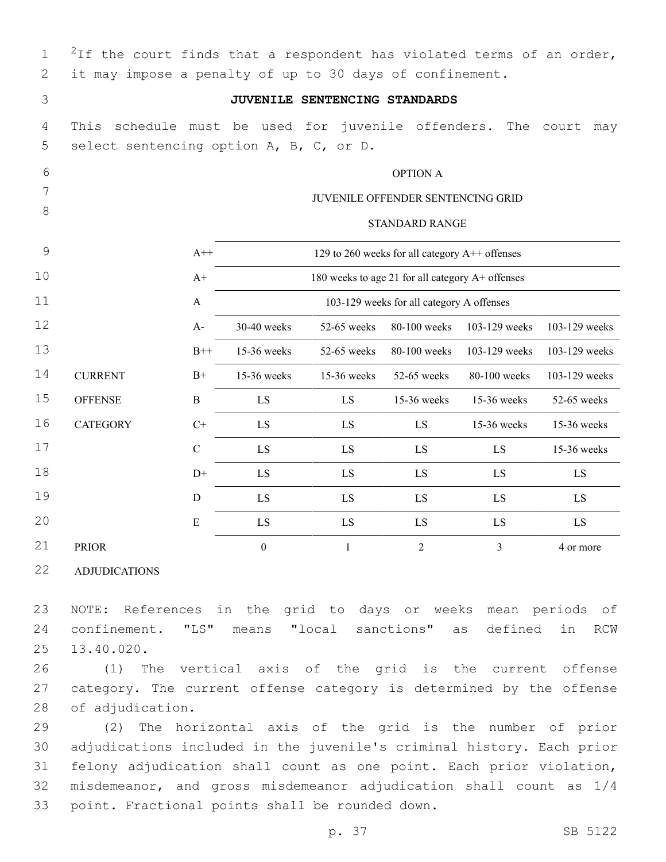| $\mathbf 1$<br>2 | <sup>2</sup> If the court finds that a respondent has violated terms of an order,<br>it may impose a penalty of up to 30 days of confinement. |                                                                                                              |                                                  |              |                |               |               |  |  |
|------------------|-----------------------------------------------------------------------------------------------------------------------------------------------|--------------------------------------------------------------------------------------------------------------|--------------------------------------------------|--------------|----------------|---------------|---------------|--|--|
| 3                | JUVENILE SENTENCING STANDARDS                                                                                                                 |                                                                                                              |                                                  |              |                |               |               |  |  |
| 4<br>5           | This                                                                                                                                          | schedule must be used for juvenile offenders.<br>The court<br>may<br>select sentencing option A, B, C, or D. |                                                  |              |                |               |               |  |  |
| 6<br>7<br>8      | <b>OPTION A</b><br>JUVENILE OFFENDER SENTENCING GRID<br><b>STANDARD RANGE</b>                                                                 |                                                                                                              |                                                  |              |                |               |               |  |  |
| 9                |                                                                                                                                               | $A++$                                                                                                        | 129 to 260 weeks for all category A++ offenses   |              |                |               |               |  |  |
| 10               |                                                                                                                                               | $A+$                                                                                                         | 180 weeks to age 21 for all category A+ offenses |              |                |               |               |  |  |
| 11               |                                                                                                                                               | $\mathbf{A}$                                                                                                 | 103-129 weeks for all category A offenses        |              |                |               |               |  |  |
| 12               |                                                                                                                                               | $A-$                                                                                                         | 30-40 weeks                                      | 52-65 weeks  | 80-100 weeks   | 103-129 weeks | 103-129 weeks |  |  |
| 13               |                                                                                                                                               | $B++$                                                                                                        | 15-36 weeks                                      | 52-65 weeks  | 80-100 weeks   | 103-129 weeks | 103-129 weeks |  |  |
| 14               | <b>CURRENT</b>                                                                                                                                | $B+$                                                                                                         | 15-36 weeks                                      | 15-36 weeks  | 52-65 weeks    | 80-100 weeks  | 103-129 weeks |  |  |
| 15               | <b>OFFENSE</b>                                                                                                                                | $\mathbf B$                                                                                                  | LS                                               | LS           | 15-36 weeks    | 15-36 weeks   | 52-65 weeks   |  |  |
| 16               | <b>CATEGORY</b>                                                                                                                               | $C+$                                                                                                         | LS                                               | LS           | LS             | 15-36 weeks   | 15-36 weeks   |  |  |
| 17               |                                                                                                                                               | $\mathbf C$                                                                                                  | LS                                               | LS           | LS             | LS            | 15-36 weeks   |  |  |
| 18               |                                                                                                                                               | $D+$                                                                                                         | LS                                               | LS           | LS             | LS            | LS            |  |  |
| 19               |                                                                                                                                               | D                                                                                                            | LS                                               | LS           | LS             | LS            | LS            |  |  |
| 20               |                                                                                                                                               | $\mathbf E$                                                                                                  | LS                                               | LS           | LS             | LS            | LS            |  |  |
| 21               | <b>PRIOR</b>                                                                                                                                  |                                                                                                              | $\boldsymbol{0}$                                 | $\mathbf{1}$ | $\overline{2}$ | 3             | 4 or more     |  |  |

22 ADJUDICATIONS

23 NOTE: References in the grid to days or weeks mean periods of 24 confinement. "LS" means "local sanctions" as defined in RCW 25 13.40.020.

26 (1) The vertical axis of the grid is the current offense 27 category. The current offense category is determined by the offense 28 of adjudication.

 (2) The horizontal axis of the grid is the number of prior adjudications included in the juvenile's criminal history. Each prior felony adjudication shall count as one point. Each prior violation, misdemeanor, and gross misdemeanor adjudication shall count as 1/4 33 point. Fractional points shall be rounded down.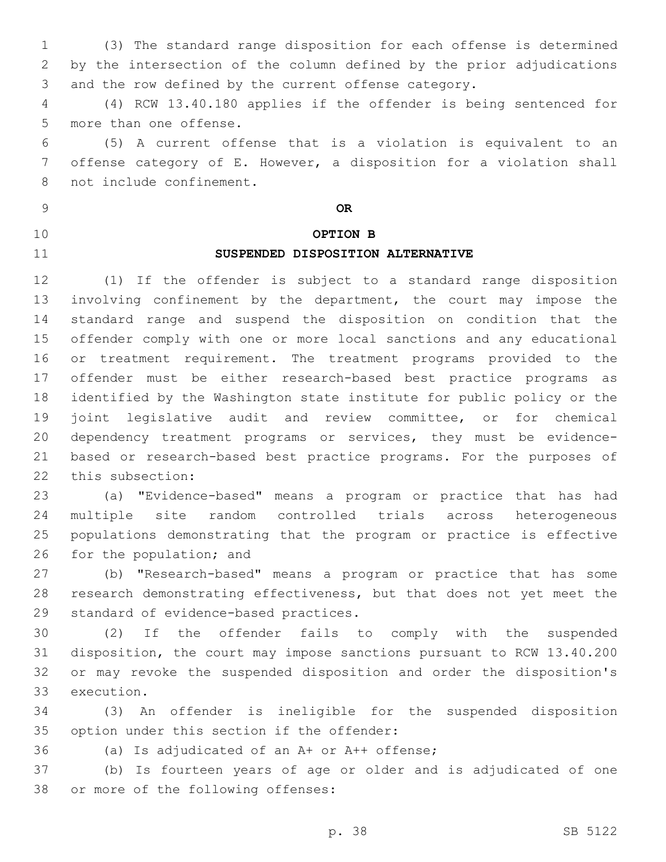(3) The standard range disposition for each offense is determined by the intersection of the column defined by the prior adjudications and the row defined by the current offense category. (4) RCW 13.40.180 applies if the offender is being sentenced for 5 more than one offense. (5) A current offense that is a violation is equivalent to an offense category of E. However, a disposition for a violation shall 8 not include confinement. **OR OPTION B SUSPENDED DISPOSITION ALTERNATIVE** (1) If the offender is subject to a standard range disposition 13 involving confinement by the department, the court may impose the standard range and suspend the disposition on condition that the offender comply with one or more local sanctions and any educational or treatment requirement. The treatment programs provided to the offender must be either research-based best practice programs as identified by the Washington state institute for public policy or the joint legislative audit and review committee, or for chemical dependency treatment programs or services, they must be evidence- based or research-based best practice programs. For the purposes of 22 this subsection: (a) "Evidence-based" means a program or practice that has had multiple site random controlled trials across heterogeneous populations demonstrating that the program or practice is effective 26 for the population; and (b) "Research-based" means a program or practice that has some research demonstrating effectiveness, but that does not yet meet the 29 standard of evidence-based practices. (2) If the offender fails to comply with the suspended disposition, the court may impose sanctions pursuant to RCW 13.40.200

33 execution. (3) An offender is ineligible for the suspended disposition 35 option under this section if the offender:

or may revoke the suspended disposition and order the disposition's

36 (a) Is adjudicated of an A+ or A++ offense;

 (b) Is fourteen years of age or older and is adjudicated of one 38 or more of the following offenses: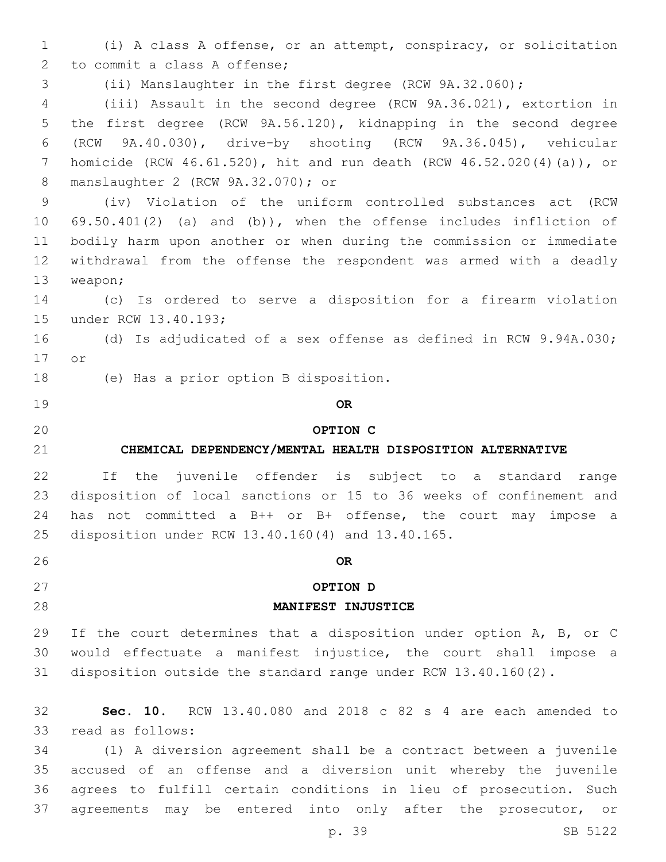(i) A class A offense, or an attempt, conspiracy, or solicitation 2 to commit a class A offense; (ii) Manslaughter in the first degree (RCW 9A.32.060); (iii) Assault in the second degree (RCW 9A.36.021), extortion in the first degree (RCW 9A.56.120), kidnapping in the second degree (RCW 9A.40.030), drive-by shooting (RCW 9A.36.045), vehicular homicide (RCW 46.61.520), hit and run death (RCW 46.52.020(4)(a)), or 8 manslaughter 2 (RCW 9A.32.070); or (iv) Violation of the uniform controlled substances act (RCW 69.50.401(2) (a) and (b)), when the offense includes infliction of bodily harm upon another or when during the commission or immediate withdrawal from the offense the respondent was armed with a deadly 13 weapon; (c) Is ordered to serve a disposition for a firearm violation 15 under RCW 13.40.193; (d) Is adjudicated of a sex offense as defined in RCW 9.94A.030; 17 or 18 (e) Has a prior option B disposition. **OR OPTION C CHEMICAL DEPENDENCY/MENTAL HEALTH DISPOSITION ALTERNATIVE** If the juvenile offender is subject to a standard range disposition of local sanctions or 15 to 36 weeks of confinement and has not committed a B++ or B+ offense, the court may impose a 25 disposition under RCW 13.40.160(4) and 13.40.165. **OR OPTION D MANIFEST INJUSTICE** If the court determines that a disposition under option A, B, or C would effectuate a manifest injustice, the court shall impose a disposition outside the standard range under RCW 13.40.160(2). **Sec. 10.** RCW 13.40.080 and 2018 c 82 s 4 are each amended to 33 read as follows: (1) A diversion agreement shall be a contract between a juvenile accused of an offense and a diversion unit whereby the juvenile agrees to fulfill certain conditions in lieu of prosecution. Such 37 agreements may be entered into only after the prosecutor, or

p. 39 SB 5122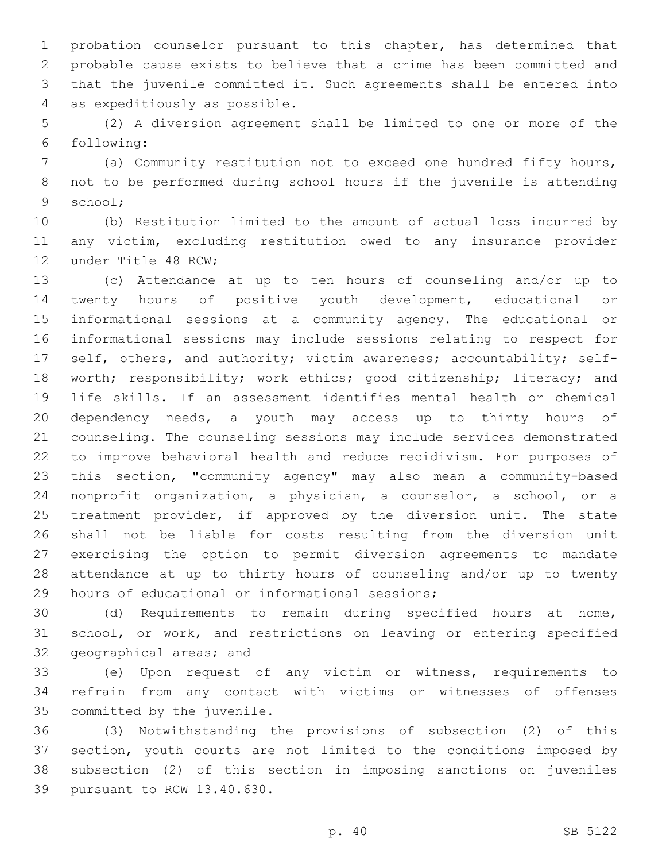probation counselor pursuant to this chapter, has determined that probable cause exists to believe that a crime has been committed and that the juvenile committed it. Such agreements shall be entered into 4 as expeditiously as possible.

 (2) A diversion agreement shall be limited to one or more of the following:6

 (a) Community restitution not to exceed one hundred fifty hours, not to be performed during school hours if the juvenile is attending 9 school;

 (b) Restitution limited to the amount of actual loss incurred by any victim, excluding restitution owed to any insurance provider 12 under Title 48 RCW;

 (c) Attendance at up to ten hours of counseling and/or up to twenty hours of positive youth development, educational or informational sessions at a community agency. The educational or informational sessions may include sessions relating to respect for self, others, and authority; victim awareness; accountability; self-18 worth; responsibility; work ethics; good citizenship; literacy; and life skills. If an assessment identifies mental health or chemical dependency needs, a youth may access up to thirty hours of counseling. The counseling sessions may include services demonstrated to improve behavioral health and reduce recidivism. For purposes of this section, "community agency" may also mean a community-based nonprofit organization, a physician, a counselor, a school, or a treatment provider, if approved by the diversion unit. The state shall not be liable for costs resulting from the diversion unit exercising the option to permit diversion agreements to mandate attendance at up to thirty hours of counseling and/or up to twenty 29 hours of educational or informational sessions;

 (d) Requirements to remain during specified hours at home, school, or work, and restrictions on leaving or entering specified 32 geographical areas; and

 (e) Upon request of any victim or witness, requirements to refrain from any contact with victims or witnesses of offenses 35 committed by the juvenile.

 (3) Notwithstanding the provisions of subsection (2) of this section, youth courts are not limited to the conditions imposed by subsection (2) of this section in imposing sanctions on juveniles 39 pursuant to RCW 13.40.630.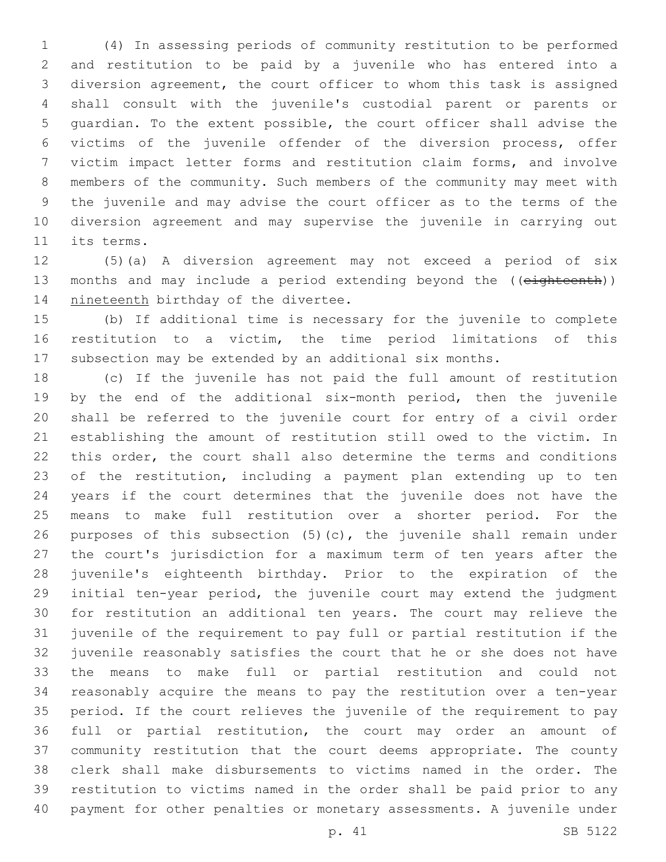(4) In assessing periods of community restitution to be performed and restitution to be paid by a juvenile who has entered into a diversion agreement, the court officer to whom this task is assigned shall consult with the juvenile's custodial parent or parents or guardian. To the extent possible, the court officer shall advise the victims of the juvenile offender of the diversion process, offer victim impact letter forms and restitution claim forms, and involve members of the community. Such members of the community may meet with the juvenile and may advise the court officer as to the terms of the diversion agreement and may supervise the juvenile in carrying out 11 its terms.

 (5)(a) A diversion agreement may not exceed a period of six 13 months and may include a period extending beyond the ((eighteenth)) 14 nineteenth birthday of the divertee.

 (b) If additional time is necessary for the juvenile to complete restitution to a victim, the time period limitations of this subsection may be extended by an additional six months.

 (c) If the juvenile has not paid the full amount of restitution by the end of the additional six-month period, then the juvenile shall be referred to the juvenile court for entry of a civil order establishing the amount of restitution still owed to the victim. In this order, the court shall also determine the terms and conditions of the restitution, including a payment plan extending up to ten years if the court determines that the juvenile does not have the means to make full restitution over a shorter period. For the purposes of this subsection (5)(c), the juvenile shall remain under the court's jurisdiction for a maximum term of ten years after the juvenile's eighteenth birthday. Prior to the expiration of the initial ten-year period, the juvenile court may extend the judgment for restitution an additional ten years. The court may relieve the juvenile of the requirement to pay full or partial restitution if the juvenile reasonably satisfies the court that he or she does not have the means to make full or partial restitution and could not reasonably acquire the means to pay the restitution over a ten-year period. If the court relieves the juvenile of the requirement to pay full or partial restitution, the court may order an amount of community restitution that the court deems appropriate. The county clerk shall make disbursements to victims named in the order. The restitution to victims named in the order shall be paid prior to any payment for other penalties or monetary assessments. A juvenile under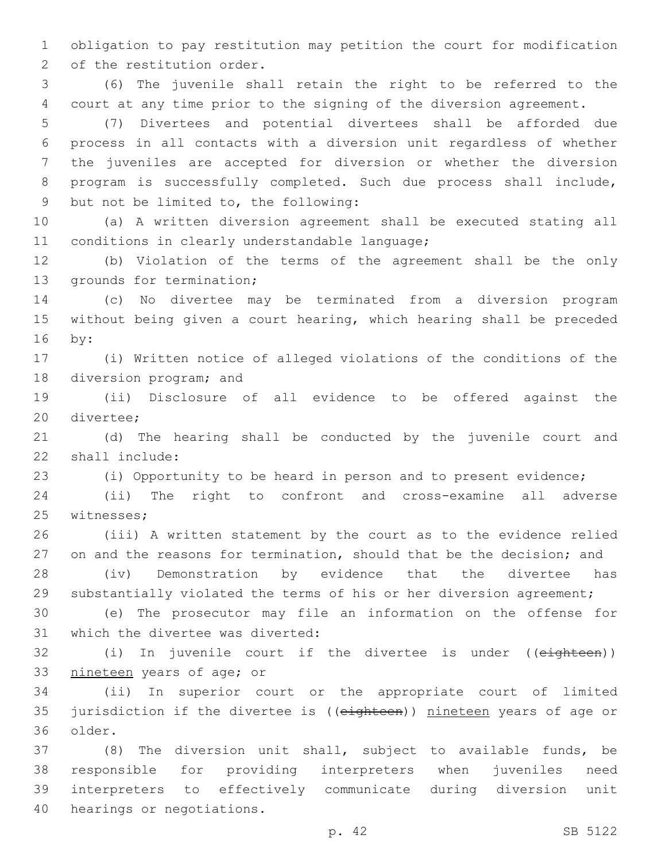obligation to pay restitution may petition the court for modification 2 of the restitution order.

 (6) The juvenile shall retain the right to be referred to the court at any time prior to the signing of the diversion agreement.

 (7) Divertees and potential divertees shall be afforded due process in all contacts with a diversion unit regardless of whether the juveniles are accepted for diversion or whether the diversion program is successfully completed. Such due process shall include, 9 but not be limited to, the following:

 (a) A written diversion agreement shall be executed stating all 11 conditions in clearly understandable language;

 (b) Violation of the terms of the agreement shall be the only 13 grounds for termination;

 (c) No divertee may be terminated from a diversion program without being given a court hearing, which hearing shall be preceded 16 by:

 (i) Written notice of alleged violations of the conditions of the 18 diversion program; and

 (ii) Disclosure of all evidence to be offered against the 20 divertee;

 (d) The hearing shall be conducted by the juvenile court and 22 shall include:

(i) Opportunity to be heard in person and to present evidence;

 (ii) The right to confront and cross-examine all adverse 25 witnesses;

 (iii) A written statement by the court as to the evidence relied on and the reasons for termination, should that be the decision; and

 (iv) Demonstration by evidence that the divertee has substantially violated the terms of his or her diversion agreement;

 (e) The prosecutor may file an information on the offense for 31 which the divertee was diverted:

32 (i) In juvenile court if the divertee is under ((eighteen)) 33 nineteen years of age; or

 (ii) In superior court or the appropriate court of limited 35 jurisdiction if the divertee is ((eighteen)) nineteen years of age or 36 older.

 (8) The diversion unit shall, subject to available funds, be responsible for providing interpreters when juveniles need interpreters to effectively communicate during diversion unit 40 hearings or negotiations.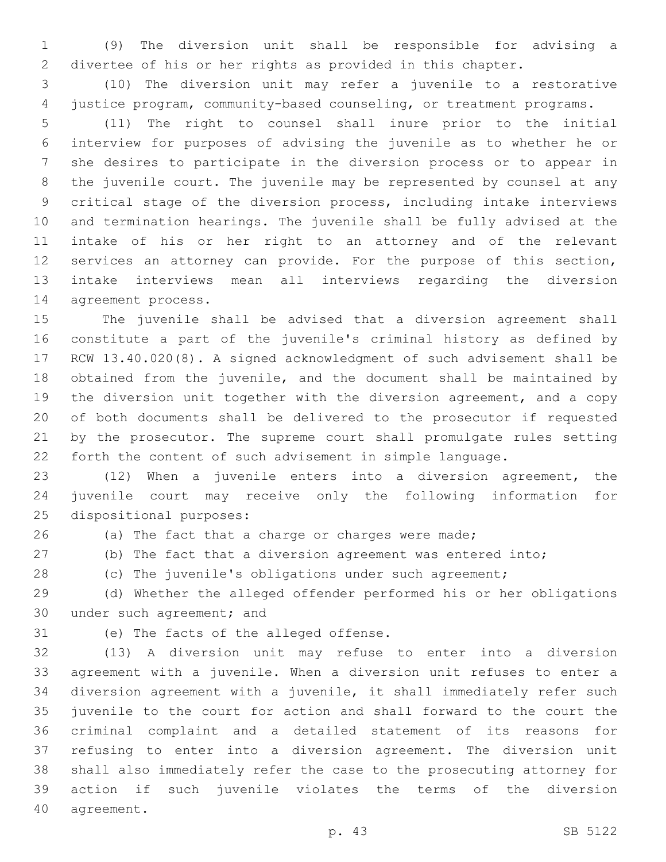(9) The diversion unit shall be responsible for advising a divertee of his or her rights as provided in this chapter.

 (10) The diversion unit may refer a juvenile to a restorative justice program, community-based counseling, or treatment programs.

 (11) The right to counsel shall inure prior to the initial interview for purposes of advising the juvenile as to whether he or she desires to participate in the diversion process or to appear in the juvenile court. The juvenile may be represented by counsel at any critical stage of the diversion process, including intake interviews and termination hearings. The juvenile shall be fully advised at the intake of his or her right to an attorney and of the relevant services an attorney can provide. For the purpose of this section, intake interviews mean all interviews regarding the diversion 14 agreement process.

 The juvenile shall be advised that a diversion agreement shall constitute a part of the juvenile's criminal history as defined by RCW 13.40.020(8). A signed acknowledgment of such advisement shall be obtained from the juvenile, and the document shall be maintained by the diversion unit together with the diversion agreement, and a copy of both documents shall be delivered to the prosecutor if requested by the prosecutor. The supreme court shall promulgate rules setting forth the content of such advisement in simple language.

 (12) When a juvenile enters into a diversion agreement, the juvenile court may receive only the following information for 25 dispositional purposes:

(a) The fact that a charge or charges were made;

(b) The fact that a diversion agreement was entered into;

(c) The juvenile's obligations under such agreement;

 (d) Whether the alleged offender performed his or her obligations 30 under such agreement; and

31 (e) The facts of the alleged offense.

 (13) A diversion unit may refuse to enter into a diversion agreement with a juvenile. When a diversion unit refuses to enter a diversion agreement with a juvenile, it shall immediately refer such juvenile to the court for action and shall forward to the court the criminal complaint and a detailed statement of its reasons for refusing to enter into a diversion agreement. The diversion unit shall also immediately refer the case to the prosecuting attorney for action if such juvenile violates the terms of the diversion 40 agreement.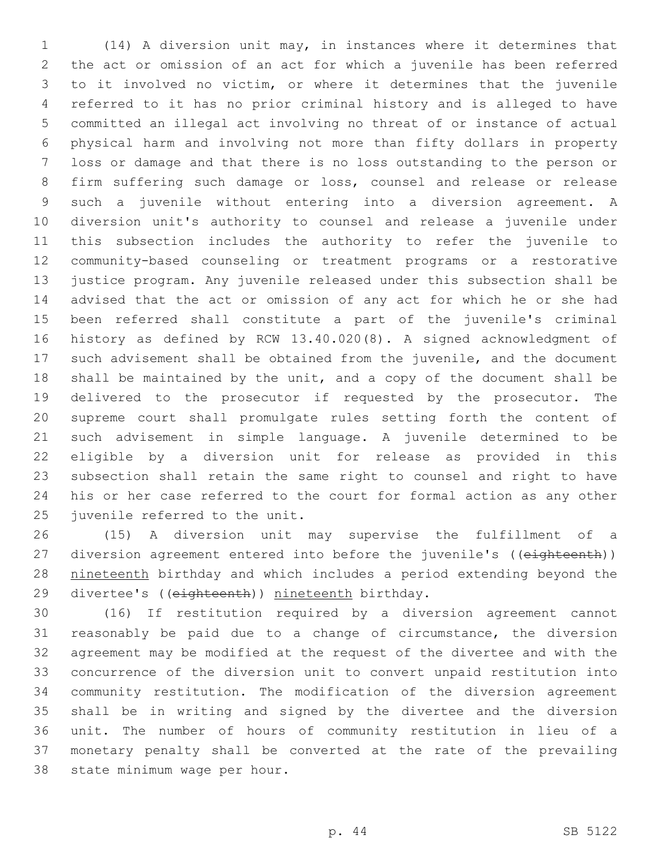(14) A diversion unit may, in instances where it determines that the act or omission of an act for which a juvenile has been referred to it involved no victim, or where it determines that the juvenile referred to it has no prior criminal history and is alleged to have committed an illegal act involving no threat of or instance of actual physical harm and involving not more than fifty dollars in property loss or damage and that there is no loss outstanding to the person or firm suffering such damage or loss, counsel and release or release such a juvenile without entering into a diversion agreement. A diversion unit's authority to counsel and release a juvenile under this subsection includes the authority to refer the juvenile to community-based counseling or treatment programs or a restorative justice program. Any juvenile released under this subsection shall be advised that the act or omission of any act for which he or she had been referred shall constitute a part of the juvenile's criminal history as defined by RCW 13.40.020(8). A signed acknowledgment of such advisement shall be obtained from the juvenile, and the document shall be maintained by the unit, and a copy of the document shall be delivered to the prosecutor if requested by the prosecutor. The supreme court shall promulgate rules setting forth the content of such advisement in simple language. A juvenile determined to be eligible by a diversion unit for release as provided in this subsection shall retain the same right to counsel and right to have his or her case referred to the court for formal action as any other 25 juvenile referred to the unit.

 (15) A diversion unit may supervise the fulfillment of a 27 diversion agreement entered into before the juvenile's ((eighteenth)) nineteenth birthday and which includes a period extending beyond the 29 divertee's ((eighteenth)) nineteenth birthday.

 (16) If restitution required by a diversion agreement cannot reasonably be paid due to a change of circumstance, the diversion agreement may be modified at the request of the divertee and with the concurrence of the diversion unit to convert unpaid restitution into community restitution. The modification of the diversion agreement shall be in writing and signed by the divertee and the diversion unit. The number of hours of community restitution in lieu of a monetary penalty shall be converted at the rate of the prevailing 38 state minimum wage per hour.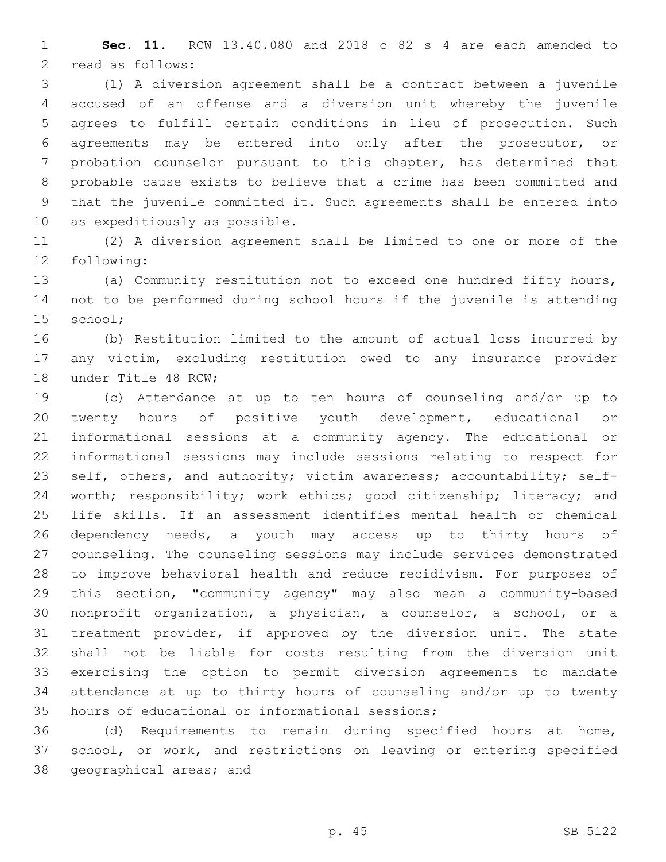**Sec. 11.** RCW 13.40.080 and 2018 c 82 s 4 are each amended to 2 read as follows:

 (1) A diversion agreement shall be a contract between a juvenile accused of an offense and a diversion unit whereby the juvenile agrees to fulfill certain conditions in lieu of prosecution. Such agreements may be entered into only after the prosecutor, or probation counselor pursuant to this chapter, has determined that probable cause exists to believe that a crime has been committed and that the juvenile committed it. Such agreements shall be entered into 10 as expeditiously as possible.

 (2) A diversion agreement shall be limited to one or more of the 12 following:

 (a) Community restitution not to exceed one hundred fifty hours, not to be performed during school hours if the juvenile is attending 15 school;

 (b) Restitution limited to the amount of actual loss incurred by any victim, excluding restitution owed to any insurance provider 18 under Title 48 RCW;

 (c) Attendance at up to ten hours of counseling and/or up to twenty hours of positive youth development, educational or informational sessions at a community agency. The educational or informational sessions may include sessions relating to respect for self, others, and authority; victim awareness; accountability; self-24 worth; responsibility; work ethics; good citizenship; literacy; and life skills. If an assessment identifies mental health or chemical 26 dependency needs, a youth may access up to thirty hours of counseling. The counseling sessions may include services demonstrated to improve behavioral health and reduce recidivism. For purposes of this section, "community agency" may also mean a community-based nonprofit organization, a physician, a counselor, a school, or a treatment provider, if approved by the diversion unit. The state shall not be liable for costs resulting from the diversion unit exercising the option to permit diversion agreements to mandate attendance at up to thirty hours of counseling and/or up to twenty 35 hours of educational or informational sessions;

 (d) Requirements to remain during specified hours at home, school, or work, and restrictions on leaving or entering specified 38 geographical areas; and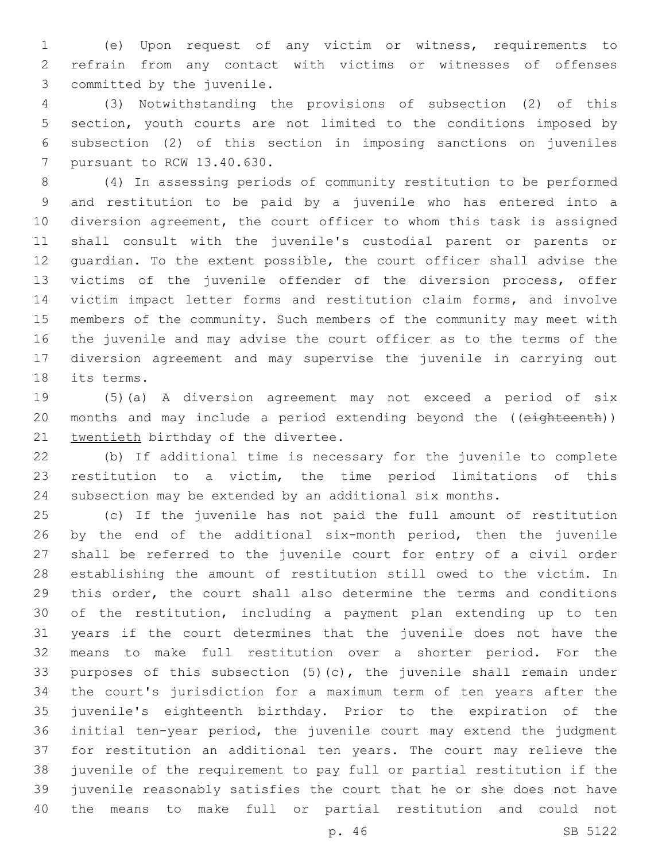(e) Upon request of any victim or witness, requirements to refrain from any contact with victims or witnesses of offenses 3 committed by the juvenile.

 (3) Notwithstanding the provisions of subsection (2) of this section, youth courts are not limited to the conditions imposed by subsection (2) of this section in imposing sanctions on juveniles 7 pursuant to RCW 13.40.630.

 (4) In assessing periods of community restitution to be performed and restitution to be paid by a juvenile who has entered into a diversion agreement, the court officer to whom this task is assigned shall consult with the juvenile's custodial parent or parents or guardian. To the extent possible, the court officer shall advise the victims of the juvenile offender of the diversion process, offer victim impact letter forms and restitution claim forms, and involve members of the community. Such members of the community may meet with the juvenile and may advise the court officer as to the terms of the diversion agreement and may supervise the juvenile in carrying out 18 its terms.

 (5)(a) A diversion agreement may not exceed a period of six months and may include a period extending beyond the ((eighteenth)) 21 twentieth birthday of the divertee.

 (b) If additional time is necessary for the juvenile to complete restitution to a victim, the time period limitations of this subsection may be extended by an additional six months.

 (c) If the juvenile has not paid the full amount of restitution 26 by the end of the additional six-month period, then the juvenile shall be referred to the juvenile court for entry of a civil order establishing the amount of restitution still owed to the victim. In this order, the court shall also determine the terms and conditions of the restitution, including a payment plan extending up to ten years if the court determines that the juvenile does not have the means to make full restitution over a shorter period. For the purposes of this subsection (5)(c), the juvenile shall remain under the court's jurisdiction for a maximum term of ten years after the juvenile's eighteenth birthday. Prior to the expiration of the initial ten-year period, the juvenile court may extend the judgment for restitution an additional ten years. The court may relieve the juvenile of the requirement to pay full or partial restitution if the juvenile reasonably satisfies the court that he or she does not have the means to make full or partial restitution and could not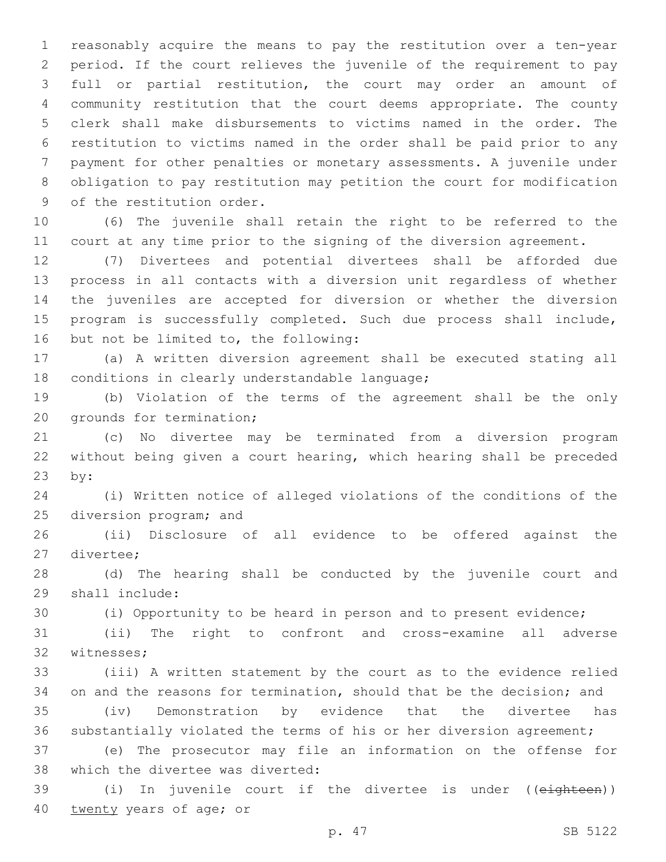reasonably acquire the means to pay the restitution over a ten-year period. If the court relieves the juvenile of the requirement to pay full or partial restitution, the court may order an amount of community restitution that the court deems appropriate. The county clerk shall make disbursements to victims named in the order. The restitution to victims named in the order shall be paid prior to any payment for other penalties or monetary assessments. A juvenile under obligation to pay restitution may petition the court for modification 9 of the restitution order.

 (6) The juvenile shall retain the right to be referred to the court at any time prior to the signing of the diversion agreement.

 (7) Divertees and potential divertees shall be afforded due process in all contacts with a diversion unit regardless of whether the juveniles are accepted for diversion or whether the diversion program is successfully completed. Such due process shall include, 16 but not be limited to, the following:

 (a) A written diversion agreement shall be executed stating all 18 conditions in clearly understandable language;

 (b) Violation of the terms of the agreement shall be the only 20 grounds for termination;

 (c) No divertee may be terminated from a diversion program without being given a court hearing, which hearing shall be preceded by:23

 (i) Written notice of alleged violations of the conditions of the 25 diversion program; and

 (ii) Disclosure of all evidence to be offered against the 27 divertee;

 (d) The hearing shall be conducted by the juvenile court and shall include:29

(i) Opportunity to be heard in person and to present evidence;

 (ii) The right to confront and cross-examine all adverse 32 witnesses;

 (iii) A written statement by the court as to the evidence relied on and the reasons for termination, should that be the decision; and

 (iv) Demonstration by evidence that the divertee has substantially violated the terms of his or her diversion agreement;

 (e) The prosecutor may file an information on the offense for 38 which the divertee was diverted:

39 (i) In juvenile court if the divertee is under ((eighteen)) 40 twenty years of age; or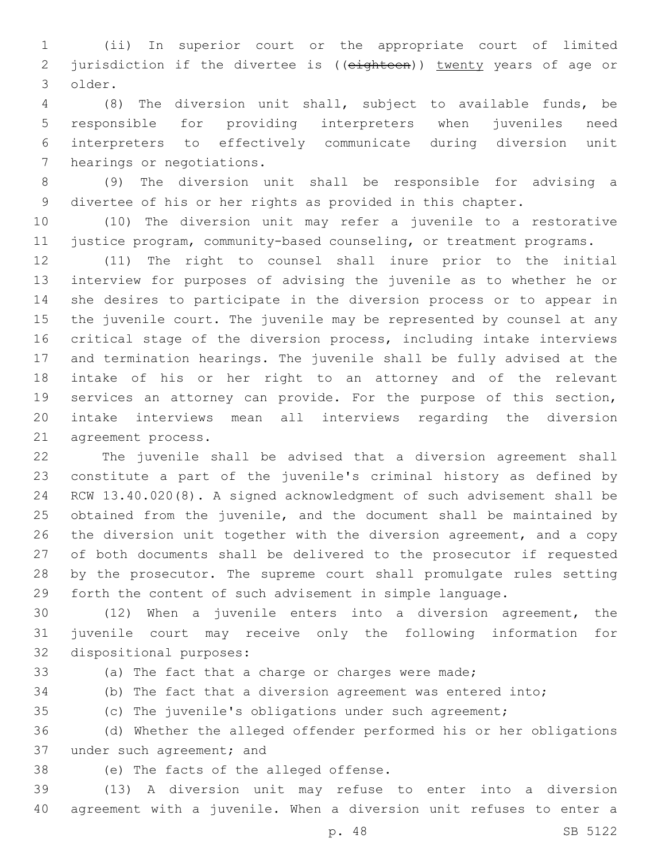(ii) In superior court or the appropriate court of limited 2 jurisdiction if the divertee is ((eighteen)) twenty years of age or older.3

 (8) The diversion unit shall, subject to available funds, be responsible for providing interpreters when juveniles need interpreters to effectively communicate during diversion unit 7 hearings or negotiations.

 (9) The diversion unit shall be responsible for advising a divertee of his or her rights as provided in this chapter.

 (10) The diversion unit may refer a juvenile to a restorative justice program, community-based counseling, or treatment programs.

 (11) The right to counsel shall inure prior to the initial interview for purposes of advising the juvenile as to whether he or she desires to participate in the diversion process or to appear in the juvenile court. The juvenile may be represented by counsel at any critical stage of the diversion process, including intake interviews and termination hearings. The juvenile shall be fully advised at the intake of his or her right to an attorney and of the relevant services an attorney can provide. For the purpose of this section, intake interviews mean all interviews regarding the diversion 21 agreement process.

 The juvenile shall be advised that a diversion agreement shall constitute a part of the juvenile's criminal history as defined by RCW 13.40.020(8). A signed acknowledgment of such advisement shall be 25 obtained from the juvenile, and the document shall be maintained by the diversion unit together with the diversion agreement, and a copy of both documents shall be delivered to the prosecutor if requested by the prosecutor. The supreme court shall promulgate rules setting forth the content of such advisement in simple language.

 (12) When a juvenile enters into a diversion agreement, the juvenile court may receive only the following information for 32 dispositional purposes:

(a) The fact that a charge or charges were made;

(b) The fact that a diversion agreement was entered into;

(c) The juvenile's obligations under such agreement;

 (d) Whether the alleged offender performed his or her obligations 37 under such agreement; and

38 (e) The facts of the alleged offense.

 (13) A diversion unit may refuse to enter into a diversion agreement with a juvenile. When a diversion unit refuses to enter a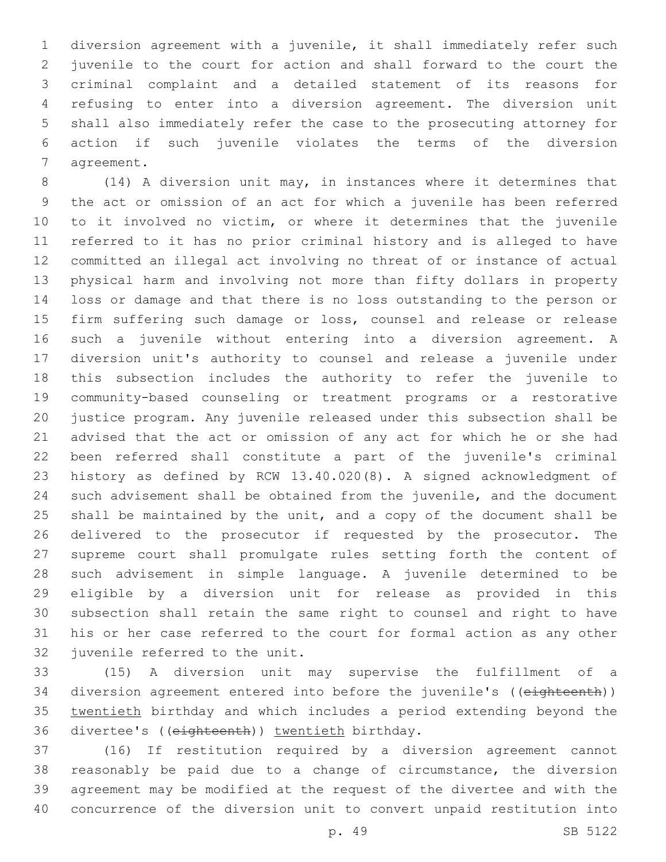diversion agreement with a juvenile, it shall immediately refer such juvenile to the court for action and shall forward to the court the criminal complaint and a detailed statement of its reasons for refusing to enter into a diversion agreement. The diversion unit shall also immediately refer the case to the prosecuting attorney for action if such juvenile violates the terms of the diversion 7 agreement.

 (14) A diversion unit may, in instances where it determines that the act or omission of an act for which a juvenile has been referred to it involved no victim, or where it determines that the juvenile referred to it has no prior criminal history and is alleged to have committed an illegal act involving no threat of or instance of actual physical harm and involving not more than fifty dollars in property loss or damage and that there is no loss outstanding to the person or firm suffering such damage or loss, counsel and release or release such a juvenile without entering into a diversion agreement. A diversion unit's authority to counsel and release a juvenile under this subsection includes the authority to refer the juvenile to community-based counseling or treatment programs or a restorative justice program. Any juvenile released under this subsection shall be advised that the act or omission of any act for which he or she had been referred shall constitute a part of the juvenile's criminal history as defined by RCW 13.40.020(8). A signed acknowledgment of such advisement shall be obtained from the juvenile, and the document shall be maintained by the unit, and a copy of the document shall be delivered to the prosecutor if requested by the prosecutor. The supreme court shall promulgate rules setting forth the content of such advisement in simple language. A juvenile determined to be eligible by a diversion unit for release as provided in this subsection shall retain the same right to counsel and right to have his or her case referred to the court for formal action as any other 32 juvenile referred to the unit.

 (15) A diversion unit may supervise the fulfillment of a diversion agreement entered into before the juvenile's ((eighteenth)) twentieth birthday and which includes a period extending beyond the 36 divertee's ((eighteenth)) twentieth birthday.

 (16) If restitution required by a diversion agreement cannot reasonably be paid due to a change of circumstance, the diversion agreement may be modified at the request of the divertee and with the concurrence of the diversion unit to convert unpaid restitution into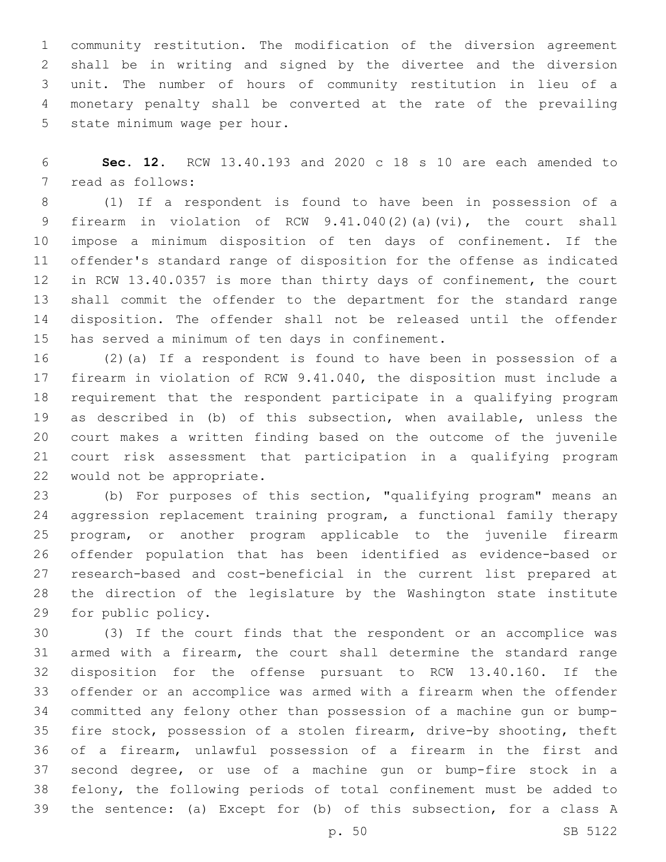community restitution. The modification of the diversion agreement shall be in writing and signed by the divertee and the diversion unit. The number of hours of community restitution in lieu of a monetary penalty shall be converted at the rate of the prevailing 5 state minimum wage per hour.

 **Sec. 12.** RCW 13.40.193 and 2020 c 18 s 10 are each amended to 7 read as follows:

 (1) If a respondent is found to have been in possession of a firearm in violation of RCW 9.41.040(2)(a)(vi), the court shall impose a minimum disposition of ten days of confinement. If the offender's standard range of disposition for the offense as indicated in RCW 13.40.0357 is more than thirty days of confinement, the court shall commit the offender to the department for the standard range disposition. The offender shall not be released until the offender 15 has served a minimum of ten days in confinement.

 (2)(a) If a respondent is found to have been in possession of a firearm in violation of RCW 9.41.040, the disposition must include a requirement that the respondent participate in a qualifying program as described in (b) of this subsection, when available, unless the court makes a written finding based on the outcome of the juvenile court risk assessment that participation in a qualifying program 22 would not be appropriate.

 (b) For purposes of this section, "qualifying program" means an aggression replacement training program, a functional family therapy program, or another program applicable to the juvenile firearm offender population that has been identified as evidence-based or research-based and cost-beneficial in the current list prepared at the direction of the legislature by the Washington state institute 29 for public policy.

 (3) If the court finds that the respondent or an accomplice was armed with a firearm, the court shall determine the standard range disposition for the offense pursuant to RCW 13.40.160. If the offender or an accomplice was armed with a firearm when the offender committed any felony other than possession of a machine gun or bump- fire stock, possession of a stolen firearm, drive-by shooting, theft of a firearm, unlawful possession of a firearm in the first and second degree, or use of a machine gun or bump-fire stock in a felony, the following periods of total confinement must be added to the sentence: (a) Except for (b) of this subsection, for a class A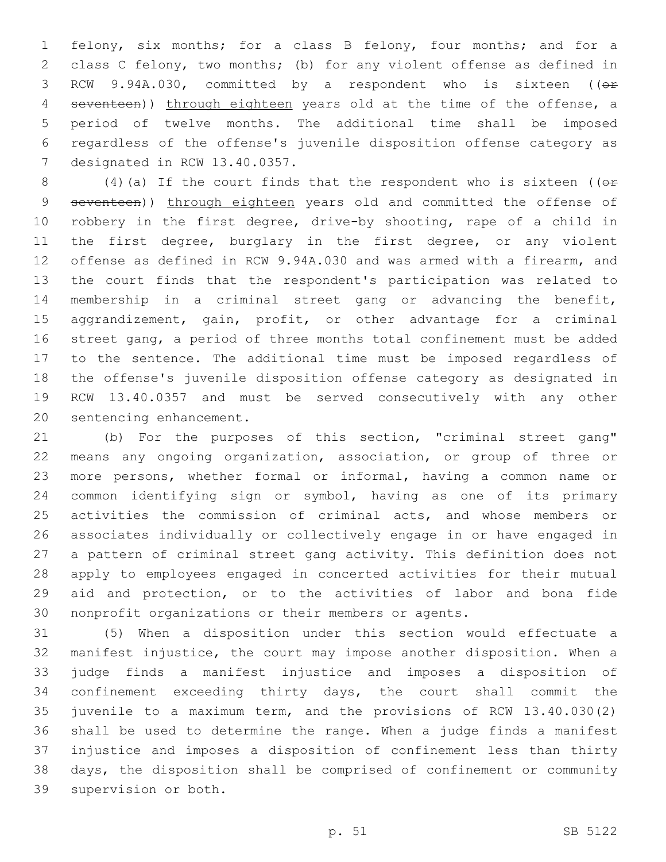felony, six months; for a class B felony, four months; and for a class C felony, two months; (b) for any violent offense as defined in 3 RCW 9.94A.030, committed by a respondent who is sixteen ((or 4 seventeen)) through eighteen years old at the time of the offense, a period of twelve months. The additional time shall be imposed regardless of the offense's juvenile disposition offense category as 7 designated in RCW 13.40.0357.

8 (4)(a) If the court finds that the respondent who is sixteen (( $\theta$ f) 9 seventeen)) through eighteen years old and committed the offense of robbery in the first degree, drive-by shooting, rape of a child in the first degree, burglary in the first degree, or any violent offense as defined in RCW 9.94A.030 and was armed with a firearm, and the court finds that the respondent's participation was related to membership in a criminal street gang or advancing the benefit, aggrandizement, gain, profit, or other advantage for a criminal street gang, a period of three months total confinement must be added to the sentence. The additional time must be imposed regardless of the offense's juvenile disposition offense category as designated in RCW 13.40.0357 and must be served consecutively with any other 20 sentencing enhancement.

 (b) For the purposes of this section, "criminal street gang" means any ongoing organization, association, or group of three or more persons, whether formal or informal, having a common name or common identifying sign or symbol, having as one of its primary activities the commission of criminal acts, and whose members or associates individually or collectively engage in or have engaged in a pattern of criminal street gang activity. This definition does not apply to employees engaged in concerted activities for their mutual aid and protection, or to the activities of labor and bona fide nonprofit organizations or their members or agents.

 (5) When a disposition under this section would effectuate a manifest injustice, the court may impose another disposition. When a judge finds a manifest injustice and imposes a disposition of confinement exceeding thirty days, the court shall commit the juvenile to a maximum term, and the provisions of RCW 13.40.030(2) shall be used to determine the range. When a judge finds a manifest injustice and imposes a disposition of confinement less than thirty days, the disposition shall be comprised of confinement or community 39 supervision or both.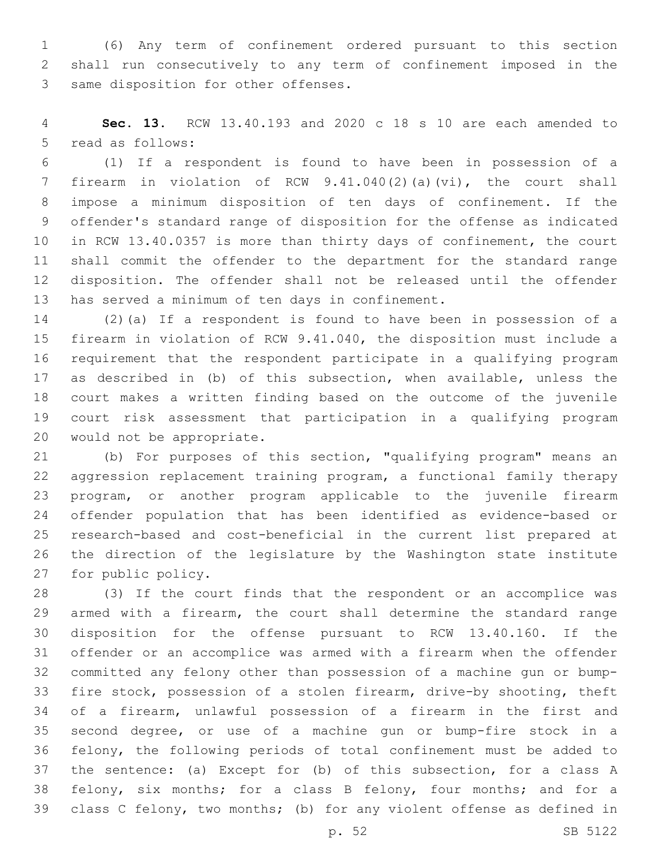(6) Any term of confinement ordered pursuant to this section shall run consecutively to any term of confinement imposed in the 3 same disposition for other offenses.

 **Sec. 13.** RCW 13.40.193 and 2020 c 18 s 10 are each amended to 5 read as follows:

 (1) If a respondent is found to have been in possession of a firearm in violation of RCW 9.41.040(2)(a)(vi), the court shall impose a minimum disposition of ten days of confinement. If the offender's standard range of disposition for the offense as indicated in RCW 13.40.0357 is more than thirty days of confinement, the court shall commit the offender to the department for the standard range disposition. The offender shall not be released until the offender 13 has served a minimum of ten days in confinement.

 (2)(a) If a respondent is found to have been in possession of a firearm in violation of RCW 9.41.040, the disposition must include a requirement that the respondent participate in a qualifying program as described in (b) of this subsection, when available, unless the court makes a written finding based on the outcome of the juvenile court risk assessment that participation in a qualifying program 20 would not be appropriate.

 (b) For purposes of this section, "qualifying program" means an aggression replacement training program, a functional family therapy program, or another program applicable to the juvenile firearm offender population that has been identified as evidence-based or research-based and cost-beneficial in the current list prepared at the direction of the legislature by the Washington state institute 27 for public policy.

 (3) If the court finds that the respondent or an accomplice was armed with a firearm, the court shall determine the standard range disposition for the offense pursuant to RCW 13.40.160. If the offender or an accomplice was armed with a firearm when the offender committed any felony other than possession of a machine gun or bump- fire stock, possession of a stolen firearm, drive-by shooting, theft of a firearm, unlawful possession of a firearm in the first and second degree, or use of a machine gun or bump-fire stock in a felony, the following periods of total confinement must be added to the sentence: (a) Except for (b) of this subsection, for a class A felony, six months; for a class B felony, four months; and for a class C felony, two months; (b) for any violent offense as defined in

p. 52 SB 5122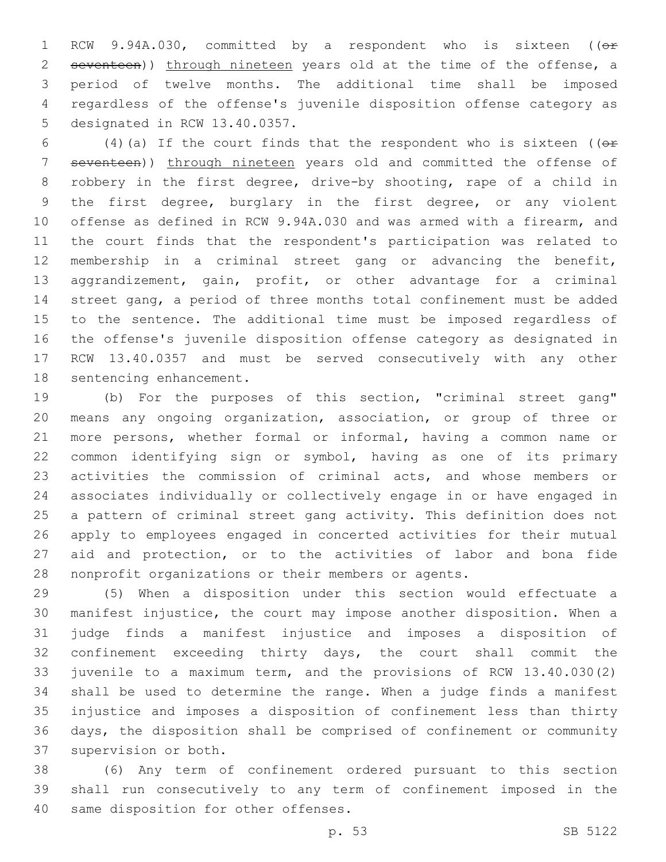1 RCW 9.94A.030, committed by a respondent who is sixteen ((or 2 seventeen)) through nineteen years old at the time of the offense, a period of twelve months. The additional time shall be imposed regardless of the offense's juvenile disposition offense category as 5 designated in RCW 13.40.0357.

6 (4)(a) If the court finds that the respondent who is sixteen (( $\theta$ f) seventeen)) through nineteen years old and committed the offense of robbery in the first degree, drive-by shooting, rape of a child in the first degree, burglary in the first degree, or any violent offense as defined in RCW 9.94A.030 and was armed with a firearm, and the court finds that the respondent's participation was related to membership in a criminal street gang or advancing the benefit, aggrandizement, gain, profit, or other advantage for a criminal street gang, a period of three months total confinement must be added to the sentence. The additional time must be imposed regardless of the offense's juvenile disposition offense category as designated in RCW 13.40.0357 and must be served consecutively with any other 18 sentencing enhancement.

 (b) For the purposes of this section, "criminal street gang" means any ongoing organization, association, or group of three or more persons, whether formal or informal, having a common name or common identifying sign or symbol, having as one of its primary activities the commission of criminal acts, and whose members or associates individually or collectively engage in or have engaged in a pattern of criminal street gang activity. This definition does not apply to employees engaged in concerted activities for their mutual aid and protection, or to the activities of labor and bona fide nonprofit organizations or their members or agents.

 (5) When a disposition under this section would effectuate a manifest injustice, the court may impose another disposition. When a judge finds a manifest injustice and imposes a disposition of confinement exceeding thirty days, the court shall commit the juvenile to a maximum term, and the provisions of RCW 13.40.030(2) shall be used to determine the range. When a judge finds a manifest injustice and imposes a disposition of confinement less than thirty days, the disposition shall be comprised of confinement or community 37 supervision or both.

 (6) Any term of confinement ordered pursuant to this section shall run consecutively to any term of confinement imposed in the 40 same disposition for other offenses.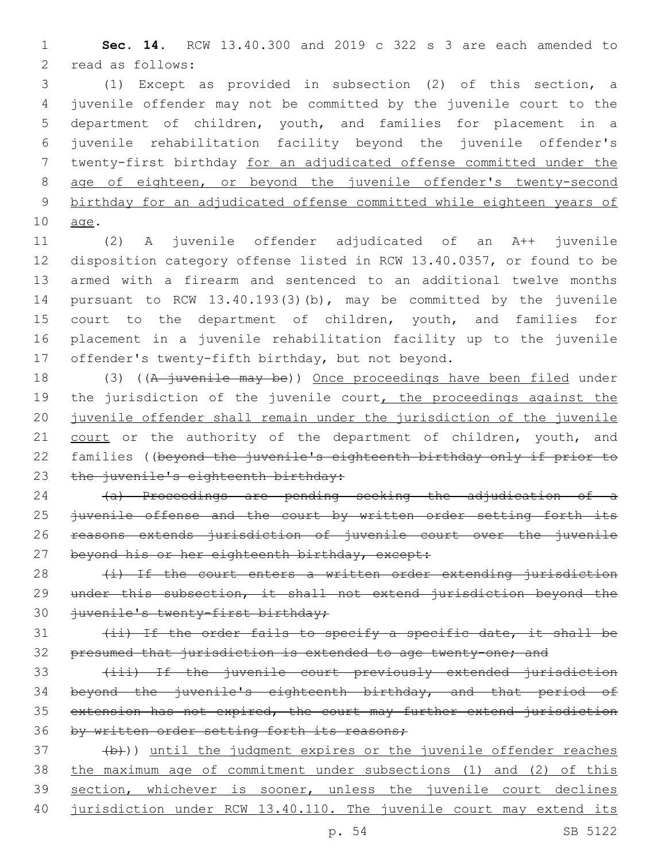1 **Sec. 14.** RCW 13.40.300 and 2019 c 322 s 3 are each amended to 2 read as follows:

 (1) Except as provided in subsection (2) of this section, a juvenile offender may not be committed by the juvenile court to the department of children, youth, and families for placement in a juvenile rehabilitation facility beyond the juvenile offender's twenty-first birthday for an adjudicated offense committed under the age of eighteen, or beyond the juvenile offender's twenty-second birthday for an adjudicated offense committed while eighteen years of 10 age.

 (2) A juvenile offender adjudicated of an A++ juvenile disposition category offense listed in RCW 13.40.0357, or found to be armed with a firearm and sentenced to an additional twelve months pursuant to RCW 13.40.193(3)(b), may be committed by the juvenile 15 court to the department of children, youth, and families for placement in a juvenile rehabilitation facility up to the juvenile 17 offender's twenty-fifth birthday, but not beyond.

18 (3) ((A juvenile may be)) Once proceedings have been filed under 19 the jurisdiction of the juvenile court, the proceedings against the 20 juvenile offender shall remain under the jurisdiction of the juvenile 21 court or the authority of the department of children, youth, and 22 families ((beyond the juvenile's eighteenth birthday only if prior to 23 the juvenile's eighteenth birthday:

24 (a) Proceedings are pending seeking the adjudication of a 25 juvenile offense and the court by written order setting forth its 26 reasons extends jurisdiction of juvenile court over the juvenile 27 beyond his or her eighteenth birthday, except:

28 (i) If the court enters a written order extending jurisdiction 29 under this subsection, it shall not extend jurisdiction beyond the 30 juvenile's twenty-first birthday;

31 (ii) If the order fails to specify a specific date, it shall be 32 presumed that jurisdiction is extended to age twenty-one; and

 (iii) If the juvenile court previously extended jurisdiction beyond the juvenile's eighteenth birthday, and that period of extension has not expired, the court may further extend jurisdiction 36 by written order setting forth its reasons;

 $\left(\frac{b}{b}\right)$ ) until the judgment expires or the juvenile offender reaches the maximum age of commitment under subsections (1) and (2) of this section, whichever is sooner, unless the juvenile court declines jurisdiction under RCW 13.40.110. The juvenile court may extend its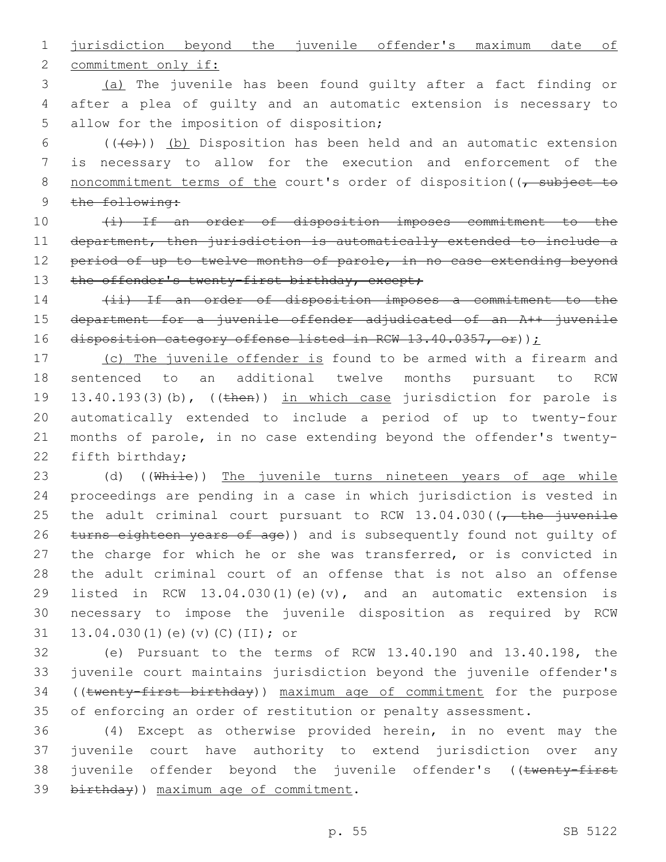1 jurisdiction beyond the juvenile offender's maximum date of

2 commitment only if:

3 (a) The juvenile has been found guilty after a fact finding or 4 after a plea of guilty and an automatic extension is necessary to 5 allow for the imposition of disposition;

 $6$  (( $\left(\frac{1}{1}e\right)$ ) (b) Disposition has been held and an automatic extension 7 is necessary to allow for the execution and enforcement of the 8 noncommitment terms of the court's order of disposition((, subject to 9 the following:

10 (i) If an order of disposition imposes commitment to the 11 department, then jurisdiction is automatically extended to include a 12 period of up to twelve months of parole, in no case extending beyond 13 the offender's twenty-first birthday, except;

14 (ii) If an order of disposition imposes a commitment to the 15 department for a juvenile offender adjudicated of an A++ juvenile 16 disposition category offense listed in RCW 13.40.0357, or));

17 (c) The juvenile offender is found to be armed with a firearm and 18 sentenced to an additional twelve months pursuant to RCW 19 13.40.193(3)(b), ((then)) in which case jurisdiction for parole is 20 automatically extended to include a period of up to twenty-four 21 months of parole, in no case extending beyond the offender's twenty-22 fifth birthday;

23 (d) ((While)) The juvenile turns nineteen years of age while 24 proceedings are pending in a case in which jurisdiction is vested in 25 the adult criminal court pursuant to RCW  $13.04.030$  ( $\sqrt{\frac{1}{L}}$  the juvenile 26 turns eighteen years of age)) and is subsequently found not quilty of 27 the charge for which he or she was transferred, or is convicted in 28 the adult criminal court of an offense that is not also an offense 29 listed in RCW  $13.04.030(1)(e)(v)$ , and an automatic extension is 30 necessary to impose the juvenile disposition as required by RCW 31 13.04.030(1)(e)(v)(C)(II); or

 (e) Pursuant to the terms of RCW 13.40.190 and 13.40.198, the juvenile court maintains jurisdiction beyond the juvenile offender's ((twenty-first birthday)) maximum age of commitment for the purpose of enforcing an order of restitution or penalty assessment.

36 (4) Except as otherwise provided herein, in no event may the 37 juvenile court have authority to extend jurisdiction over any 38 juvenile offender beyond the juvenile offender's ((twenty-first 39 birthday)) maximum age of commitment.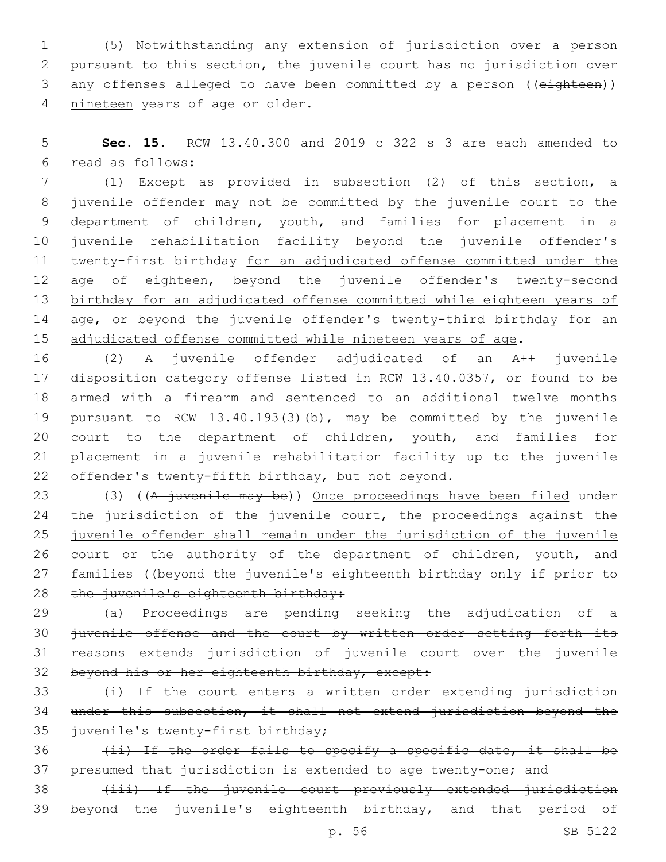1 (5) Notwithstanding any extension of jurisdiction over a person 2 pursuant to this section, the juvenile court has no jurisdiction over 3 any offenses alleged to have been committed by a person ((eighteen)) 4 nineteen years of age or older.

5 **Sec. 15.** RCW 13.40.300 and 2019 c 322 s 3 are each amended to read as follows:6

 (1) Except as provided in subsection (2) of this section, a juvenile offender may not be committed by the juvenile court to the department of children, youth, and families for placement in a juvenile rehabilitation facility beyond the juvenile offender's twenty-first birthday for an adjudicated offense committed under the 12 age of eighteen, beyond the juvenile offender's twenty-second birthday for an adjudicated offense committed while eighteen years of 14 age, or beyond the juvenile offender's twenty-third birthday for an 15 adjudicated offense committed while nineteen years of age.

 (2) A juvenile offender adjudicated of an A++ juvenile disposition category offense listed in RCW 13.40.0357, or found to be armed with a firearm and sentenced to an additional twelve months pursuant to RCW 13.40.193(3)(b), may be committed by the juvenile 20 court to the department of children, youth, and families for placement in a juvenile rehabilitation facility up to the juvenile 22 offender's twenty-fifth birthday, but not beyond.

23 (3) ((A juvenile may be)) Once proceedings have been filed under 24 the jurisdiction of the juvenile court, the proceedings against the 25 juvenile offender shall remain under the jurisdiction of the juvenile 26 court or the authority of the department of children, youth, and 27 families ((beyond the juvenile's eighteenth birthday only if prior to 28 the juvenile's eighteenth birthday:

 (a) Proceedings are pending seeking the adjudication of a juvenile offense and the court by written order setting forth its reasons extends jurisdiction of juvenile court over the juvenile 32 beyond his or her eighteenth birthday, except:

33 (i) If the court enters a written order extending jurisdiction 34 under this subsection, it shall not extend jurisdiction beyond the 35 juvenile's twenty-first birthday;

36 (ii) If the order fails to specify a specific date, it shall be 37 presumed that jurisdiction is extended to age twenty-one; and

38 (iii) If the juvenile court previously extended jurisdiction 39 beyond the juvenile's eighteenth birthday, and that period of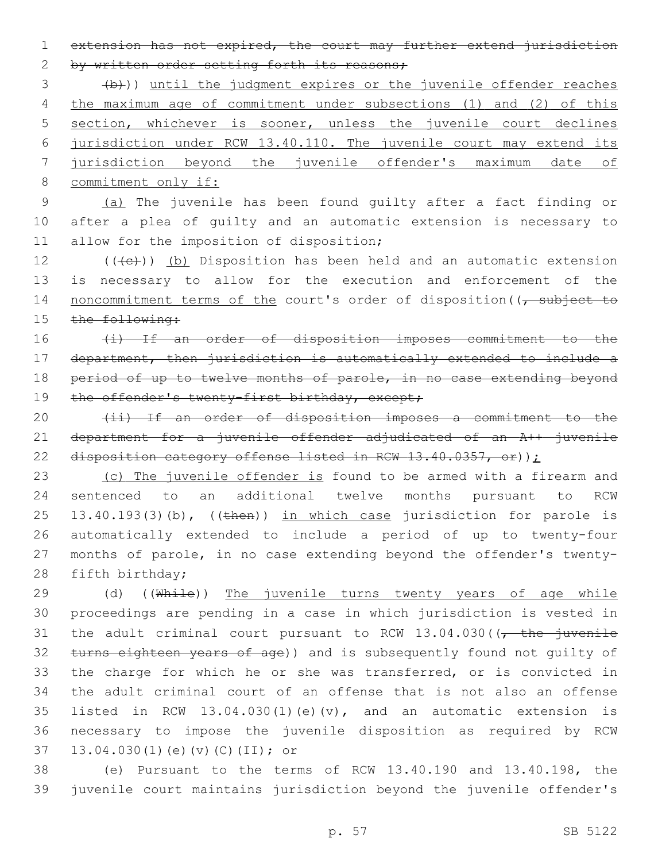1 extension has not expired, the court may further extend jurisdiction 2 by written order setting forth its reasons;

3 (b)) until the judgment expires or the juvenile offender reaches 4 the maximum age of commitment under subsections (1) and (2) of this section, whichever is sooner, unless the juvenile court declines jurisdiction under RCW 13.40.110. The juvenile court may extend its jurisdiction beyond the juvenile offender's maximum date of commitment only if:

9 (a) The juvenile has been found guilty after a fact finding or 10 after a plea of guilty and an automatic extension is necessary to 11 allow for the imposition of disposition;

 $12$  (( $\left(\frac{1}{10}\right)$ ) (b) Disposition has been held and an automatic extension 13 is necessary to allow for the execution and enforcement of the 14 noncommitment terms of the court's order of disposition((<del>, subject to</del> 15 the following:

16 (i) If an order of disposition imposes commitment to the 17 department, then jurisdiction is automatically extended to include a 18 period of up to twelve months of parole, in no case extending beyond 19 the offender's twenty-first birthday, except;

20 (ii) If an order of disposition imposes a commitment to the 21 department for a juvenile offender adjudicated of an A++ juvenile 22 disposition category offense listed in RCW 13.40.0357, or));

23 (c) The juvenile offender is found to be armed with a firearm and 24 sentenced to an additional twelve months pursuant to RCW 25 13.40.193(3)(b), ((then)) in which case jurisdiction for parole is 26 automatically extended to include a period of up to twenty-four 27 months of parole, in no case extending beyond the offender's twenty-28 fifth birthday;

29 (d) ((While)) The juvenile turns twenty years of age while 30 proceedings are pending in a case in which jurisdiction is vested in 31 the adult criminal court pursuant to RCW  $13.04.030$  ( $\sqrt{\frac{1}{L}}$  the juvenile 32 turns eighteen years of age)) and is subsequently found not quilty of 33 the charge for which he or she was transferred, or is convicted in 34 the adult criminal court of an offense that is not also an offense 35 listed in RCW 13.04.030(1)(e)(v), and an automatic extension is 36 necessary to impose the juvenile disposition as required by RCW 37 13.04.030(1)(e)(v)(C)(II); or

38 (e) Pursuant to the terms of RCW 13.40.190 and 13.40.198, the 39 juvenile court maintains jurisdiction beyond the juvenile offender's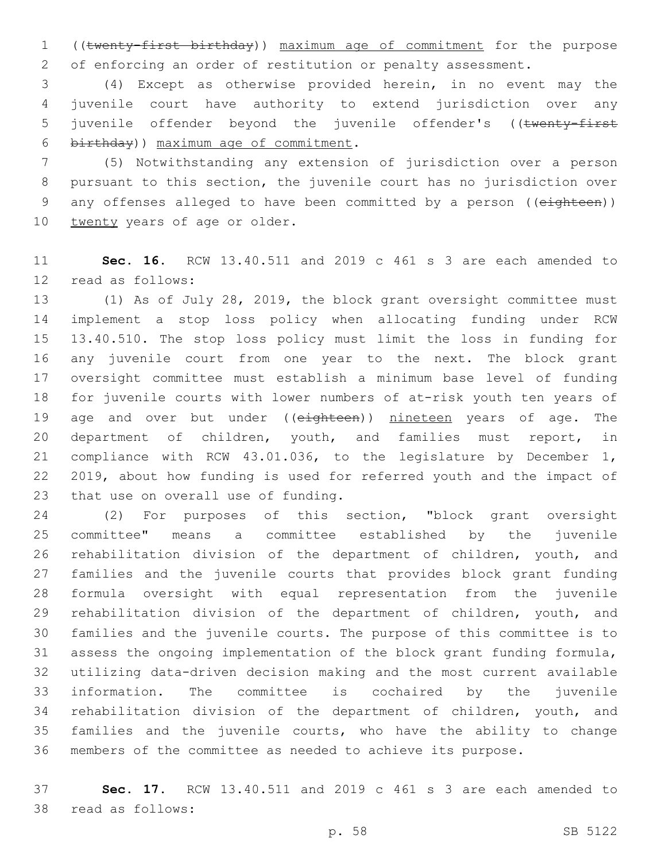((twenty-first birthday)) maximum age of commitment for the purpose of enforcing an order of restitution or penalty assessment.

 (4) Except as otherwise provided herein, in no event may the juvenile court have authority to extend jurisdiction over any 5 juvenile offender beyond the juvenile offender's ((twenty-first birthday)) maximum age of commitment.6

 (5) Notwithstanding any extension of jurisdiction over a person pursuant to this section, the juvenile court has no jurisdiction over 9 any offenses alleged to have been committed by a person ((eighteen)) 10 twenty years of age or older.

 **Sec. 16.** RCW 13.40.511 and 2019 c 461 s 3 are each amended to 12 read as follows:

 (1) As of July 28, 2019, the block grant oversight committee must implement a stop loss policy when allocating funding under RCW 13.40.510. The stop loss policy must limit the loss in funding for any juvenile court from one year to the next. The block grant oversight committee must establish a minimum base level of funding for juvenile courts with lower numbers of at-risk youth ten years of 19 age and over but under ((eighteen)) nineteen years of age. The 20 department of children, youth, and families must report, in compliance with RCW 43.01.036, to the legislature by December 1, 2019, about how funding is used for referred youth and the impact of 23 that use on overall use of funding.

 (2) For purposes of this section, "block grant oversight committee" means a committee established by the juvenile rehabilitation division of the department of children, youth, and families and the juvenile courts that provides block grant funding formula oversight with equal representation from the juvenile 29 rehabilitation division of the department of children, youth, and families and the juvenile courts. The purpose of this committee is to assess the ongoing implementation of the block grant funding formula, utilizing data-driven decision making and the most current available information. The committee is cochaired by the juvenile rehabilitation division of the department of children, youth, and families and the juvenile courts, who have the ability to change members of the committee as needed to achieve its purpose.

 **Sec. 17.** RCW 13.40.511 and 2019 c 461 s 3 are each amended to 38 read as follows: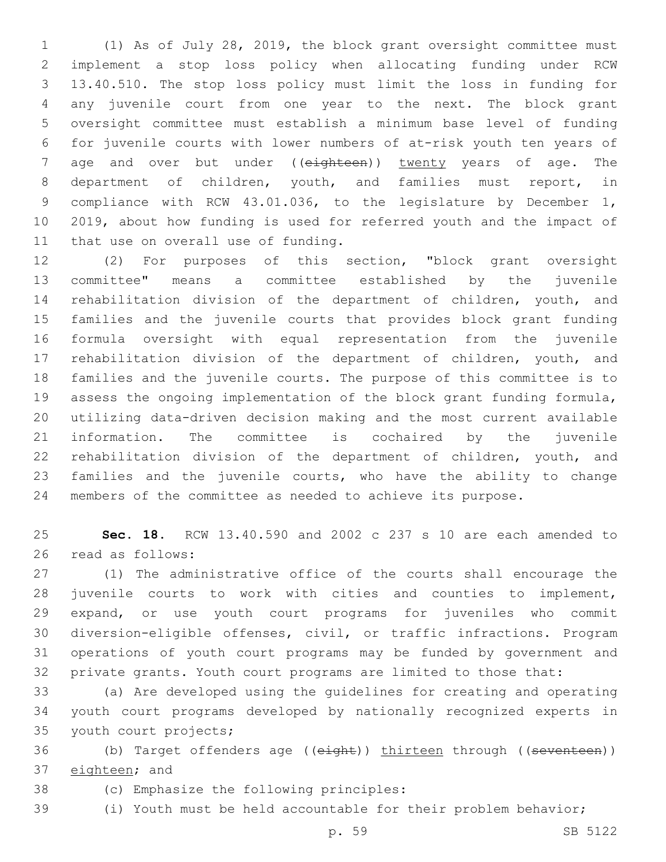(1) As of July 28, 2019, the block grant oversight committee must implement a stop loss policy when allocating funding under RCW 13.40.510. The stop loss policy must limit the loss in funding for any juvenile court from one year to the next. The block grant oversight committee must establish a minimum base level of funding for juvenile courts with lower numbers of at-risk youth ten years of 7 age and over but under ((eighteen)) twenty years of age. The department of children, youth, and families must report, in compliance with RCW 43.01.036, to the legislature by December 1, 2019, about how funding is used for referred youth and the impact of 11 that use on overall use of funding.

 (2) For purposes of this section, "block grant oversight committee" means a committee established by the juvenile rehabilitation division of the department of children, youth, and families and the juvenile courts that provides block grant funding formula oversight with equal representation from the juvenile rehabilitation division of the department of children, youth, and families and the juvenile courts. The purpose of this committee is to assess the ongoing implementation of the block grant funding formula, utilizing data-driven decision making and the most current available information. The committee is cochaired by the juvenile rehabilitation division of the department of children, youth, and families and the juvenile courts, who have the ability to change members of the committee as needed to achieve its purpose.

 **Sec. 18.** RCW 13.40.590 and 2002 c 237 s 10 are each amended to read as follows:26

 (1) The administrative office of the courts shall encourage the juvenile courts to work with cities and counties to implement, expand, or use youth court programs for juveniles who commit diversion-eligible offenses, civil, or traffic infractions. Program operations of youth court programs may be funded by government and private grants. Youth court programs are limited to those that:

 (a) Are developed using the guidelines for creating and operating youth court programs developed by nationally recognized experts in 35 youth court projects;

 (b) Target offenders age ((eight)) thirteen through ((seventeen)) 37 eighteen; and

- (c) Emphasize the following principles:38
- (i) Youth must be held accountable for their problem behavior;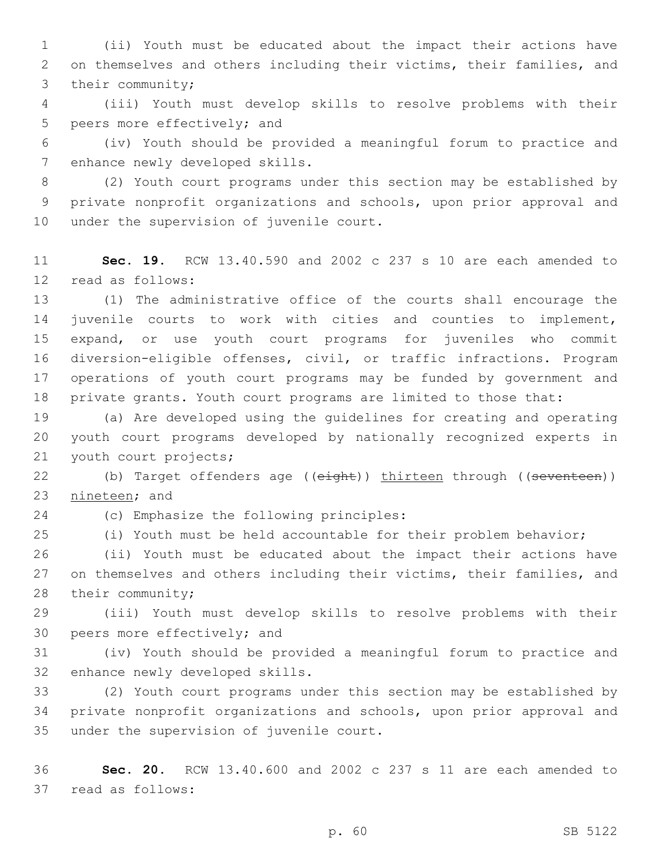1 (ii) Youth must be educated about the impact their actions have 2 on themselves and others including their victims, their families, and 3 their community;

4 (iii) Youth must develop skills to resolve problems with their 5 peers more effectively; and

6 (iv) Youth should be provided a meaningful forum to practice and 7 enhance newly developed skills.

8 (2) Youth court programs under this section may be established by 9 private nonprofit organizations and schools, upon prior approval and 10 under the supervision of juvenile court.

11 **Sec. 19.** RCW 13.40.590 and 2002 c 237 s 10 are each amended to 12 read as follows:

 (1) The administrative office of the courts shall encourage the juvenile courts to work with cities and counties to implement, expand, or use youth court programs for juveniles who commit diversion-eligible offenses, civil, or traffic infractions. Program operations of youth court programs may be funded by government and private grants. Youth court programs are limited to those that:

19 (a) Are developed using the guidelines for creating and operating 20 youth court programs developed by nationally recognized experts in 21 youth court projects;

22 (b) Target offenders age ((eight)) thirteen through ((seventeen)) 23 nineteen; and

(c) Emphasize the following principles:24

25 (i) Youth must be held accountable for their problem behavior;

26 (ii) Youth must be educated about the impact their actions have 27 on themselves and others including their victims, their families, and 28 their community;

29 (iii) Youth must develop skills to resolve problems with their 30 peers more effectively; and

31 (iv) Youth should be provided a meaningful forum to practice and 32 enhance newly developed skills.

33 (2) Youth court programs under this section may be established by 34 private nonprofit organizations and schools, upon prior approval and 35 under the supervision of juvenile court.

36 **Sec. 20.** RCW 13.40.600 and 2002 c 237 s 11 are each amended to 37 read as follows: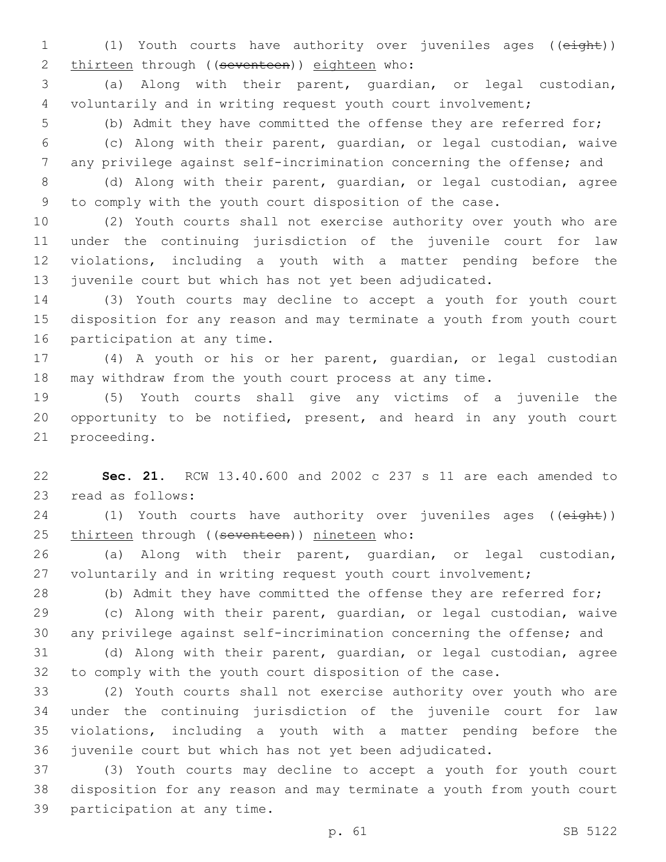(1) Youth courts have authority over juveniles ages ((eight)) 2 thirteen through ((seventeen)) eighteen who:

 (a) Along with their parent, guardian, or legal custodian, voluntarily and in writing request youth court involvement;

(b) Admit they have committed the offense they are referred for;

 (c) Along with their parent, guardian, or legal custodian, waive any privilege against self-incrimination concerning the offense; and

 (d) Along with their parent, guardian, or legal custodian, agree to comply with the youth court disposition of the case.

 (2) Youth courts shall not exercise authority over youth who are under the continuing jurisdiction of the juvenile court for law violations, including a youth with a matter pending before the juvenile court but which has not yet been adjudicated.

 (3) Youth courts may decline to accept a youth for youth court disposition for any reason and may terminate a youth from youth court 16 participation at any time.

 (4) A youth or his or her parent, guardian, or legal custodian may withdraw from the youth court process at any time.

 (5) Youth courts shall give any victims of a juvenile the opportunity to be notified, present, and heard in any youth court 21 proceeding.

 **Sec. 21.** RCW 13.40.600 and 2002 c 237 s 11 are each amended to 23 read as follows:

24 (1) Youth courts have authority over juveniles ages ((eight)) 25 thirteen through ((seventeen)) nineteen who:

 (a) Along with their parent, guardian, or legal custodian, 27 voluntarily and in writing request youth court involvement;

28 (b) Admit they have committed the offense they are referred for;

 (c) Along with their parent, guardian, or legal custodian, waive any privilege against self-incrimination concerning the offense; and

 (d) Along with their parent, guardian, or legal custodian, agree to comply with the youth court disposition of the case.

 (2) Youth courts shall not exercise authority over youth who are under the continuing jurisdiction of the juvenile court for law violations, including a youth with a matter pending before the juvenile court but which has not yet been adjudicated.

 (3) Youth courts may decline to accept a youth for youth court disposition for any reason and may terminate a youth from youth court 39 participation at any time.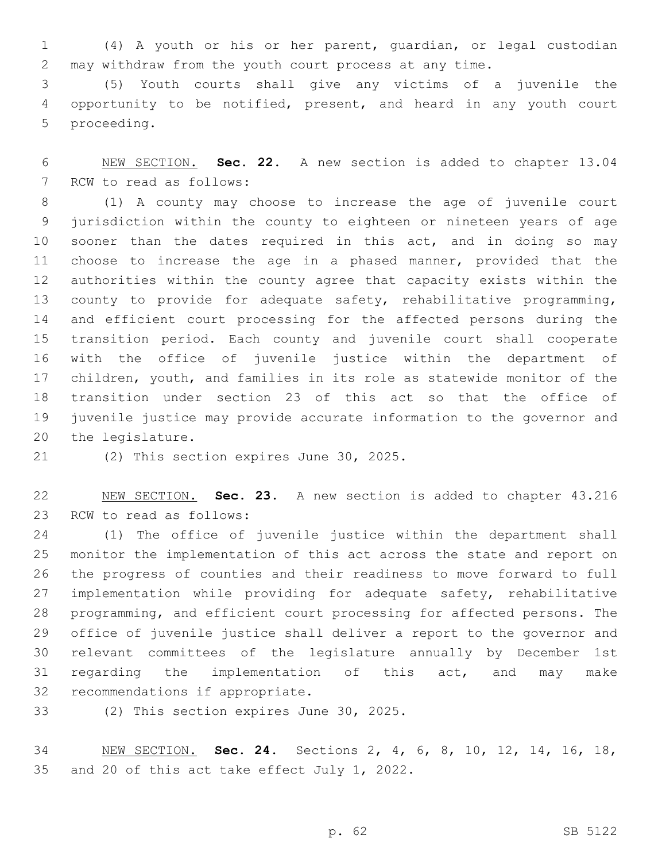(4) A youth or his or her parent, guardian, or legal custodian may withdraw from the youth court process at any time.

 (5) Youth courts shall give any victims of a juvenile the opportunity to be notified, present, and heard in any youth court 5 proceeding.

 NEW SECTION. **Sec. 22.** A new section is added to chapter 13.04 7 RCW to read as follows:

 (1) A county may choose to increase the age of juvenile court jurisdiction within the county to eighteen or nineteen years of age sooner than the dates required in this act, and in doing so may choose to increase the age in a phased manner, provided that the authorities within the county agree that capacity exists within the county to provide for adequate safety, rehabilitative programming, and efficient court processing for the affected persons during the transition period. Each county and juvenile court shall cooperate with the office of juvenile justice within the department of children, youth, and families in its role as statewide monitor of the transition under section 23 of this act so that the office of juvenile justice may provide accurate information to the governor and 20 the legislature.

21 (2) This section expires June 30, 2025.

 NEW SECTION. **Sec. 23.** A new section is added to chapter 43.216 23 RCW to read as follows:

 (1) The office of juvenile justice within the department shall monitor the implementation of this act across the state and report on the progress of counties and their readiness to move forward to full implementation while providing for adequate safety, rehabilitative programming, and efficient court processing for affected persons. The office of juvenile justice shall deliver a report to the governor and relevant committees of the legislature annually by December 1st regarding the implementation of this act, and may make 32 recommendations if appropriate.

33 (2) This section expires June 30, 2025.

 NEW SECTION. **Sec. 24.** Sections 2, 4, 6, 8, 10, 12, 14, 16, 18, and 20 of this act take effect July 1, 2022.